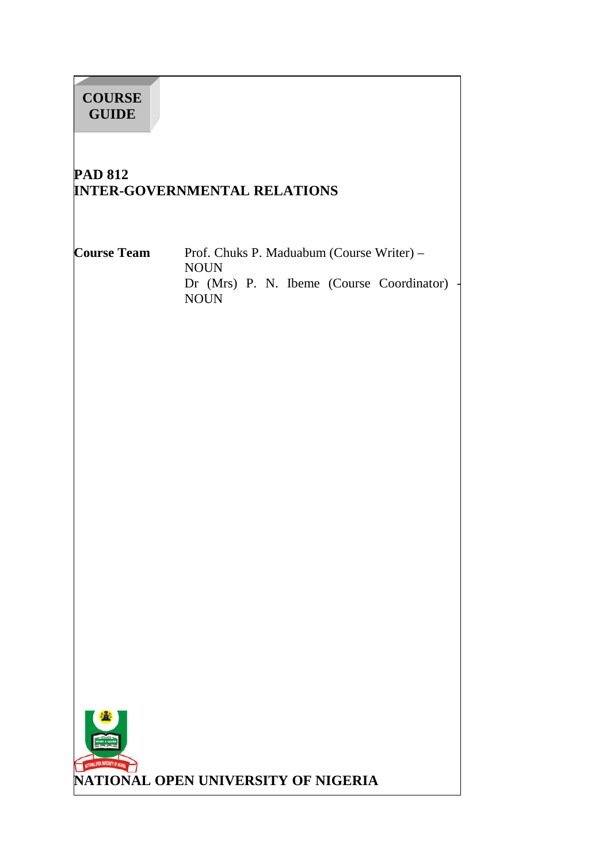# **COURSE GUIDE**

## **PAD 812 INTER-GOVERNMENTAL RELATIONS**

**Course Team** Prof. Chuks P. Maduabum (Course Writer) – NOUN Dr (Mrs) P. N. Ibeme (Course Coordinator) NOUN

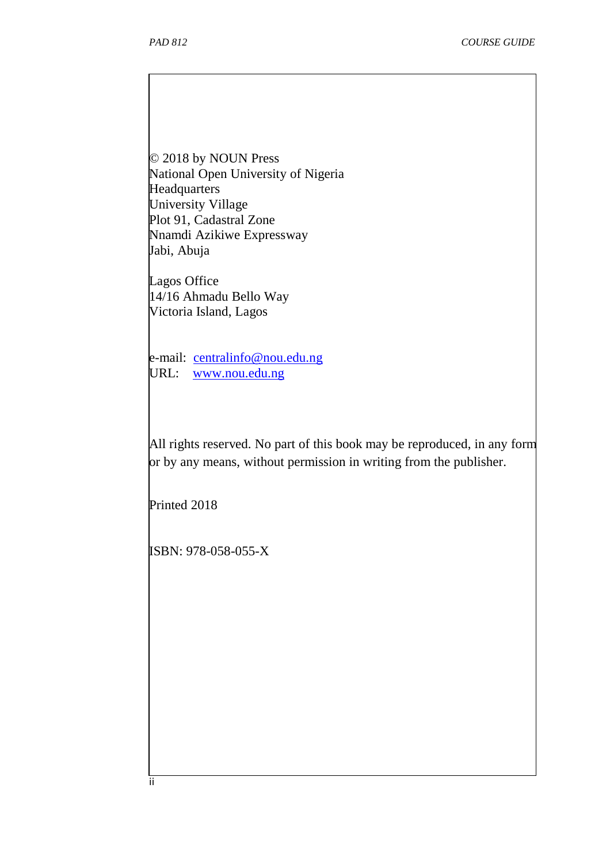© 2018 by NOUN Press National Open University of Nigeria **Headquarters** University Village Plot 91, Cadastral Zone Nnamdi Azikiwe Expressway Jabi, Abuja

Lagos Office 14/16 Ahmadu Bello Way Victoria Island, Lagos

e-mail: centralinfo@nou.edu.ng URL: www.nou.edu.ng

All rights reserved. No part of this book may be reproduced, in any form or by any means, without permission in writing from the publisher.

Printed 2018

 $\overline{\phantom{a}}$ 

 $\overline{\phantom{a}}$ 

ISBN: 978-058-055-X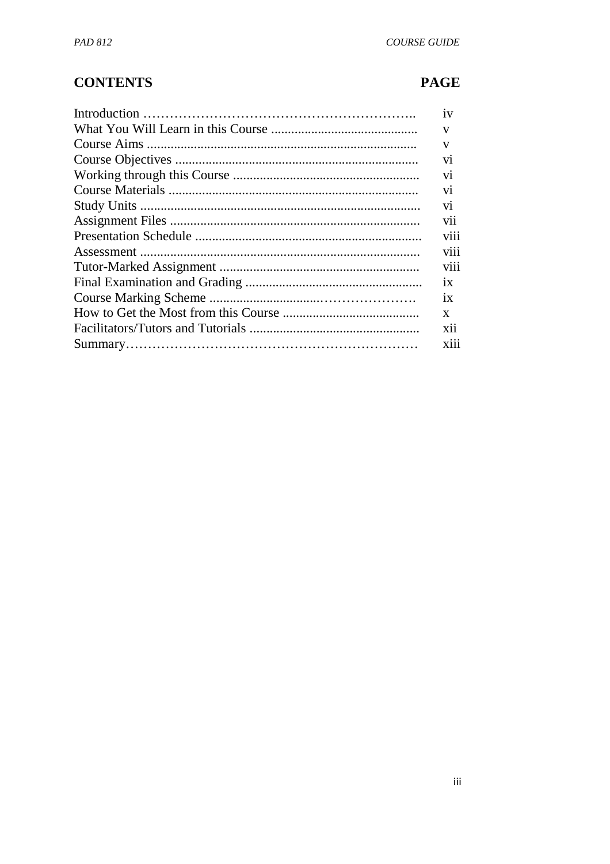# **CONTENTS**

## **PAGE**

| 1V           |
|--------------|
| V            |
| V            |
| V1           |
| V1           |
| V1           |
| V1           |
| V11          |
| viii         |
| viii         |
| viii         |
| 1X           |
| 1X           |
| $\mathbf{X}$ |
| <b>X11</b>   |
| <b>X111</b>  |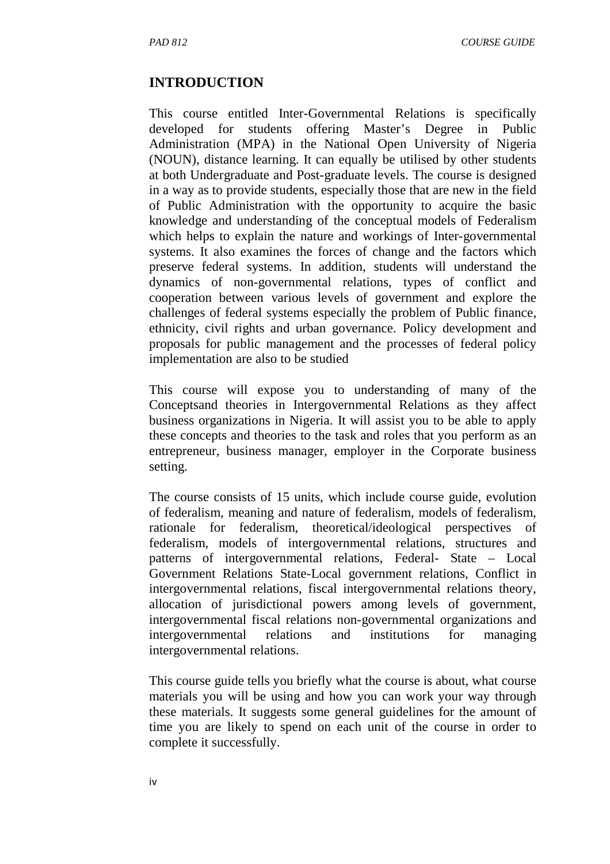#### **INTRODUCTION**

This course entitled Inter-Governmental Relations is specifically developed for students offering Master's Degree in Public Administration (MPA) in the National Open University of Nigeria (NOUN), distance learning. It can equally be utilised by other students at both Undergraduate and Post-graduate levels. The course is designed in a way as to provide students, especially those that are new in the field of Public Administration with the opportunity to acquire the basic knowledge and understanding of the conceptual models of Federalism which helps to explain the nature and workings of Inter-governmental systems. It also examines the forces of change and the factors which preserve federal systems. In addition, students will understand the dynamics of non-governmental relations, types of conflict and cooperation between various levels of government and explore the challenges of federal systems especially the problem of Public finance, ethnicity, civil rights and urban governance. Policy development and proposals for public management and the processes of federal policy implementation are also to be studied

This course will expose you to understanding of many of the Conceptsand theories in Intergovernmental Relations as they affect business organizations in Nigeria. It will assist you to be able to apply these concepts and theories to the task and roles that you perform as an entrepreneur, business manager, employer in the Corporate business setting.

The course consists of 15 units, which include course guide, evolution of federalism, meaning and nature of federalism, models of federalism, rationale for federalism, theoretical/ideological perspectives of federalism, models of intergovernmental relations, structures and patterns of intergovernmental relations, Federal- State – Local Government Relations State-Local government relations, Conflict in intergovernmental relations, fiscal intergovernmental relations theory, allocation of jurisdictional powers among levels of government, intergovernmental fiscal relations non-governmental organizations and intergovernmental relations and institutions for managing intergovernmental relations.

This course guide tells you briefly what the course is about, what course materials you will be using and how you can work your way through these materials. It suggests some general guidelines for the amount of time you are likely to spend on each unit of the course in order to complete it successfully.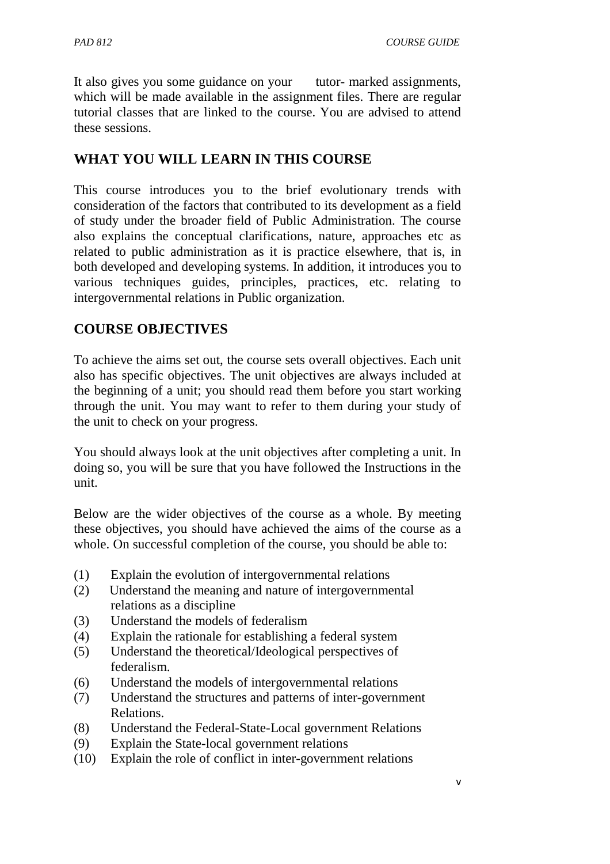It also gives you some guidance on your tutor- marked assignments, which will be made available in the assignment files. There are regular tutorial classes that are linked to the course. You are advised to attend these sessions.

## **WHAT YOU WILL LEARN IN THIS COURSE**

This course introduces you to the brief evolutionary trends with consideration of the factors that contributed to its development as a field of study under the broader field of Public Administration. The course also explains the conceptual clarifications, nature, approaches etc as related to public administration as it is practice elsewhere, that is, in both developed and developing systems. In addition, it introduces you to various techniques guides, principles, practices, etc. relating to intergovernmental relations in Public organization.

## **COURSE OBJECTIVES**

To achieve the aims set out, the course sets overall objectives. Each unit also has specific objectives. The unit objectives are always included at the beginning of a unit; you should read them before you start working through the unit. You may want to refer to them during your study of the unit to check on your progress.

You should always look at the unit objectives after completing a unit. In doing so, you will be sure that you have followed the Instructions in the unit.

Below are the wider objectives of the course as a whole. By meeting these objectives, you should have achieved the aims of the course as a whole. On successful completion of the course, you should be able to:

- (1) Explain the evolution of intergovernmental relations
- (2) Understand the meaning and nature of intergovernmental relations as a discipline
- (3) Understand the models of federalism
- (4) Explain the rationale for establishing a federal system
- (5) Understand the theoretical/Ideological perspectives of federalism.
- (6) Understand the models of intergovernmental relations
- (7) Understand the structures and patterns of inter-government Relations.
- (8) Understand the Federal-State-Local government Relations
- (9) Explain the State-local government relations
- (10) Explain the role of conflict in inter-government relations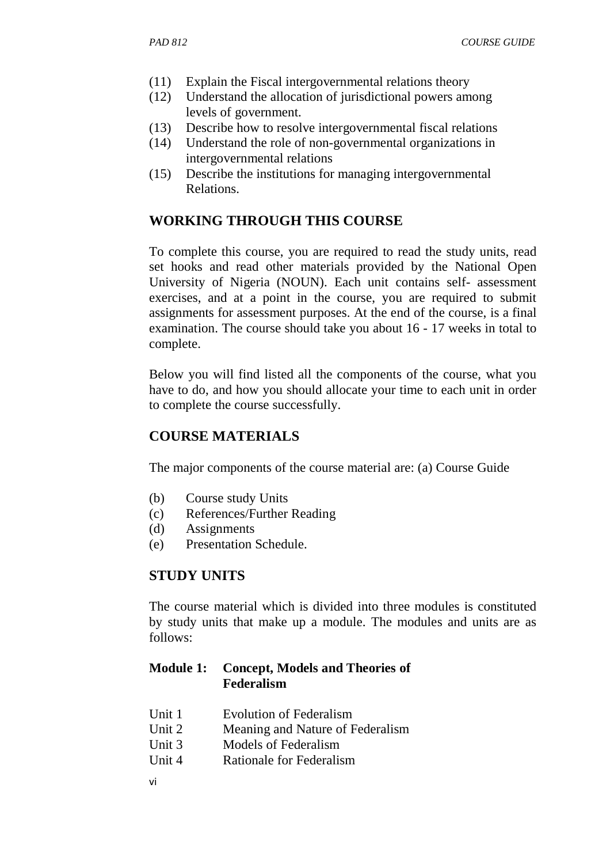- (11) Explain the Fiscal intergovernmental relations theory
- (12) Understand the allocation of jurisdictional powers among levels of government.
- (13) Describe how to resolve intergovernmental fiscal relations
- (14) Understand the role of non-governmental organizations in intergovernmental relations
- (15) Describe the institutions for managing intergovernmental Relations.

## **WORKING THROUGH THIS COURSE**

To complete this course, you are required to read the study units, read set hooks and read other materials provided by the National Open University of Nigeria (NOUN). Each unit contains self- assessment exercises, and at a point in the course, you are required to submit assignments for assessment purposes. At the end of the course, is a final examination. The course should take you about 16 - 17 weeks in total to complete.

Below you will find listed all the components of the course, what you have to do, and how you should allocate your time to each unit in order to complete the course successfully.

## **COURSE MATERIALS**

The major components of the course material are: (a) Course Guide

- (b) Course study Units
- (c) References/Further Reading
- (d) Assignments
- (e) Presentation Schedule.

## **STUDY UNITS**

The course material which is divided into three modules is constituted by study units that make up a module. The modules and units are as follows:

### **Module 1: Concept, Models and Theories of Federalism**

- Unit 1 Evolution of Federalism
- Unit 2 Meaning and Nature of Federalism
- Unit 3 Models of Federalism
- Unit 4 Rationale for Federalism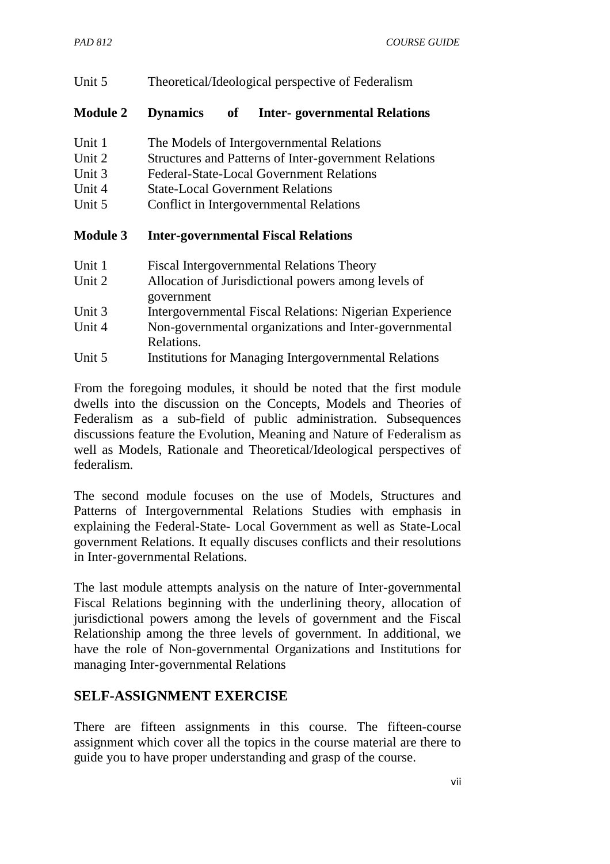*PAD 812 COURSE GUIDE*

| Unit 5 | Theoretical/Ideological perspective of Federalism |      |                                      |
|--------|---------------------------------------------------|------|--------------------------------------|
|        | <b>Module 2 Dynamics</b>                          | - of | <b>Inter-</b> governmental Relations |

- Unit 1 The Models of Intergovernmental Relations
- Unit 2 Structures and Patterns of Inter-government Relations
- Unit 3 Federal-State-Local Government Relations
- Unit 4 State-Local Government Relations
- Unit 5 Conflict in Intergovernmental Relations

## **Module 3 Inter-governmental Fiscal Relations**

| Unit 1 | Fiscal Intergovernmental Relations Theory                    |  |
|--------|--------------------------------------------------------------|--|
| Unit 2 | Allocation of Jurisdictional powers among levels of          |  |
|        | government                                                   |  |
| Unit 3 | Intergovernmental Fiscal Relations: Nigerian Experience      |  |
| Unit 4 | Non-governmental organizations and Inter-governmental        |  |
|        | Relations.                                                   |  |
| Unit 5 | <b>Institutions for Managing Intergovernmental Relations</b> |  |

From the foregoing modules, it should be noted that the first module dwells into the discussion on the Concepts, Models and Theories of Federalism as a sub-field of public administration. Subsequences discussions feature the Evolution, Meaning and Nature of Federalism as well as Models, Rationale and Theoretical/Ideological perspectives of federalism.

The second module focuses on the use of Models, Structures and Patterns of Intergovernmental Relations Studies with emphasis in explaining the Federal-State- Local Government as well as State-Local government Relations. It equally discuses conflicts and their resolutions in Inter-governmental Relations.

The last module attempts analysis on the nature of Inter-governmental Fiscal Relations beginning with the underlining theory, allocation of jurisdictional powers among the levels of government and the Fiscal Relationship among the three levels of government. In additional, we have the role of Non-governmental Organizations and Institutions for managing Inter-governmental Relations

## **SELF-ASSIGNMENT EXERCISE**

There are fifteen assignments in this course. The fifteen-course assignment which cover all the topics in the course material are there to guide you to have proper understanding and grasp of the course.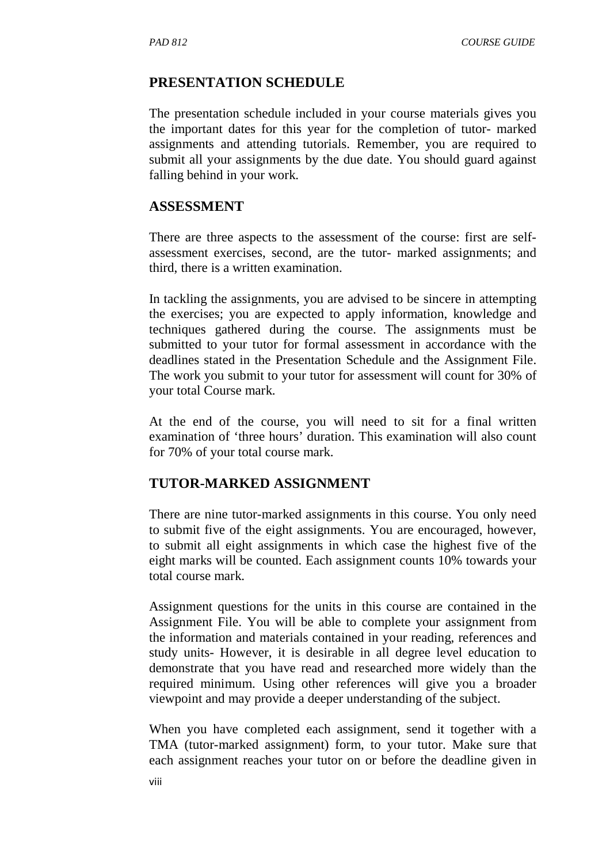### **PRESENTATION SCHEDULE**

The presentation schedule included in your course materials gives you the important dates for this year for the completion of tutor- marked assignments and attending tutorials. Remember, you are required to submit all your assignments by the due date. You should guard against falling behind in your work.

#### **ASSESSMENT**

There are three aspects to the assessment of the course: first are selfassessment exercises, second, are the tutor- marked assignments; and third, there is a written examination.

In tackling the assignments, you are advised to be sincere in attempting the exercises; you are expected to apply information, knowledge and techniques gathered during the course. The assignments must be submitted to your tutor for formal assessment in accordance with the deadlines stated in the Presentation Schedule and the Assignment File. The work you submit to your tutor for assessment will count for 30% of your total Course mark.

At the end of the course, you will need to sit for a final written examination of 'three hours' duration. This examination will also count for 70% of your total course mark.

#### **TUTOR-MARKED ASSIGNMENT**

There are nine tutor-marked assignments in this course. You only need to submit five of the eight assignments. You are encouraged, however, to submit all eight assignments in which case the highest five of the eight marks will be counted. Each assignment counts 10% towards your total course mark.

Assignment questions for the units in this course are contained in the Assignment File. You will be able to complete your assignment from the information and materials contained in your reading, references and study units- However, it is desirable in all degree level education to demonstrate that you have read and researched more widely than the required minimum. Using other references will give you a broader viewpoint and may provide a deeper understanding of the subject.

When you have completed each assignment, send it together with a TMA (tutor-marked assignment) form, to your tutor. Make sure that each assignment reaches your tutor on or before the deadline given in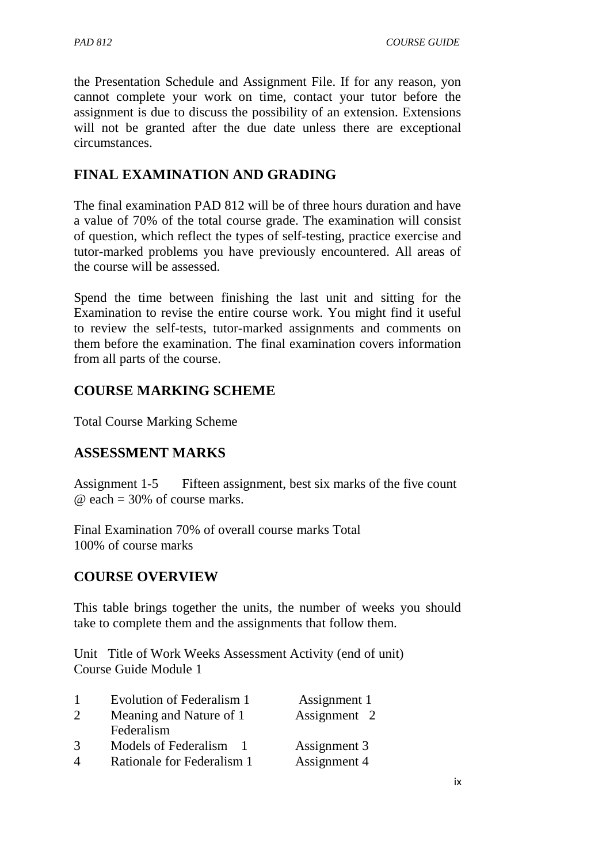the Presentation Schedule and Assignment File. If for any reason, yon cannot complete your work on time, contact your tutor before the assignment is due to discuss the possibility of an extension. Extensions will not be granted after the due date unless there are exceptional circumstances.

## **FINAL EXAMINATION AND GRADING**

The final examination PAD 812 will be of three hours duration and have a value of 70% of the total course grade. The examination will consist of question, which reflect the types of self-testing, practice exercise and tutor-marked problems you have previously encountered. All areas of the course will be assessed.

Spend the time between finishing the last unit and sitting for the Examination to revise the entire course work. You might find it useful to review the self-tests, tutor-marked assignments and comments on them before the examination. The final examination covers information from all parts of the course.

## **COURSE MARKING SCHEME**

Total Course Marking Scheme

## **ASSESSMENT MARKS**

Assignment 1-5 Fifteen assignment, best six marks of the five count  $\omega$  each = 30% of course marks.

Final Examination 70% of overall course marks Total 100% of course marks

## **COURSE OVERVIEW**

This table brings together the units, the number of weeks you should take to complete them and the assignments that follow them.

Unit Title of Work Weeks Assessment Activity (end of unit) Course Guide Module 1

|               | Evolution of Federalism 1  | Assignment 1 |
|---------------|----------------------------|--------------|
|               | Meaning and Nature of 1    | Assignment 2 |
|               | Federalism                 |              |
| $\mathcal{R}$ | Models of Federalism       | Assignment 3 |
|               | Rationale for Federalism 1 | Assignment 4 |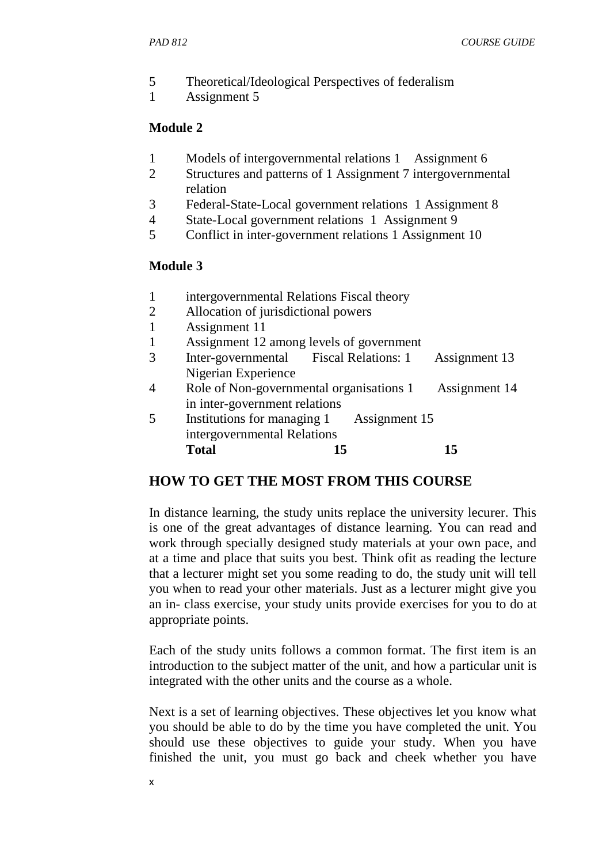- 5 Theoretical/Ideological Perspectives of federalism
- 1 Assignment 5

#### **Module 2**

- 1 Models of intergovernmental relations 1 Assignment 6
- 2 Structures and patterns of 1 Assignment 7 intergovernmental relation
- 3 Federal-State-Local government relations 1 Assignment 8
- 4 State-Local government relations 1 Assignment 9
- 5 Conflict in inter-government relations 1 Assignment 10

#### **Module 3**

- 1 intergovernmental Relations Fiscal theory
- 2 Allocation of jurisdictional powers
- 1 Assignment 11
- 1 Assignment 12 among levels of government
- 3 Inter-governmental Fiscal Relations: 1 Assignment 13 Nigerian Experience
- 4 Role of Non-governmental organisations 1 Assignment 14 in inter-government relations
- 5 Institutions for managing 1 Assignment 15 intergovernmental Relations **Total 15** 15

## **HOW TO GET THE MOST FROM THIS COURSE**

In distance learning, the study units replace the university lecurer. This is one of the great advantages of distance learning. You can read and work through specially designed study materials at your own pace, and at a time and place that suits you best. Think ofit as reading the lecture that a lecturer might set you some reading to do, the study unit will tell you when to read your other materials. Just as a lecturer might give you an in- class exercise, your study units provide exercises for you to do at appropriate points.

Each of the study units follows a common format. The first item is an introduction to the subject matter of the unit, and how a particular unit is integrated with the other units and the course as a whole.

Next is a set of learning objectives. These objectives let you know what you should be able to do by the time you have completed the unit. You should use these objectives to guide your study. When you have finished the unit, you must go back and cheek whether you have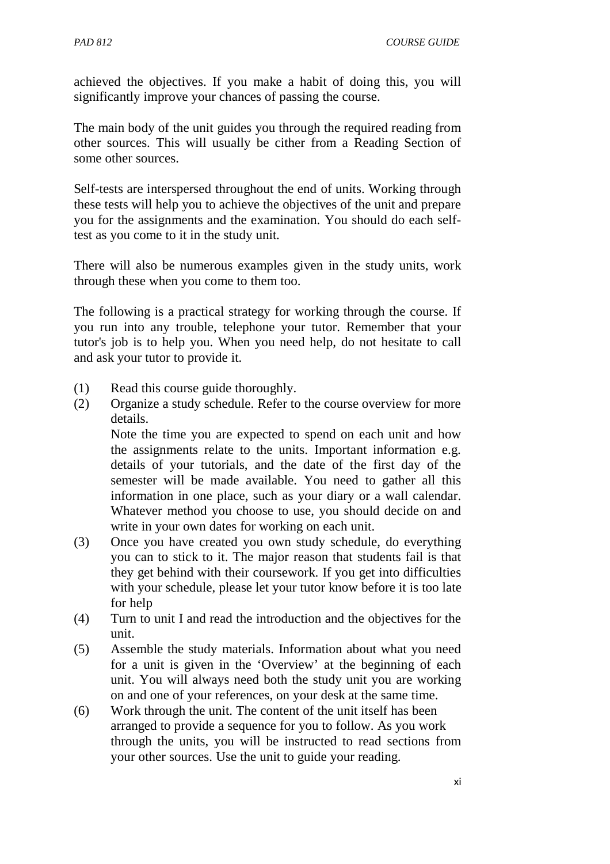achieved the objectives. If you make a habit of doing this, you will significantly improve your chances of passing the course.

The main body of the unit guides you through the required reading from other sources. This will usually be cither from a Reading Section of some other sources.

Self-tests are interspersed throughout the end of units. Working through these tests will help you to achieve the objectives of the unit and prepare you for the assignments and the examination. You should do each selftest as you come to it in the study unit.

There will also be numerous examples given in the study units, work through these when you come to them too.

The following is a practical strategy for working through the course. If you run into any trouble, telephone your tutor. Remember that your tutor's job is to help you. When you need help, do not hesitate to call and ask your tutor to provide it.

- (1) Read this course guide thoroughly.
- (2) Organize a study schedule. Refer to the course overview for more details.

Note the time you are expected to spend on each unit and how the assignments relate to the units. Important information e.g. details of your tutorials, and the date of the first day of the semester will be made available. You need to gather all this information in one place, such as your diary or a wall calendar. Whatever method you choose to use, you should decide on and write in your own dates for working on each unit.

- (3) Once you have created you own study schedule, do everything you can to stick to it. The major reason that students fail is that they get behind with their coursework. If you get into difficulties with your schedule, please let your tutor know before it is too late for help
- (4) Turn to unit I and read the introduction and the objectives for the unit.
- (5) Assemble the study materials. Information about what you need for a unit is given in the 'Overview' at the beginning of each unit. You will always need both the study unit you are working on and one of your references, on your desk at the same time.
- (6) Work through the unit. The content of the unit itself has been arranged to provide a sequence for you to follow. As you work through the units, you will be instructed to read sections from your other sources. Use the unit to guide your reading.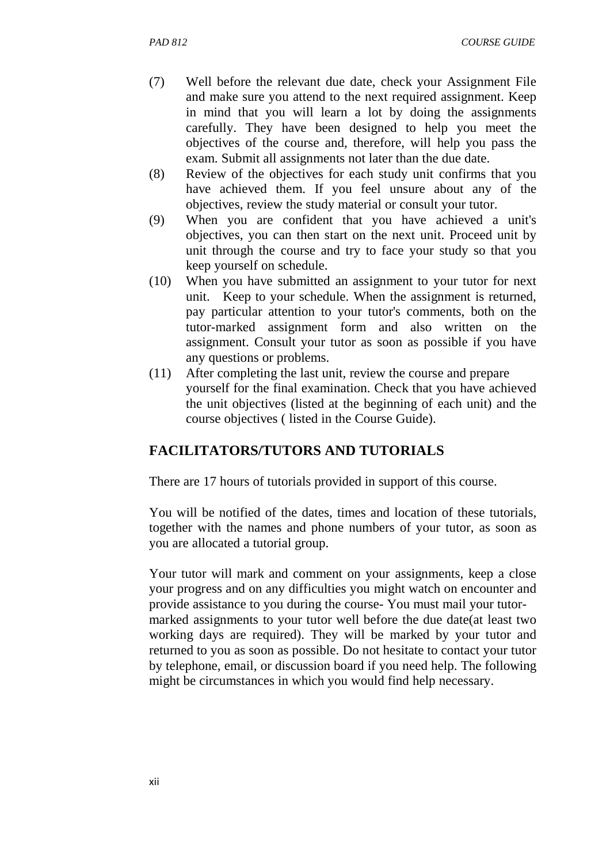- (7) Well before the relevant due date, check your Assignment File and make sure you attend to the next required assignment. Keep in mind that you will learn a lot by doing the assignments carefully. They have been designed to help you meet the objectives of the course and, therefore, will help you pass the exam. Submit all assignments not later than the due date.
- (8) Review of the objectives for each study unit confirms that you have achieved them. If you feel unsure about any of the objectives, review the study material or consult your tutor.
- (9) When you are confident that you have achieved a unit's objectives, you can then start on the next unit. Proceed unit by unit through the course and try to face your study so that you keep yourself on schedule.
- (10) When you have submitted an assignment to your tutor for next unit. Keep to your schedule. When the assignment is returned, pay particular attention to your tutor's comments, both on the tutor-marked assignment form and also written on the assignment. Consult your tutor as soon as possible if you have any questions or problems.
- (11) After completing the last unit, review the course and prepare yourself for the final examination. Check that you have achieved the unit objectives (listed at the beginning of each unit) and the course objectives ( listed in the Course Guide).

#### **FACILITATORS/TUTORS AND TUTORIALS**

There are 17 hours of tutorials provided in support of this course.

You will be notified of the dates, times and location of these tutorials, together with the names and phone numbers of your tutor, as soon as you are allocated a tutorial group.

Your tutor will mark and comment on your assignments, keep a close your progress and on any difficulties you might watch on encounter and provide assistance to you during the course- You must mail your tutormarked assignments to your tutor well before the due date(at least two working days are required). They will be marked by your tutor and returned to you as soon as possible. Do not hesitate to contact your tutor by telephone, email, or discussion board if you need help. The following might be circumstances in which you would find help necessary.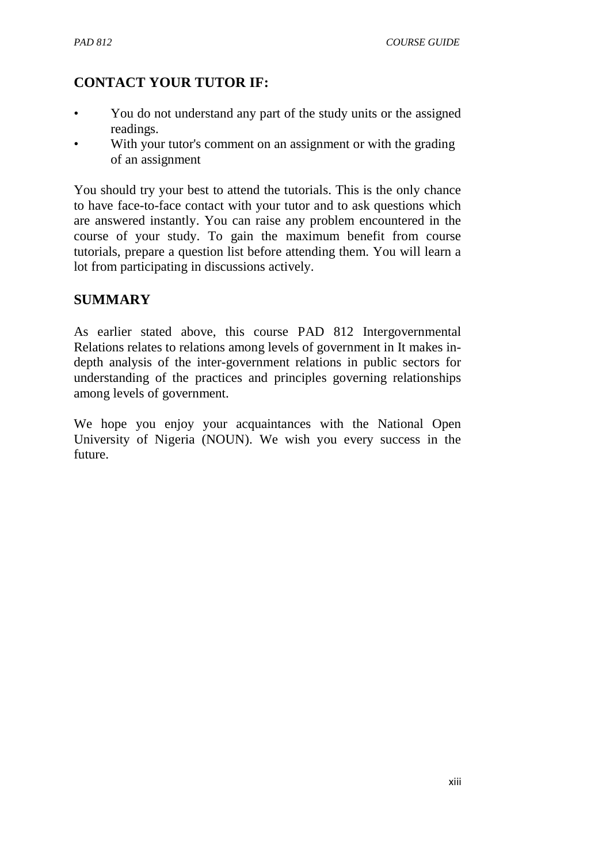## **CONTACT YOUR TUTOR IF:**

- You do not understand any part of the study units or the assigned readings.
- With your tutor's comment on an assignment or with the grading of an assignment

You should try your best to attend the tutorials. This is the only chance to have face-to-face contact with your tutor and to ask questions which are answered instantly. You can raise any problem encountered in the course of your study. To gain the maximum benefit from course tutorials, prepare a question list before attending them. You will learn a lot from participating in discussions actively.

### **SUMMARY**

As earlier stated above, this course PAD 812 Intergovernmental Relations relates to relations among levels of government in It makes indepth analysis of the inter-government relations in public sectors for understanding of the practices and principles governing relationships among levels of government.

We hope you enjoy your acquaintances with the National Open University of Nigeria (NOUN). We wish you every success in the future.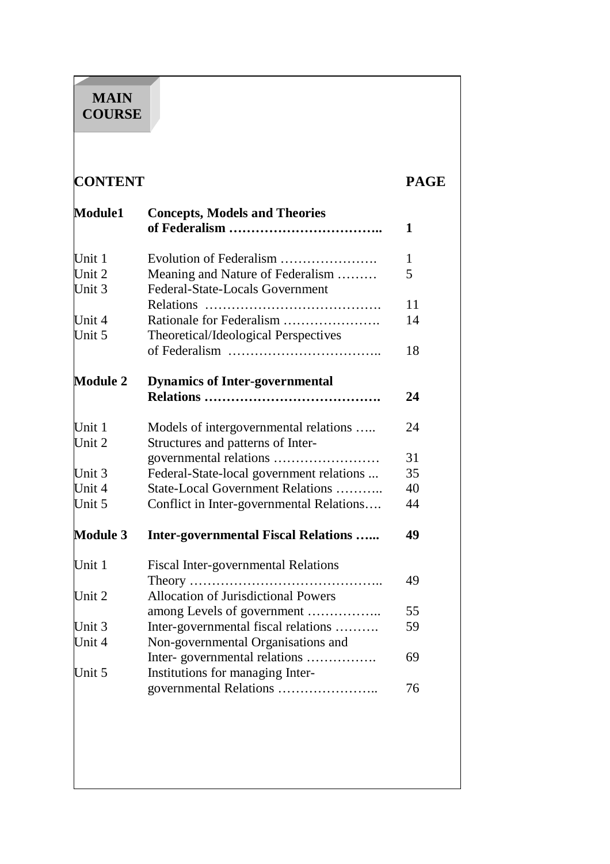## **MAIN COURSE**

# **CONTENT PAGE Module1 Concepts, Models and Theories of Federalism …………………………….. 1**  Unit 1 Evolution of Federalism …………………. 1 Unit 2 Meaning and Nature of Federalism ……… 5 Unit 3 Federal-State-Locals Government Relations …………………………………. 11 Unit 4 Rationale for Federalism …………………. 14 Unit 5 Theoretical/Ideological Perspectives of Federalism …………………………….. 18 **Module 2 Dynamics of Inter-governmental Relations …………………………………. 24**  Unit 1 Models of intergovernmental relations ..... 24 Unit 2 Structures and patterns of Intergovernmental relations …………………… 31 Unit 3 Federal-State-local government relations ... 35 Unit 4 State-Local Government Relations ……….. 40 Unit 5 Conflict in Inter-governmental Relations…. 44 **Module 3 Inter-governmental Fiscal Relations …... 49**  Unit 1 Fiscal Inter-governmental Relations Theory …………………………………….. 49 Unit 2 Allocation of Jurisdictional Powers among Levels of government …………….. 55 Unit 3 Inter-governmental fiscal relations ………. 59 Unit 4 Non-governmental Organisations and Inter- governmental relations ……………. 69 Unit 5 Institutions for managing Intergovernmental Relations ………………….. 76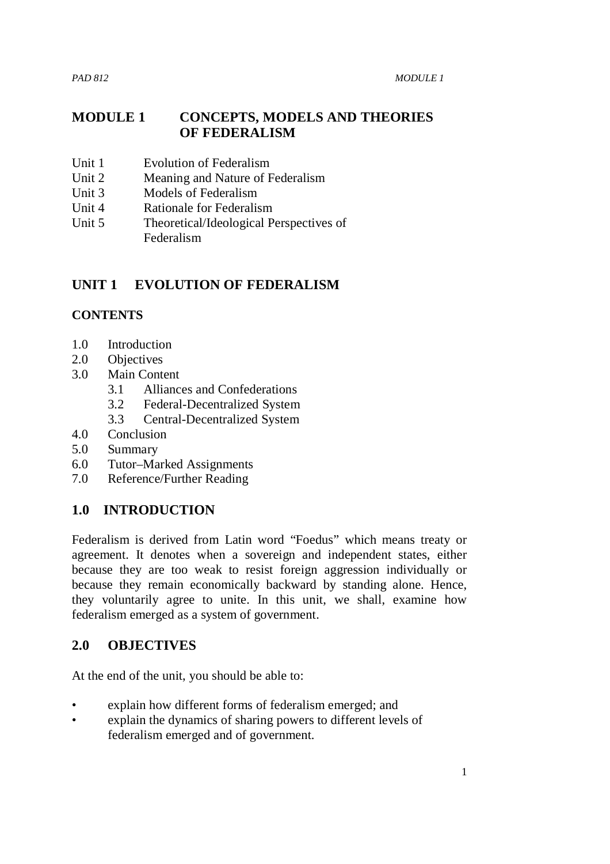## **MODULE 1 CONCEPTS, MODELS AND THEORIES OF FEDERALISM**

- Unit 1 Evolution of Federalism
- Unit 2 Meaning and Nature of Federalism
- Unit 3 Models of Federalism
- Unit 4 Rationale for Federalism
- Unit 5 Theoretical/Ideological Perspectives of Federalism

### **UNIT 1 EVOLUTION OF FEDERALISM**

#### **CONTENTS**

- 1.0 Introduction
- 2.0 Objectives
- 3.0 Main Content
	- 3.1 Alliances and Confederations
	- 3.2 Federal-Decentralized System
	- 3.3 Central-Decentralized System
- 4.0 Conclusion
- 5.0 Summary
- 6.0 Tutor–Marked Assignments
- 7.0 Reference/Further Reading

## **1.0 INTRODUCTION**

Federalism is derived from Latin word "Foedus" which means treaty or agreement. It denotes when a sovereign and independent states, either because they are too weak to resist foreign aggression individually or because they remain economically backward by standing alone. Hence, they voluntarily agree to unite. In this unit, we shall, examine how federalism emerged as a system of government.

#### **2.0 OBJECTIVES**

At the end of the unit, you should be able to:

- explain how different forms of federalism emerged; and
- explain the dynamics of sharing powers to different levels of federalism emerged and of government.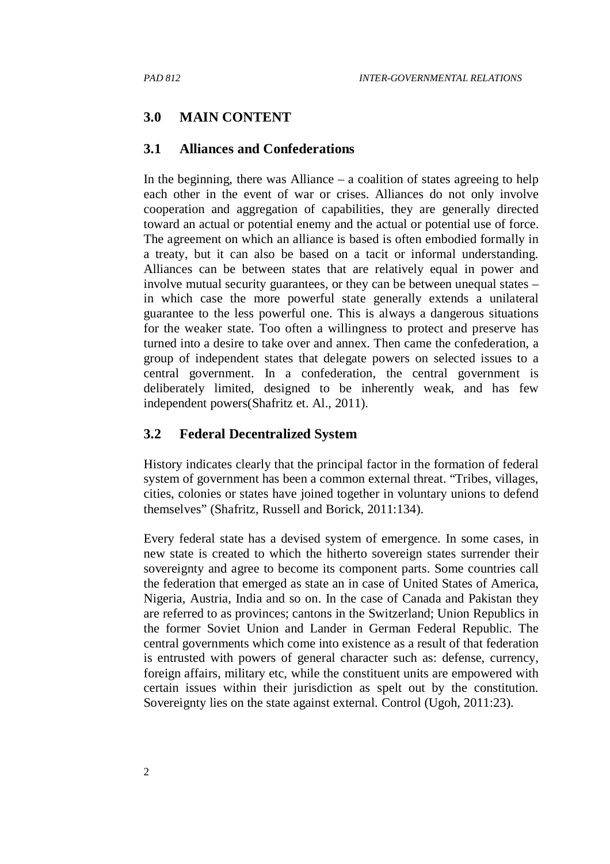#### **3.0 MAIN CONTENT**

#### **3.1 Alliances and Confederations**

In the beginning, there was Alliance  $-$  a coalition of states agreeing to help each other in the event of war or crises. Alliances do not only involve cooperation and aggregation of capabilities, they are generally directed toward an actual or potential enemy and the actual or potential use of force. The agreement on which an alliance is based is often embodied formally in a treaty, but it can also be based on a tacit or informal understanding. Alliances can be between states that are relatively equal in power and involve mutual security guarantees, or they can be between unequal states – in which case the more powerful state generally extends a unilateral guarantee to the less powerful one. This is always a dangerous situations for the weaker state. Too often a willingness to protect and preserve has turned into a desire to take over and annex. Then came the confederation, a group of independent states that delegate powers on selected issues to a central government. In a confederation, the central government is deliberately limited, designed to be inherently weak, and has few independent powers(Shafritz et. Al., 2011).

#### **3.2 Federal Decentralized System**

History indicates clearly that the principal factor in the formation of federal system of government has been a common external threat. "Tribes, villages, cities, colonies or states have joined together in voluntary unions to defend themselves" (Shafritz, Russell and Borick, 2011:134).

Every federal state has a devised system of emergence. In some cases, in new state is created to which the hitherto sovereign states surrender their sovereignty and agree to become its component parts. Some countries call the federation that emerged as state an in case of United States of America, Nigeria, Austria, India and so on. In the case of Canada and Pakistan they are referred to as provinces; cantons in the Switzerland; Union Republics in the former Soviet Union and Lander in German Federal Republic. The central governments which come into existence as a result of that federation is entrusted with powers of general character such as: defense, currency, foreign affairs, military etc, while the constituent units are empowered with certain issues within their jurisdiction as spelt out by the constitution. Sovereignty lies on the state against external. Control (Ugoh, 2011:23).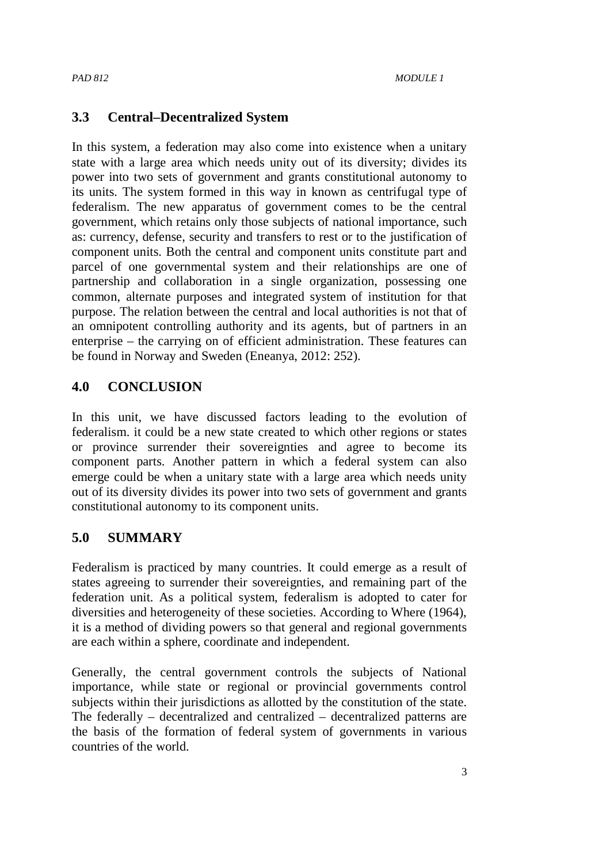#### **3.3 Central–Decentralized System**

In this system, a federation may also come into existence when a unitary state with a large area which needs unity out of its diversity; divides its power into two sets of government and grants constitutional autonomy to its units. The system formed in this way in known as centrifugal type of federalism. The new apparatus of government comes to be the central government, which retains only those subjects of national importance, such as: currency, defense, security and transfers to rest or to the justification of component units. Both the central and component units constitute part and parcel of one governmental system and their relationships are one of partnership and collaboration in a single organization, possessing one common, alternate purposes and integrated system of institution for that purpose. The relation between the central and local authorities is not that of an omnipotent controlling authority and its agents, but of partners in an enterprise – the carrying on of efficient administration. These features can be found in Norway and Sweden (Eneanya, 2012: 252).

## **4.0 CONCLUSION**

In this unit, we have discussed factors leading to the evolution of federalism. it could be a new state created to which other regions or states or province surrender their sovereignties and agree to become its component parts. Another pattern in which a federal system can also emerge could be when a unitary state with a large area which needs unity out of its diversity divides its power into two sets of government and grants constitutional autonomy to its component units.

## **5.0 SUMMARY**

Federalism is practiced by many countries. It could emerge as a result of states agreeing to surrender their sovereignties, and remaining part of the federation unit. As a political system, federalism is adopted to cater for diversities and heterogeneity of these societies. According to Where (1964), it is a method of dividing powers so that general and regional governments are each within a sphere, coordinate and independent.

Generally, the central government controls the subjects of National importance, while state or regional or provincial governments control subjects within their jurisdictions as allotted by the constitution of the state. The federally – decentralized and centralized – decentralized patterns are the basis of the formation of federal system of governments in various countries of the world.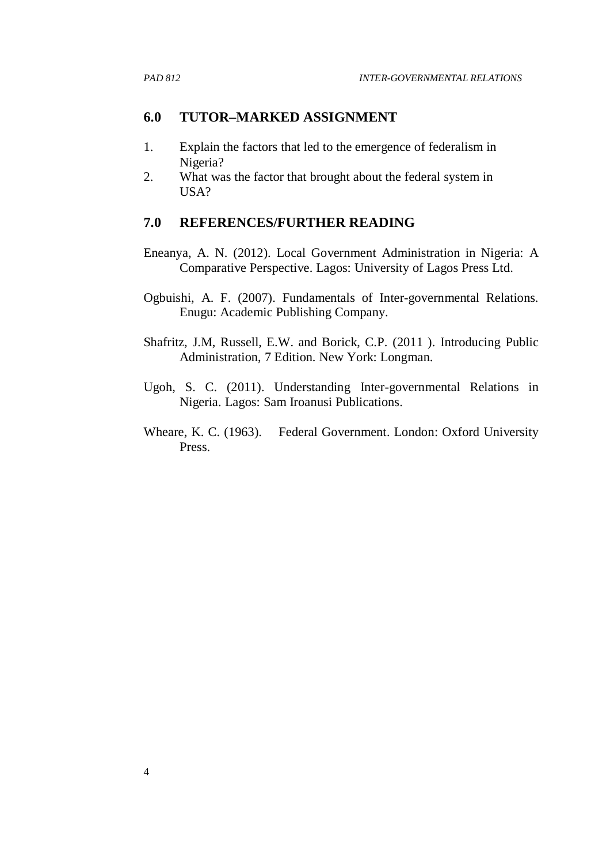#### **6.0 TUTOR–MARKED ASSIGNMENT**

- 1. Explain the factors that led to the emergence of federalism in Nigeria?
- 2. What was the factor that brought about the federal system in USA?

#### **7.0 REFERENCES/FURTHER READING**

- Eneanya, A. N. (2012). Local Government Administration in Nigeria: A Comparative Perspective. Lagos: University of Lagos Press Ltd.
- Ogbuishi, A. F. (2007). Fundamentals of Inter-governmental Relations. Enugu: Academic Publishing Company.
- Shafritz, J.M, Russell, E.W. and Borick, C.P. (2011 ). Introducing Public Administration, 7 Edition. New York: Longman.
- Ugoh, S. C. (2011). Understanding Inter-governmental Relations in Nigeria. Lagos: Sam Iroanusi Publications.
- Wheare, K. C. (1963). Federal Government. London: Oxford University Press.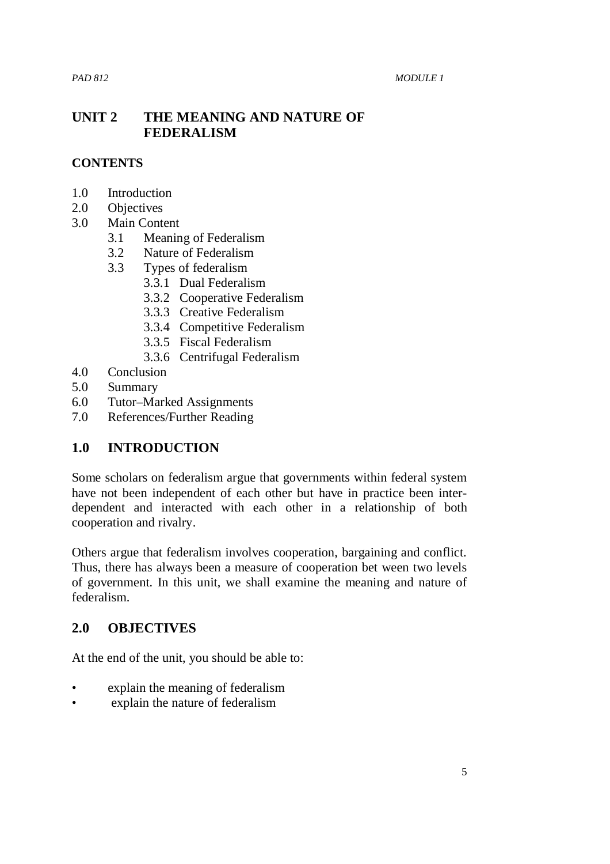## **UNIT 2 THE MEANING AND NATURE OF FEDERALISM**

#### **CONTENTS**

- 1.0 Introduction
- 2.0 Objectives
- 3.0 Main Content
	- 3.1 Meaning of Federalism
	- 3.2 Nature of Federalism
	- 3.3 Types of federalism
		- 3.3.1 Dual Federalism
		- 3.3.2 Cooperative Federalism
		- 3.3.3 Creative Federalism
		- 3.3.4 Competitive Federalism
		- 3.3.5 Fiscal Federalism
		- 3.3.6 Centrifugal Federalism
- 4.0 Conclusion
- 5.0 Summary
- 6.0 Tutor–Marked Assignments
- 7.0 References/Further Reading

## **1.0 INTRODUCTION**

Some scholars on federalism argue that governments within federal system have not been independent of each other but have in practice been interdependent and interacted with each other in a relationship of both cooperation and rivalry.

Others argue that federalism involves cooperation, bargaining and conflict. Thus, there has always been a measure of cooperation bet ween two levels of government. In this unit, we shall examine the meaning and nature of federalism.

#### **2.0 OBJECTIVES**

At the end of the unit, you should be able to:

- explain the meaning of federalism
- explain the nature of federalism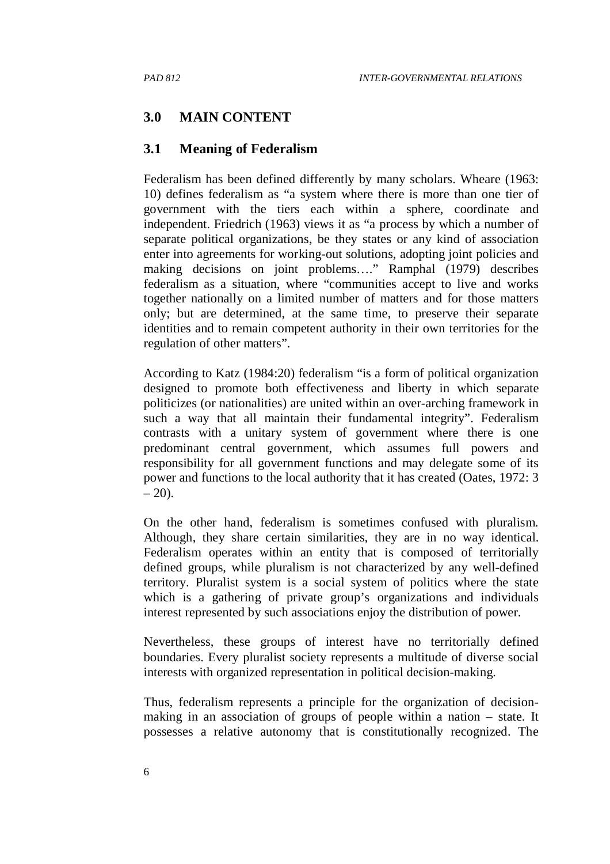#### **3.0 MAIN CONTENT**

#### **3.1 Meaning of Federalism**

Federalism has been defined differently by many scholars. Wheare (1963: 10) defines federalism as "a system where there is more than one tier of government with the tiers each within a sphere, coordinate and independent. Friedrich (1963) views it as "a process by which a number of separate political organizations, be they states or any kind of association enter into agreements for working-out solutions, adopting joint policies and making decisions on joint problems…." Ramphal (1979) describes federalism as a situation, where "communities accept to live and works together nationally on a limited number of matters and for those matters only; but are determined, at the same time, to preserve their separate identities and to remain competent authority in their own territories for the regulation of other matters".

According to Katz (1984:20) federalism "is a form of political organization designed to promote both effectiveness and liberty in which separate politicizes (or nationalities) are united within an over-arching framework in such a way that all maintain their fundamental integrity". Federalism contrasts with a unitary system of government where there is one predominant central government, which assumes full powers and responsibility for all government functions and may delegate some of its power and functions to the local authority that it has created (Oates, 1972: 3  $-20$ ).

On the other hand, federalism is sometimes confused with pluralism. Although, they share certain similarities, they are in no way identical. Federalism operates within an entity that is composed of territorially defined groups, while pluralism is not characterized by any well-defined territory. Pluralist system is a social system of politics where the state which is a gathering of private group's organizations and individuals interest represented by such associations enjoy the distribution of power.

Nevertheless, these groups of interest have no territorially defined boundaries. Every pluralist society represents a multitude of diverse social interests with organized representation in political decision-making.

Thus, federalism represents a principle for the organization of decisionmaking in an association of groups of people within a nation – state. It possesses a relative autonomy that is constitutionally recognized. The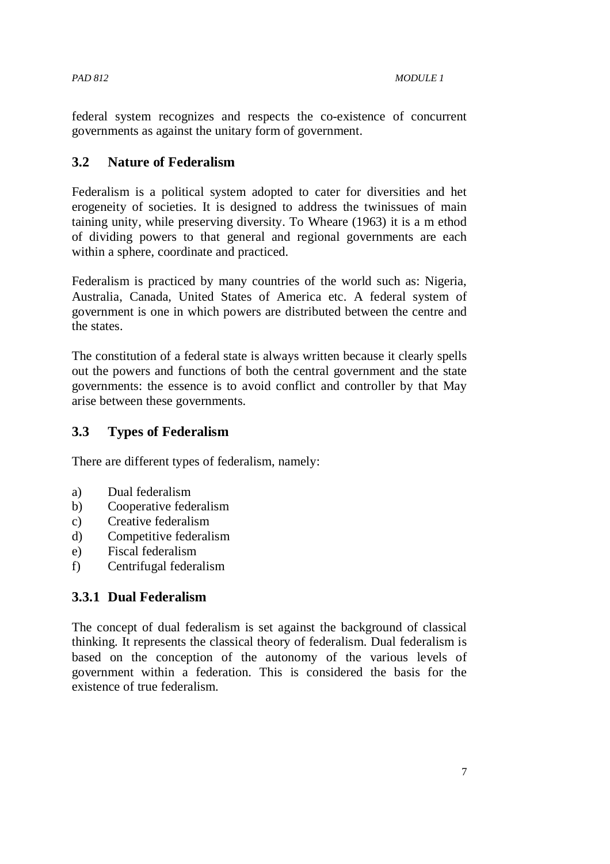federal system recognizes and respects the co-existence of concurrent governments as against the unitary form of government.

#### **3.2 Nature of Federalism**

Federalism is a political system adopted to cater for diversities and het erogeneity of societies. It is designed to address the twinissues of main taining unity, while preserving diversity. To Wheare (1963) it is a m ethod of dividing powers to that general and regional governments are each within a sphere, coordinate and practiced.

Federalism is practiced by many countries of the world such as: Nigeria, Australia, Canada, United States of America etc. A federal system of government is one in which powers are distributed between the centre and the states.

The constitution of a federal state is always written because it clearly spells out the powers and functions of both the central government and the state governments: the essence is to avoid conflict and controller by that May arise between these governments.

#### **3.3 Types of Federalism**

There are different types of federalism, namely:

- a) Dual federalism
- b) Cooperative federalism
- c) Creative federalism
- d) Competitive federalism
- e) Fiscal federalism
- f) Centrifugal federalism

## **3.3.1 Dual Federalism**

The concept of dual federalism is set against the background of classical thinking. It represents the classical theory of federalism. Dual federalism is based on the conception of the autonomy of the various levels of government within a federation. This is considered the basis for the existence of true federalism.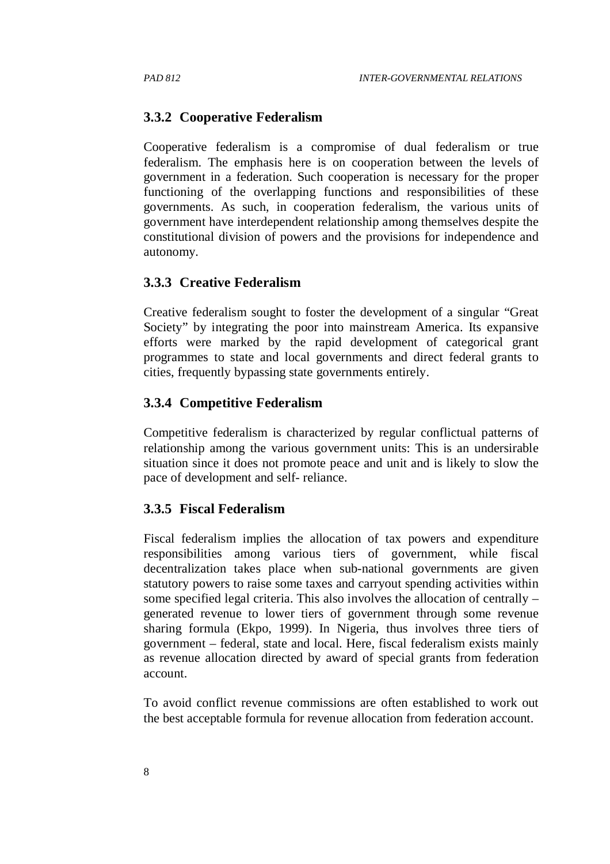#### **3.3.2 Cooperative Federalism**

Cooperative federalism is a compromise of dual federalism or true federalism. The emphasis here is on cooperation between the levels of government in a federation. Such cooperation is necessary for the proper functioning of the overlapping functions and responsibilities of these governments. As such, in cooperation federalism, the various units of government have interdependent relationship among themselves despite the constitutional division of powers and the provisions for independence and autonomy.

#### **3.3.3 Creative Federalism**

Creative federalism sought to foster the development of a singular "Great Society" by integrating the poor into mainstream America. Its expansive efforts were marked by the rapid development of categorical grant programmes to state and local governments and direct federal grants to cities, frequently bypassing state governments entirely.

#### **3.3.4 Competitive Federalism**

Competitive federalism is characterized by regular conflictual patterns of relationship among the various government units: This is an undersirable situation since it does not promote peace and unit and is likely to slow the pace of development and self- reliance.

#### **3.3.5 Fiscal Federalism**

Fiscal federalism implies the allocation of tax powers and expenditure responsibilities among various tiers of government, while fiscal decentralization takes place when sub-national governments are given statutory powers to raise some taxes and carryout spending activities within some specified legal criteria. This also involves the allocation of centrally – generated revenue to lower tiers of government through some revenue sharing formula (Ekpo, 1999). In Nigeria, thus involves three tiers of government – federal, state and local. Here, fiscal federalism exists mainly as revenue allocation directed by award of special grants from federation account.

To avoid conflict revenue commissions are often established to work out the best acceptable formula for revenue allocation from federation account.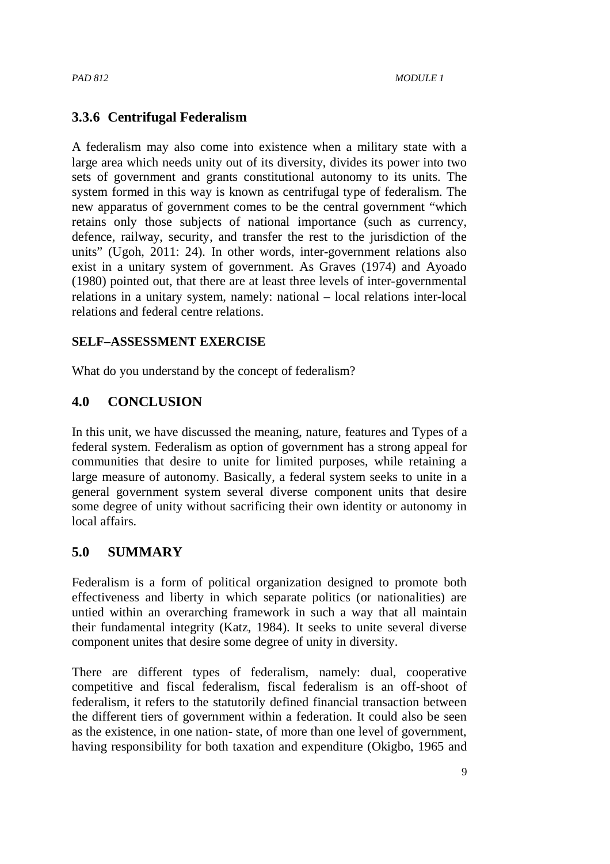## **3.3.6 Centrifugal Federalism**

A federalism may also come into existence when a military state with a large area which needs unity out of its diversity, divides its power into two sets of government and grants constitutional autonomy to its units. The system formed in this way is known as centrifugal type of federalism. The new apparatus of government comes to be the central government "which retains only those subjects of national importance (such as currency, defence, railway, security, and transfer the rest to the jurisdiction of the units" (Ugoh, 2011: 24). In other words, inter-government relations also exist in a unitary system of government. As Graves (1974) and Ayoado (1980) pointed out, that there are at least three levels of inter-governmental relations in a unitary system, namely: national – local relations inter-local relations and federal centre relations.

#### **SELF–ASSESSMENT EXERCISE**

What do you understand by the concept of federalism?

### **4.0 CONCLUSION**

In this unit, we have discussed the meaning, nature, features and Types of a federal system. Federalism as option of government has a strong appeal for communities that desire to unite for limited purposes, while retaining a large measure of autonomy. Basically, a federal system seeks to unite in a general government system several diverse component units that desire some degree of unity without sacrificing their own identity or autonomy in local affairs.

## **5.0 SUMMARY**

Federalism is a form of political organization designed to promote both effectiveness and liberty in which separate politics (or nationalities) are untied within an overarching framework in such a way that all maintain their fundamental integrity (Katz, 1984). It seeks to unite several diverse component unites that desire some degree of unity in diversity.

There are different types of federalism, namely: dual, cooperative competitive and fiscal federalism, fiscal federalism is an off-shoot of federalism, it refers to the statutorily defined financial transaction between the different tiers of government within a federation. It could also be seen as the existence, in one nation- state, of more than one level of government, having responsibility for both taxation and expenditure (Okigbo, 1965 and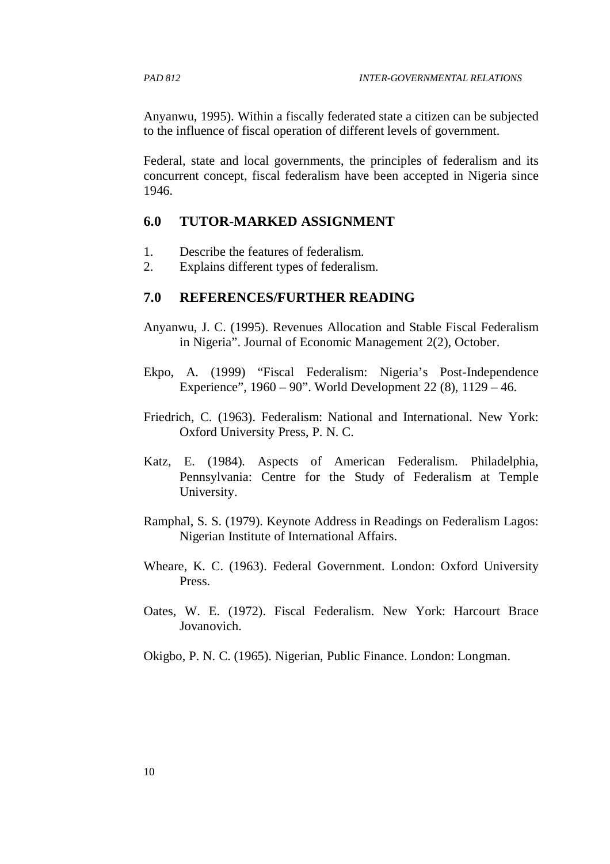Anyanwu, 1995). Within a fiscally federated state a citizen can be subjected to the influence of fiscal operation of different levels of government.

Federal, state and local governments, the principles of federalism and its concurrent concept, fiscal federalism have been accepted in Nigeria since 1946.

#### **6.0 TUTOR-MARKED ASSIGNMENT**

- 1. Describe the features of federalism.
- 2. Explains different types of federalism.

#### **7.0 REFERENCES/FURTHER READING**

- Anyanwu, J. C. (1995). Revenues Allocation and Stable Fiscal Federalism in Nigeria". Journal of Economic Management 2(2), October.
- Ekpo, A. (1999) "Fiscal Federalism: Nigeria's Post-Independence Experience", 1960 – 90". World Development 22 (8), 1129 – 46.
- Friedrich, C. (1963). Federalism: National and International. New York: Oxford University Press, P. N. C.
- Katz, E. (1984). Aspects of American Federalism. Philadelphia, Pennsylvania: Centre for the Study of Federalism at Temple University.
- Ramphal, S. S. (1979). Keynote Address in Readings on Federalism Lagos: Nigerian Institute of International Affairs.
- Wheare, K. C. (1963). Federal Government. London: Oxford University Press.
- Oates, W. E. (1972). Fiscal Federalism. New York: Harcourt Brace Jovanovich.
- Okigbo, P. N. C. (1965). Nigerian, Public Finance. London: Longman.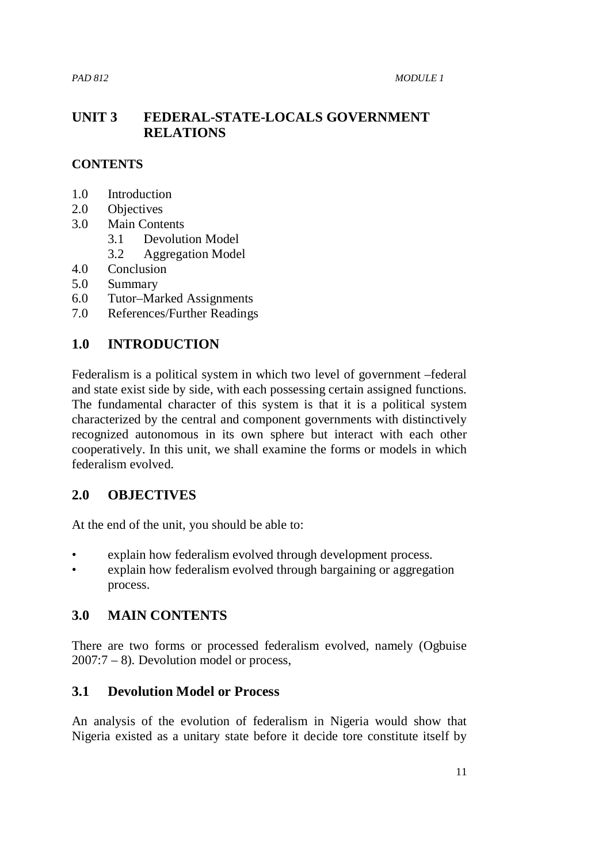## **UNIT 3 FEDERAL-STATE-LOCALS GOVERNMENT RELATIONS**

#### **CONTENTS**

- 1.0 Introduction
- 2.0 Objectives
- 3.0 Main Contents
	- 3.1 Devolution Model
	- 3.2 Aggregation Model
- 4.0 Conclusion
- 5.0 Summary
- 6.0 Tutor–Marked Assignments
- 7.0 References/Further Readings

### **1.0 INTRODUCTION**

Federalism is a political system in which two level of government –federal and state exist side by side, with each possessing certain assigned functions. The fundamental character of this system is that it is a political system characterized by the central and component governments with distinctively recognized autonomous in its own sphere but interact with each other cooperatively. In this unit, we shall examine the forms or models in which federalism evolved.

#### **2.0 OBJECTIVES**

At the end of the unit, you should be able to:

- explain how federalism evolved through development process.
- explain how federalism evolved through bargaining or aggregation process.

#### **3.0 MAIN CONTENTS**

There are two forms or processed federalism evolved, namely (Ogbuise  $2007:7 - 8$ ). Devolution model or process,

#### **3.1 Devolution Model or Process**

An analysis of the evolution of federalism in Nigeria would show that Nigeria existed as a unitary state before it decide tore constitute itself by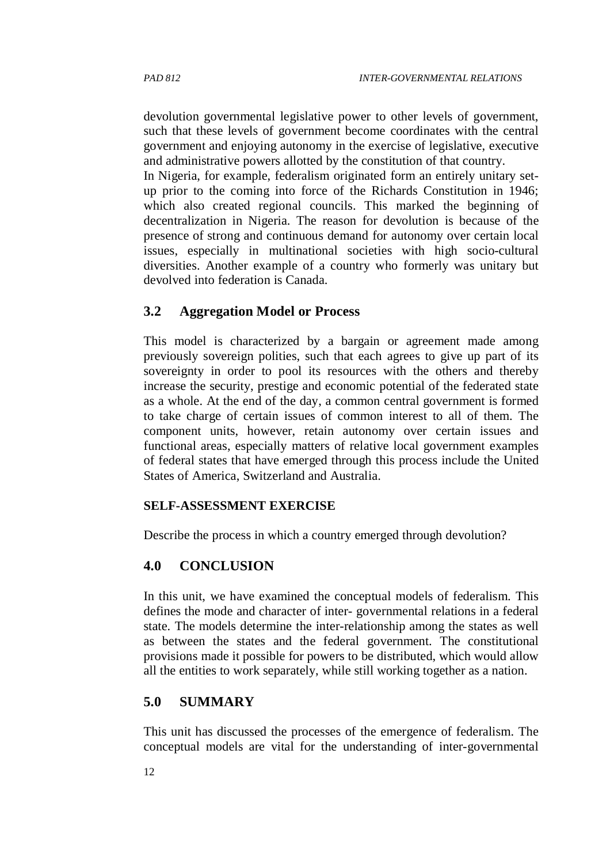devolution governmental legislative power to other levels of government, such that these levels of government become coordinates with the central government and enjoying autonomy in the exercise of legislative, executive and administrative powers allotted by the constitution of that country.

In Nigeria, for example, federalism originated form an entirely unitary setup prior to the coming into force of the Richards Constitution in 1946; which also created regional councils. This marked the beginning of decentralization in Nigeria. The reason for devolution is because of the presence of strong and continuous demand for autonomy over certain local issues, especially in multinational societies with high socio-cultural diversities. Another example of a country who formerly was unitary but devolved into federation is Canada.

### **3.2 Aggregation Model or Process**

This model is characterized by a bargain or agreement made among previously sovereign polities, such that each agrees to give up part of its sovereignty in order to pool its resources with the others and thereby increase the security, prestige and economic potential of the federated state as a whole. At the end of the day, a common central government is formed to take charge of certain issues of common interest to all of them. The component units, however, retain autonomy over certain issues and functional areas, especially matters of relative local government examples of federal states that have emerged through this process include the United States of America, Switzerland and Australia.

#### **SELF-ASSESSMENT EXERCISE**

Describe the process in which a country emerged through devolution?

#### **4.0 CONCLUSION**

In this unit, we have examined the conceptual models of federalism. This defines the mode and character of inter- governmental relations in a federal state. The models determine the inter-relationship among the states as well as between the states and the federal government. The constitutional provisions made it possible for powers to be distributed, which would allow all the entities to work separately, while still working together as a nation.

#### **5.0 SUMMARY**

This unit has discussed the processes of the emergence of federalism. The conceptual models are vital for the understanding of inter-governmental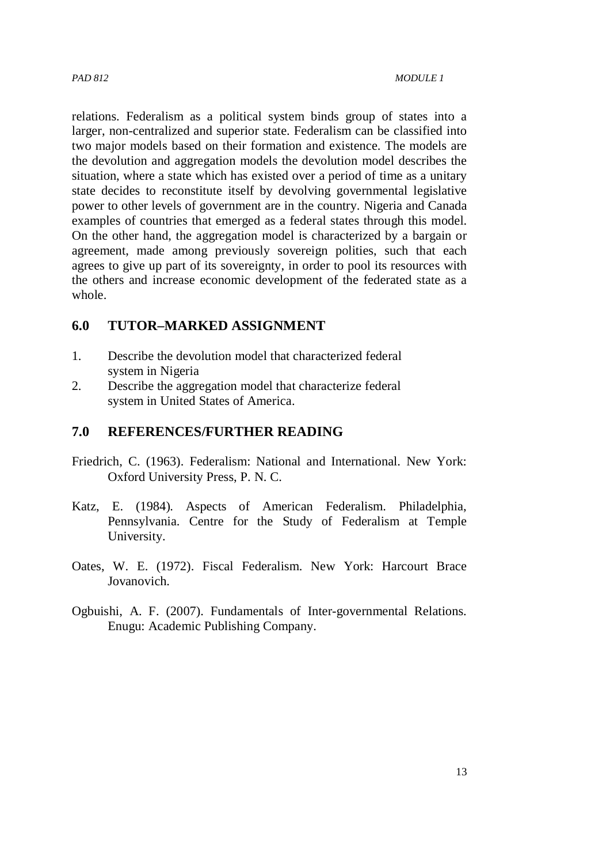relations. Federalism as a political system binds group of states into a larger, non-centralized and superior state. Federalism can be classified into two major models based on their formation and existence. The models are the devolution and aggregation models the devolution model describes the situation, where a state which has existed over a period of time as a unitary state decides to reconstitute itself by devolving governmental legislative power to other levels of government are in the country. Nigeria and Canada examples of countries that emerged as a federal states through this model. On the other hand, the aggregation model is characterized by a bargain or agreement, made among previously sovereign polities, such that each agrees to give up part of its sovereignty, in order to pool its resources with the others and increase economic development of the federated state as a whole.

## **6.0 TUTOR–MARKED ASSIGNMENT**

- 1. Describe the devolution model that characterized federal system in Nigeria
- 2. Describe the aggregation model that characterize federal system in United States of America.

## **7.0 REFERENCES/FURTHER READING**

- Friedrich, C. (1963). Federalism: National and International. New York: Oxford University Press, P. N. C.
- Katz, E. (1984). Aspects of American Federalism. Philadelphia, Pennsylvania. Centre for the Study of Federalism at Temple University.
- Oates, W. E. (1972). Fiscal Federalism. New York: Harcourt Brace Jovanovich.
- Ogbuishi, A. F. (2007). Fundamentals of Inter-governmental Relations. Enugu: Academic Publishing Company.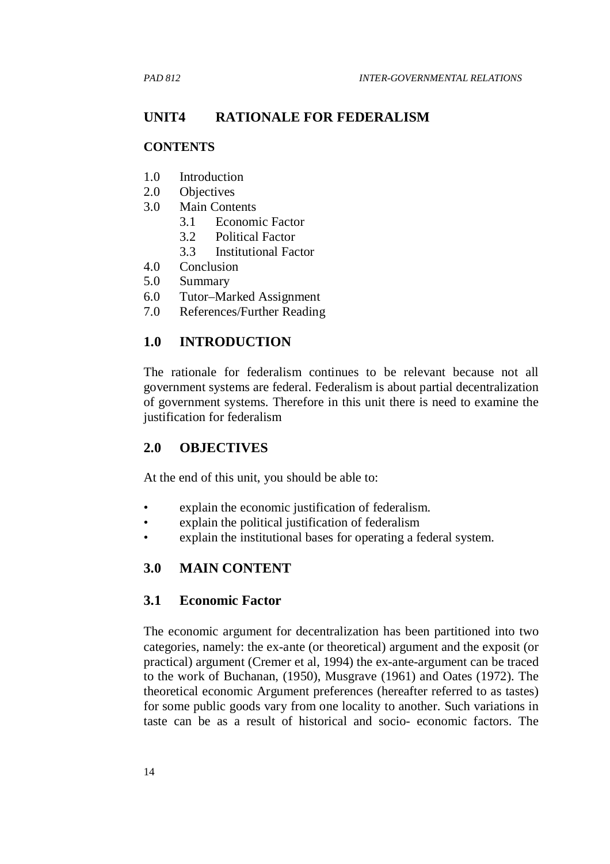## **UNIT4 RATIONALE FOR FEDERALISM**

#### **CONTENTS**

- 1.0 Introduction
- 2.0 Objectives
- 3.0 Main Contents
	- 3.1 Economic Factor
	- 3.2 Political Factor
	- 3.3 Institutional Factor
- 4.0 Conclusion
- 5.0 Summary
- 6.0 Tutor–Marked Assignment
- 7.0 References/Further Reading

## **1.0 INTRODUCTION**

The rationale for federalism continues to be relevant because not all government systems are federal. Federalism is about partial decentralization of government systems. Therefore in this unit there is need to examine the justification for federalism

#### **2.0 OBJECTIVES**

At the end of this unit, you should be able to:

- explain the economic justification of federalism.
- explain the political justification of federalism
- explain the institutional bases for operating a federal system.

#### **3.0 MAIN CONTENT**

#### **3.1 Economic Factor**

The economic argument for decentralization has been partitioned into two categories, namely: the ex-ante (or theoretical) argument and the exposit (or practical) argument (Cremer et al, 1994) the ex-ante-argument can be traced to the work of Buchanan, (1950), Musgrave (1961) and Oates (1972). The theoretical economic Argument preferences (hereafter referred to as tastes) for some public goods vary from one locality to another. Such variations in taste can be as a result of historical and socio- economic factors. The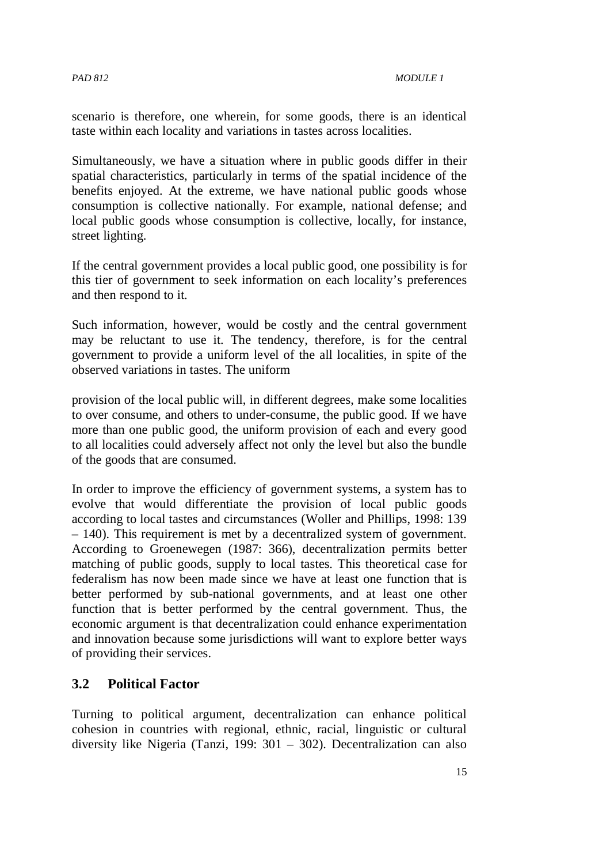scenario is therefore, one wherein, for some goods, there is an identical taste within each locality and variations in tastes across localities.

Simultaneously, we have a situation where in public goods differ in their spatial characteristics, particularly in terms of the spatial incidence of the benefits enjoyed. At the extreme, we have national public goods whose consumption is collective nationally. For example, national defense; and local public goods whose consumption is collective, locally, for instance, street lighting.

If the central government provides a local public good, one possibility is for this tier of government to seek information on each locality's preferences and then respond to it.

Such information, however, would be costly and the central government may be reluctant to use it. The tendency, therefore, is for the central government to provide a uniform level of the all localities, in spite of the observed variations in tastes. The uniform

provision of the local public will, in different degrees, make some localities to over consume, and others to under-consume, the public good. If we have more than one public good, the uniform provision of each and every good to all localities could adversely affect not only the level but also the bundle of the goods that are consumed.

In order to improve the efficiency of government systems, a system has to evolve that would differentiate the provision of local public goods according to local tastes and circumstances (Woller and Phillips, 1998: 139 – 140). This requirement is met by a decentralized system of government. According to Groenewegen (1987: 366), decentralization permits better matching of public goods, supply to local tastes. This theoretical case for federalism has now been made since we have at least one function that is better performed by sub-national governments, and at least one other function that is better performed by the central government. Thus, the economic argument is that decentralization could enhance experimentation and innovation because some jurisdictions will want to explore better ways of providing their services.

#### **3.2 Political Factor**

Turning to political argument, decentralization can enhance political cohesion in countries with regional, ethnic, racial, linguistic or cultural diversity like Nigeria (Tanzi, 199: 301 – 302). Decentralization can also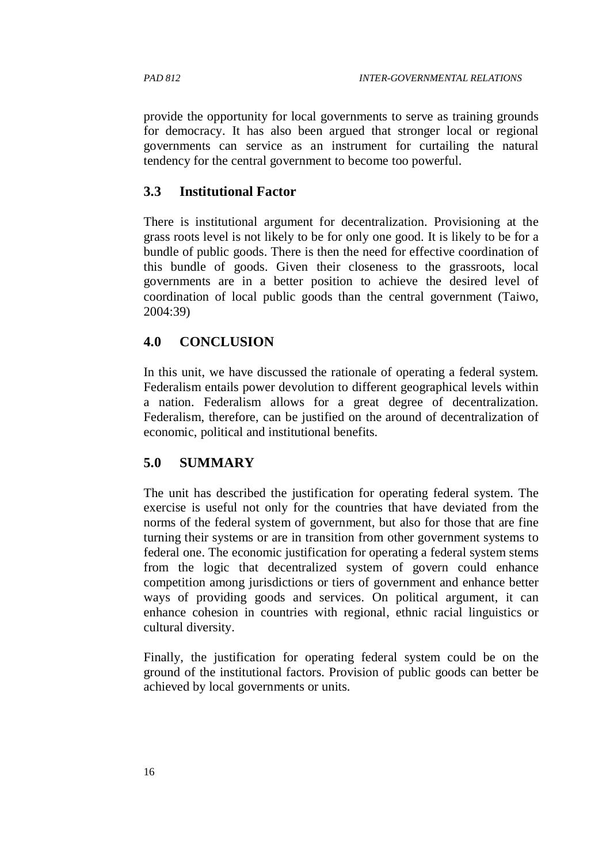provide the opportunity for local governments to serve as training grounds for democracy. It has also been argued that stronger local or regional governments can service as an instrument for curtailing the natural tendency for the central government to become too powerful.

#### **3.3 Institutional Factor**

There is institutional argument for decentralization. Provisioning at the grass roots level is not likely to be for only one good. It is likely to be for a bundle of public goods. There is then the need for effective coordination of this bundle of goods. Given their closeness to the grassroots, local governments are in a better position to achieve the desired level of coordination of local public goods than the central government (Taiwo, 2004:39)

### **4.0 CONCLUSION**

In this unit, we have discussed the rationale of operating a federal system. Federalism entails power devolution to different geographical levels within a nation. Federalism allows for a great degree of decentralization. Federalism, therefore, can be justified on the around of decentralization of economic, political and institutional benefits.

#### **5.0 SUMMARY**

The unit has described the justification for operating federal system. The exercise is useful not only for the countries that have deviated from the norms of the federal system of government, but also for those that are fine turning their systems or are in transition from other government systems to federal one. The economic justification for operating a federal system stems from the logic that decentralized system of govern could enhance competition among jurisdictions or tiers of government and enhance better ways of providing goods and services. On political argument, it can enhance cohesion in countries with regional, ethnic racial linguistics or cultural diversity.

Finally, the justification for operating federal system could be on the ground of the institutional factors. Provision of public goods can better be achieved by local governments or units.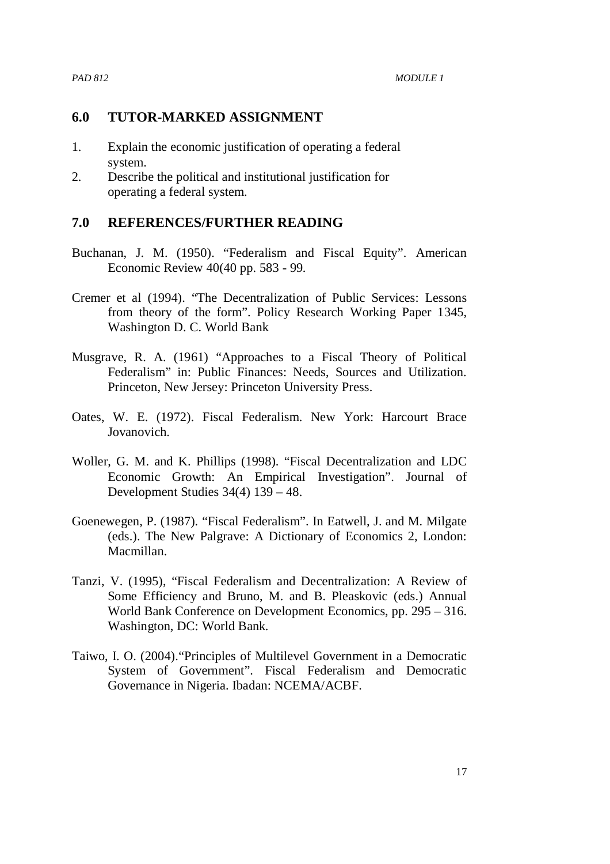#### **6.0 TUTOR-MARKED ASSIGNMENT**

- 1. Explain the economic justification of operating a federal system.
- 2. Describe the political and institutional justification for operating a federal system.

#### **7.0 REFERENCES/FURTHER READING**

- Buchanan, J. M. (1950). "Federalism and Fiscal Equity". American Economic Review 40(40 pp. 583 - 99.
- Cremer et al (1994). "The Decentralization of Public Services: Lessons from theory of the form". Policy Research Working Paper 1345, Washington D. C. World Bank
- Musgrave, R. A. (1961) "Approaches to a Fiscal Theory of Political Federalism" in: Public Finances: Needs, Sources and Utilization. Princeton, New Jersey: Princeton University Press.
- Oates, W. E. (1972). Fiscal Federalism. New York: Harcourt Brace Jovanovich.
- Woller, G. M. and K. Phillips (1998). "Fiscal Decentralization and LDC Economic Growth: An Empirical Investigation". Journal of Development Studies 34(4) 139 – 48.
- Goenewegen, P. (1987). "Fiscal Federalism". In Eatwell, J. and M. Milgate (eds.). The New Palgrave: A Dictionary of Economics 2, London: Macmillan.
- Tanzi, V. (1995), "Fiscal Federalism and Decentralization: A Review of Some Efficiency and Bruno, M. and B. Pleaskovic (eds.) Annual World Bank Conference on Development Economics, pp. 295 – 316. Washington, DC: World Bank.
- Taiwo, I. O. (2004)."Principles of Multilevel Government in a Democratic System of Government". Fiscal Federalism and Democratic Governance in Nigeria. Ibadan: NCEMA/ACBF.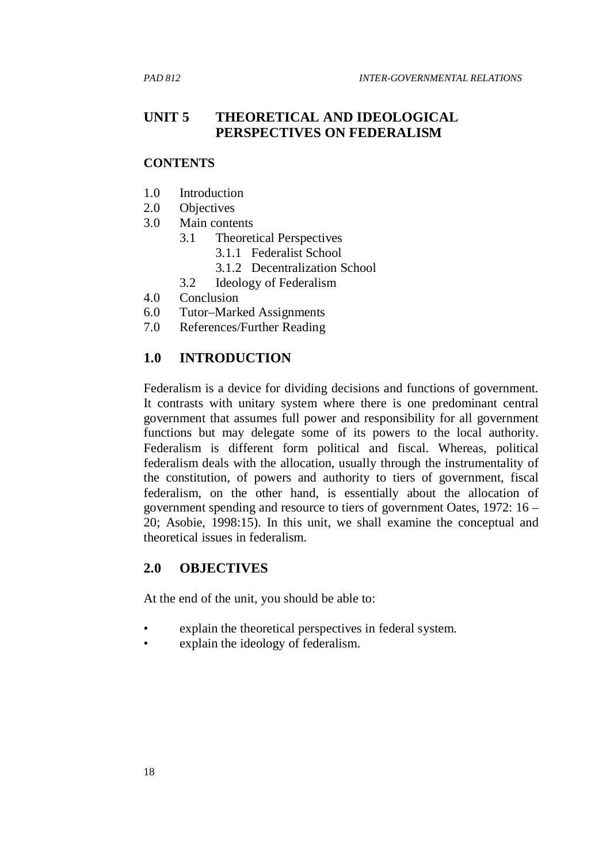## **UNIT 5 THEORETICAL AND IDEOLOGICAL PERSPECTIVES ON FEDERALISM**

#### **CONTENTS**

- 1.0 Introduction
- 2.0 Objectives
- 3.0 Main contents
	- 3.1 Theoretical Perspectives
		- 3.1.1 Federalist School
		- 3.1.2 Decentralization School
	- 3.2 Ideology of Federalism
- 4.0 Conclusion
- 6.0 Tutor–Marked Assignments
- 7.0 References/Further Reading

#### **1.0 INTRODUCTION**

Federalism is a device for dividing decisions and functions of government. It contrasts with unitary system where there is one predominant central government that assumes full power and responsibility for all government functions but may delegate some of its powers to the local authority. Federalism is different form political and fiscal. Whereas, political federalism deals with the allocation, usually through the instrumentality of the constitution, of powers and authority to tiers of government, fiscal federalism, on the other hand, is essentially about the allocation of government spending and resource to tiers of government Oates, 1972: 16 – 20; Asobie, 1998:15). In this unit, we shall examine the conceptual and theoretical issues in federalism.

#### **2.0 OBJECTIVES**

At the end of the unit, you should be able to:

- explain the theoretical perspectives in federal system.
- explain the ideology of federalism.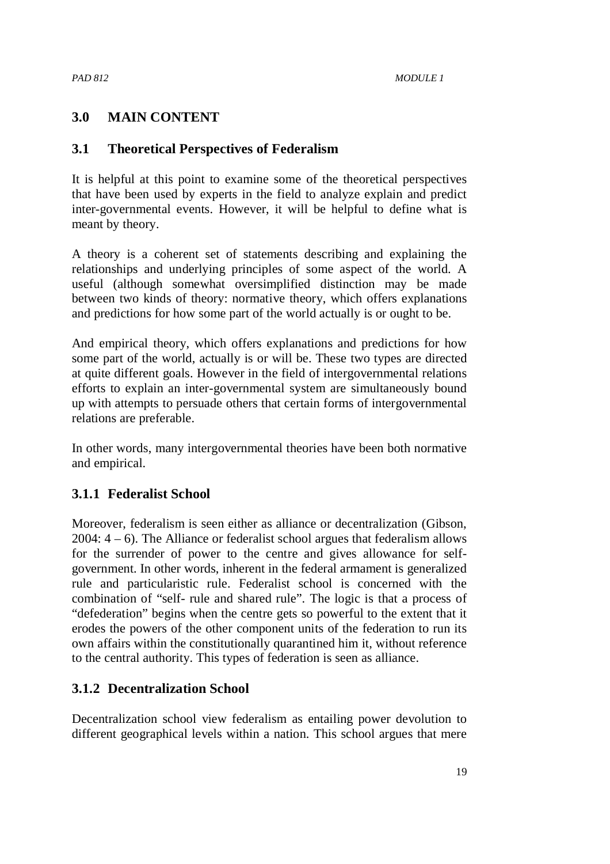## **3.0 MAIN CONTENT**

## **3.1 Theoretical Perspectives of Federalism**

It is helpful at this point to examine some of the theoretical perspectives that have been used by experts in the field to analyze explain and predict inter-governmental events. However, it will be helpful to define what is meant by theory.

A theory is a coherent set of statements describing and explaining the relationships and underlying principles of some aspect of the world. A useful (although somewhat oversimplified distinction may be made between two kinds of theory: normative theory, which offers explanations and predictions for how some part of the world actually is or ought to be.

And empirical theory, which offers explanations and predictions for how some part of the world, actually is or will be. These two types are directed at quite different goals. However in the field of intergovernmental relations efforts to explain an inter-governmental system are simultaneously bound up with attempts to persuade others that certain forms of intergovernmental relations are preferable.

In other words, many intergovernmental theories have been both normative and empirical.

## **3.1.1 Federalist School**

Moreover, federalism is seen either as alliance or decentralization (Gibson,  $2004$ :  $4 - 6$ ). The Alliance or federalist school argues that federalism allows for the surrender of power to the centre and gives allowance for selfgovernment. In other words, inherent in the federal armament is generalized rule and particularistic rule. Federalist school is concerned with the combination of "self- rule and shared rule". The logic is that a process of "defederation" begins when the centre gets so powerful to the extent that it erodes the powers of the other component units of the federation to run its own affairs within the constitutionally quarantined him it, without reference to the central authority. This types of federation is seen as alliance.

#### **3.1.2 Decentralization School**

Decentralization school view federalism as entailing power devolution to different geographical levels within a nation. This school argues that mere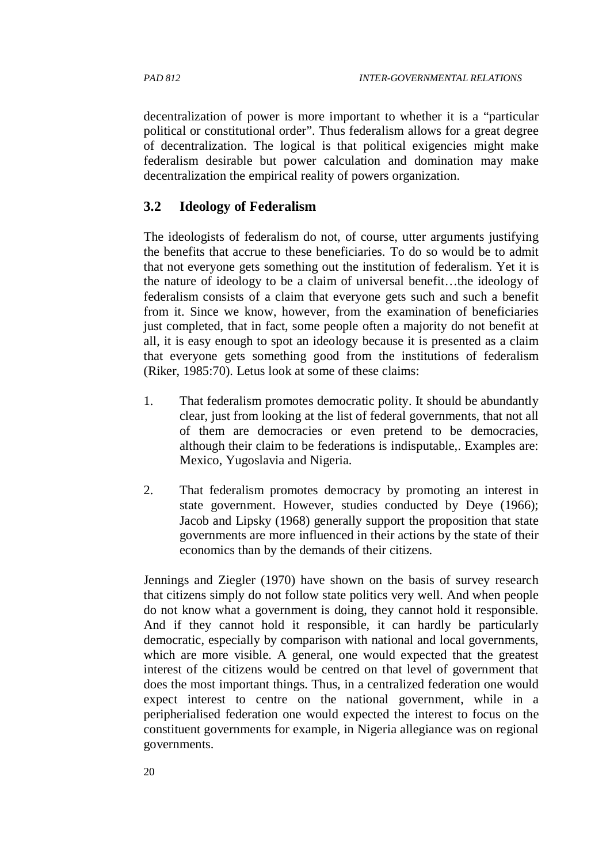decentralization of power is more important to whether it is a "particular political or constitutional order". Thus federalism allows for a great degree of decentralization. The logical is that political exigencies might make federalism desirable but power calculation and domination may make decentralization the empirical reality of powers organization.

#### **3.2 Ideology of Federalism**

The ideologists of federalism do not, of course, utter arguments justifying the benefits that accrue to these beneficiaries. To do so would be to admit that not everyone gets something out the institution of federalism. Yet it is the nature of ideology to be a claim of universal benefit…the ideology of federalism consists of a claim that everyone gets such and such a benefit from it. Since we know, however, from the examination of beneficiaries just completed, that in fact, some people often a majority do not benefit at all, it is easy enough to spot an ideology because it is presented as a claim that everyone gets something good from the institutions of federalism (Riker, 1985:70). Letus look at some of these claims:

- 1. That federalism promotes democratic polity. It should be abundantly clear, just from looking at the list of federal governments, that not all of them are democracies or even pretend to be democracies, although their claim to be federations is indisputable,. Examples are: Mexico, Yugoslavia and Nigeria.
- 2. That federalism promotes democracy by promoting an interest in state government. However, studies conducted by Deye (1966); Jacob and Lipsky (1968) generally support the proposition that state governments are more influenced in their actions by the state of their economics than by the demands of their citizens.

Jennings and Ziegler (1970) have shown on the basis of survey research that citizens simply do not follow state politics very well. And when people do not know what a government is doing, they cannot hold it responsible. And if they cannot hold it responsible, it can hardly be particularly democratic, especially by comparison with national and local governments, which are more visible. A general, one would expected that the greatest interest of the citizens would be centred on that level of government that does the most important things. Thus, in a centralized federation one would expect interest to centre on the national government, while in a peripherialised federation one would expected the interest to focus on the constituent governments for example, in Nigeria allegiance was on regional governments.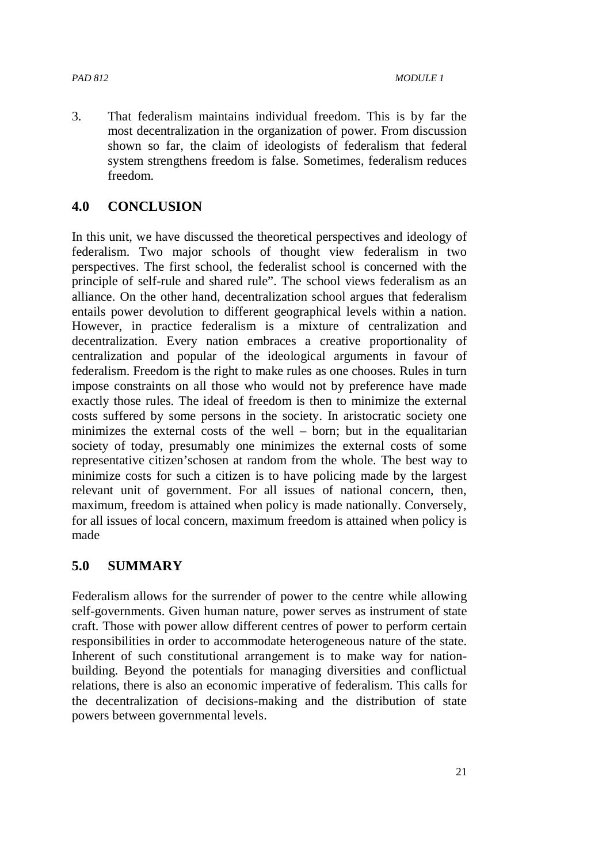3. That federalism maintains individual freedom. This is by far the most decentralization in the organization of power. From discussion shown so far, the claim of ideologists of federalism that federal system strengthens freedom is false. Sometimes, federalism reduces freedom.

#### **4.0 CONCLUSION**

In this unit, we have discussed the theoretical perspectives and ideology of federalism. Two major schools of thought view federalism in two perspectives. The first school, the federalist school is concerned with the principle of self-rule and shared rule". The school views federalism as an alliance. On the other hand, decentralization school argues that federalism entails power devolution to different geographical levels within a nation. However, in practice federalism is a mixture of centralization and decentralization. Every nation embraces a creative proportionality of centralization and popular of the ideological arguments in favour of federalism. Freedom is the right to make rules as one chooses. Rules in turn impose constraints on all those who would not by preference have made exactly those rules. The ideal of freedom is then to minimize the external costs suffered by some persons in the society. In aristocratic society one minimizes the external costs of the well – born; but in the equalitarian society of today, presumably one minimizes the external costs of some representative citizen'schosen at random from the whole. The best way to minimize costs for such a citizen is to have policing made by the largest relevant unit of government. For all issues of national concern, then, maximum, freedom is attained when policy is made nationally. Conversely, for all issues of local concern, maximum freedom is attained when policy is made

#### **5.0 SUMMARY**

Federalism allows for the surrender of power to the centre while allowing self-governments. Given human nature, power serves as instrument of state craft. Those with power allow different centres of power to perform certain responsibilities in order to accommodate heterogeneous nature of the state. Inherent of such constitutional arrangement is to make way for nationbuilding. Beyond the potentials for managing diversities and conflictual relations, there is also an economic imperative of federalism. This calls for the decentralization of decisions-making and the distribution of state powers between governmental levels.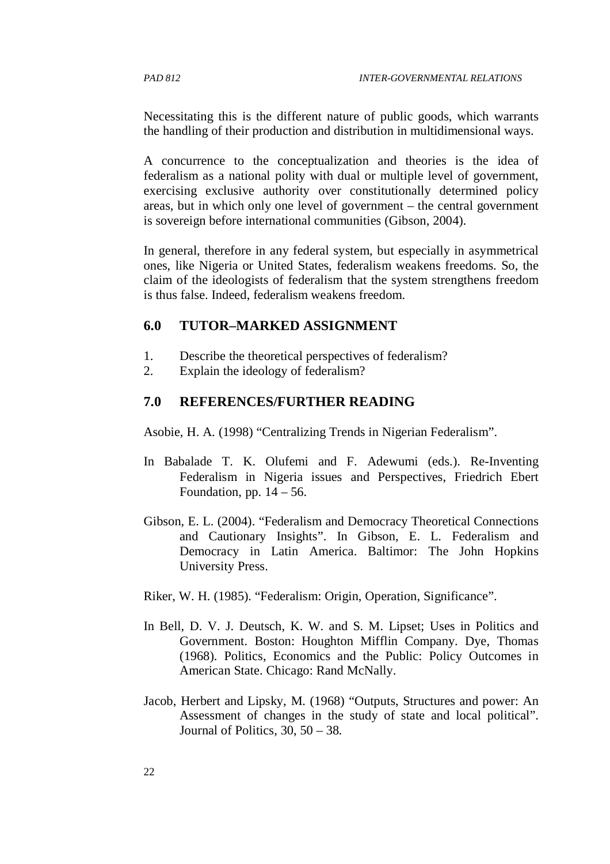Necessitating this is the different nature of public goods, which warrants the handling of their production and distribution in multidimensional ways.

A concurrence to the conceptualization and theories is the idea of federalism as a national polity with dual or multiple level of government, exercising exclusive authority over constitutionally determined policy areas, but in which only one level of government – the central government is sovereign before international communities (Gibson, 2004).

In general, therefore in any federal system, but especially in asymmetrical ones, like Nigeria or United States, federalism weakens freedoms. So, the claim of the ideologists of federalism that the system strengthens freedom is thus false. Indeed, federalism weakens freedom.

#### **6.0 TUTOR–MARKED ASSIGNMENT**

- 1. Describe the theoretical perspectives of federalism?
- 2. Explain the ideology of federalism?

#### **7.0 REFERENCES/FURTHER READING**

Asobie, H. A. (1998) "Centralizing Trends in Nigerian Federalism".

- In Babalade T. K. Olufemi and F. Adewumi (eds.). Re-Inventing Federalism in Nigeria issues and Perspectives, Friedrich Ebert Foundation, pp.  $14 - 56$ .
- Gibson, E. L. (2004). "Federalism and Democracy Theoretical Connections and Cautionary Insights". In Gibson, E. L. Federalism and Democracy in Latin America. Baltimor: The John Hopkins University Press.
- Riker, W. H. (1985). "Federalism: Origin, Operation, Significance".
- In Bell, D. V. J. Deutsch, K. W. and S. M. Lipset; Uses in Politics and Government. Boston: Houghton Mifflin Company. Dye, Thomas (1968). Politics, Economics and the Public: Policy Outcomes in American State. Chicago: Rand McNally.
- Jacob, Herbert and Lipsky, M. (1968) "Outputs, Structures and power: An Assessment of changes in the study of state and local political". Journal of Politics,  $30, 50 - 38$ .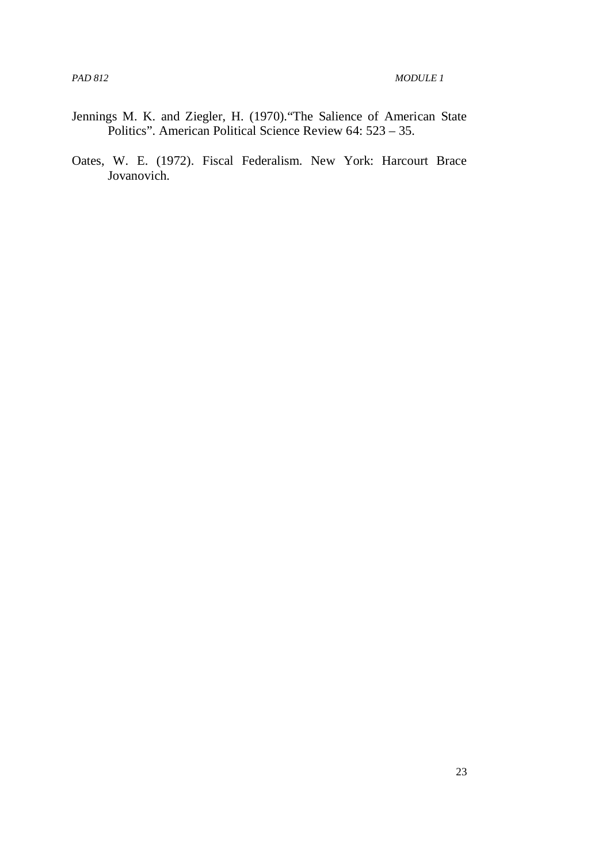- Jennings M. K. and Ziegler, H. (1970)."The Salience of American State Politics". American Political Science Review 64: 523 – 35.
- Oates, W. E. (1972). Fiscal Federalism. New York: Harcourt Brace Jovanovich.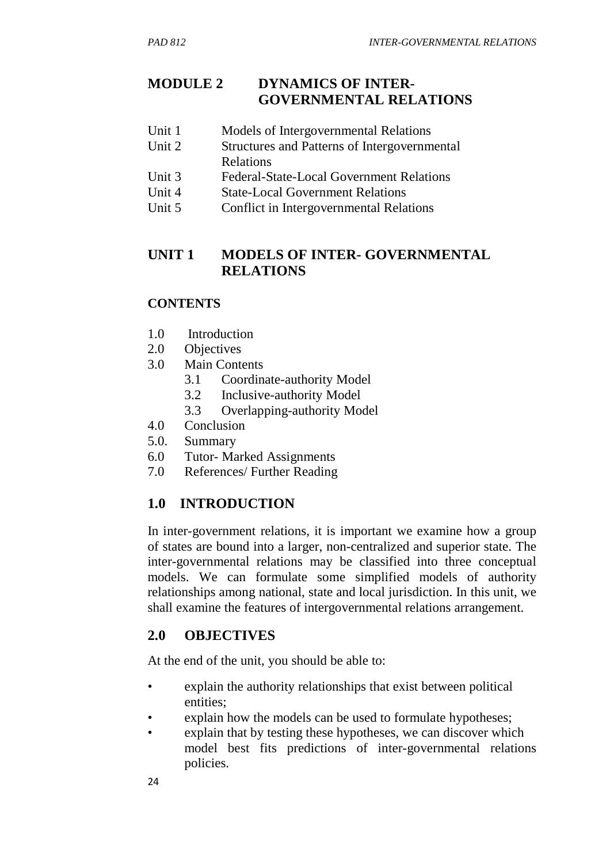## **MODULE 2 DYNAMICS OF INTER- GOVERNMENTAL RELATIONS**

- Unit 1 Models of Intergovernmental Relations
- Unit 2 Structures and Patterns of Intergovernmental Relations
- Unit 3 Federal-State-Local Government Relations
- Unit 4 State-Local Government Relations
- Unit 5 Conflict in Intergovernmental Relations

# **UNIT 1 MODELS OF INTER- GOVERNMENTAL RELATIONS**

## **CONTENTS**

- 1.0 Introduction
- 2.0 Objectives
- 3.0 Main Contents
	- 3.1 Coordinate-authority Model
	- 3.2 Inclusive-authority Model
	- 3.3 Overlapping-authority Model
- 4.0 Conclusion
- 5.0. Summary
- 6.0 Tutor- Marked Assignments
- 7.0 References/ Further Reading

# **1.0 INTRODUCTION**

In inter-government relations, it is important we examine how a group of states are bound into a larger, non-centralized and superior state. The inter-governmental relations may be classified into three conceptual models. We can formulate some simplified models of authority relationships among national, state and local jurisdiction. In this unit, we shall examine the features of intergovernmental relations arrangement.

# **2.0 OBJECTIVES**

At the end of the unit, you should be able to:

- explain the authority relationships that exist between political entities;
- explain how the models can be used to formulate hypotheses;
- explain that by testing these hypotheses, we can discover which model best fits predictions of inter-governmental relations policies.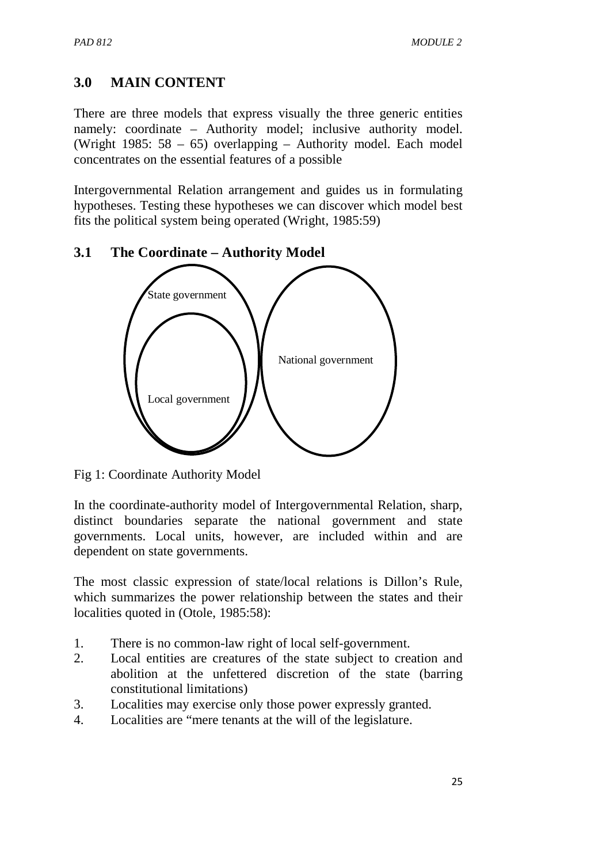# **3.0 MAIN CONTENT**

There are three models that express visually the three generic entities namely: coordinate – Authority model; inclusive authority model. (Wright 1985: 58 – 65) overlapping – Authority model. Each model concentrates on the essential features of a possible

Intergovernmental Relation arrangement and guides us in formulating hypotheses. Testing these hypotheses we can discover which model best fits the political system being operated (Wright, 1985:59)

# **3.1 The Coordinate – Authority Model**



Fig 1: Coordinate Authority Model

In the coordinate-authority model of Intergovernmental Relation, sharp, distinct boundaries separate the national government and state governments. Local units, however, are included within and are dependent on state governments.

The most classic expression of state/local relations is Dillon's Rule, which summarizes the power relationship between the states and their localities quoted in (Otole, 1985:58):

- 1. There is no common-law right of local self-government.
- 2. Local entities are creatures of the state subject to creation and abolition at the unfettered discretion of the state (barring constitutional limitations)
- 3. Localities may exercise only those power expressly granted.
- 4. Localities are "mere tenants at the will of the legislature.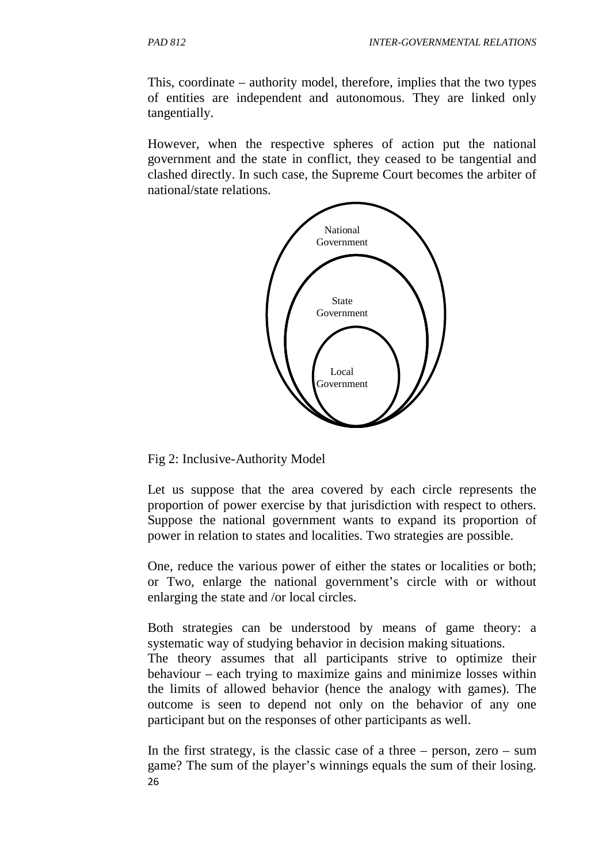This, coordinate – authority model, therefore, implies that the two types of entities are independent and autonomous. They are linked only tangentially.

However, when the respective spheres of action put the national government and the state in conflict, they ceased to be tangential and clashed directly. In such case, the Supreme Court becomes the arbiter of national/state relations.



Fig 2: Inclusive-Authority Model

Let us suppose that the area covered by each circle represents the proportion of power exercise by that jurisdiction with respect to others. Suppose the national government wants to expand its proportion of power in relation to states and localities. Two strategies are possible.

One, reduce the various power of either the states or localities or both; or Two, enlarge the national government's circle with or without enlarging the state and /or local circles.

Both strategies can be understood by means of game theory: a systematic way of studying behavior in decision making situations. The theory assumes that all participants strive to optimize their behaviour – each trying to maximize gains and minimize losses within the limits of allowed behavior (hence the analogy with games). The outcome is seen to depend not only on the behavior of any one participant but on the responses of other participants as well.

26 In the first strategy, is the classic case of a three – person, zero – sum game? The sum of the player's winnings equals the sum of their losing.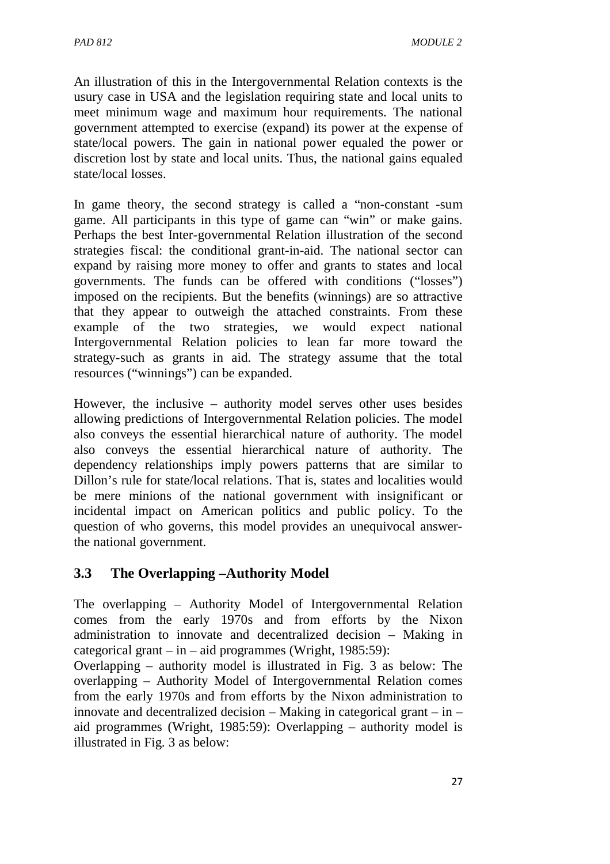An illustration of this in the Intergovernmental Relation contexts is the usury case in USA and the legislation requiring state and local units to meet minimum wage and maximum hour requirements. The national government attempted to exercise (expand) its power at the expense of state/local powers. The gain in national power equaled the power or discretion lost by state and local units. Thus, the national gains equaled state/local losses.

In game theory, the second strategy is called a "non-constant -sum game. All participants in this type of game can "win" or make gains. Perhaps the best Inter-governmental Relation illustration of the second strategies fiscal: the conditional grant-in-aid. The national sector can expand by raising more money to offer and grants to states and local governments. The funds can be offered with conditions ("losses") imposed on the recipients. But the benefits (winnings) are so attractive that they appear to outweigh the attached constraints. From these example of the two strategies, we would expect national Intergovernmental Relation policies to lean far more toward the strategy-such as grants in aid. The strategy assume that the total resources ("winnings") can be expanded.

However, the inclusive – authority model serves other uses besides allowing predictions of Intergovernmental Relation policies. The model also conveys the essential hierarchical nature of authority. The model also conveys the essential hierarchical nature of authority. The dependency relationships imply powers patterns that are similar to Dillon's rule for state/local relations. That is, states and localities would be mere minions of the national government with insignificant or incidental impact on American politics and public policy. To the question of who governs, this model provides an unequivocal answerthe national government.

# **3.3 The Overlapping –Authority Model**

The overlapping – Authority Model of Intergovernmental Relation comes from the early 1970s and from efforts by the Nixon administration to innovate and decentralized decision – Making in categorical grant – in – aid programmes (Wright, 1985:59):

Overlapping – authority model is illustrated in Fig. 3 as below: The overlapping – Authority Model of Intergovernmental Relation comes from the early 1970s and from efforts by the Nixon administration to innovate and decentralized decision – Making in categorical grant – in – aid programmes (Wright, 1985:59): Overlapping – authority model is illustrated in Fig. 3 as below: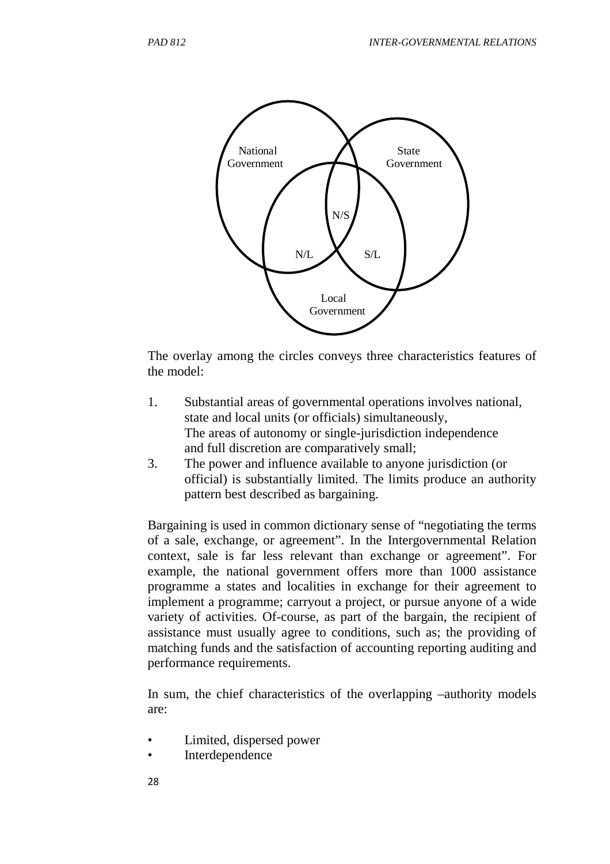

The overlay among the circles conveys three characteristics features of the model:

- 1. Substantial areas of governmental operations involves national, state and local units (or officials) simultaneously, The areas of autonomy or single-jurisdiction independence and full discretion are comparatively small;
- 3. The power and influence available to anyone jurisdiction (or official) is substantially limited. The limits produce an authority pattern best described as bargaining.

Bargaining is used in common dictionary sense of "negotiating the terms of a sale, exchange, or agreement". In the Intergovernmental Relation context, sale is far less relevant than exchange or agreement". For example, the national government offers more than 1000 assistance programme a states and localities in exchange for their agreement to implement a programme; carryout a project, or pursue anyone of a wide variety of activities. Of-course, as part of the bargain, the recipient of assistance must usually agree to conditions, such as; the providing of matching funds and the satisfaction of accounting reporting auditing and performance requirements.

In sum, the chief characteristics of the overlapping –authority models are:

- Limited, dispersed power
- Interdependence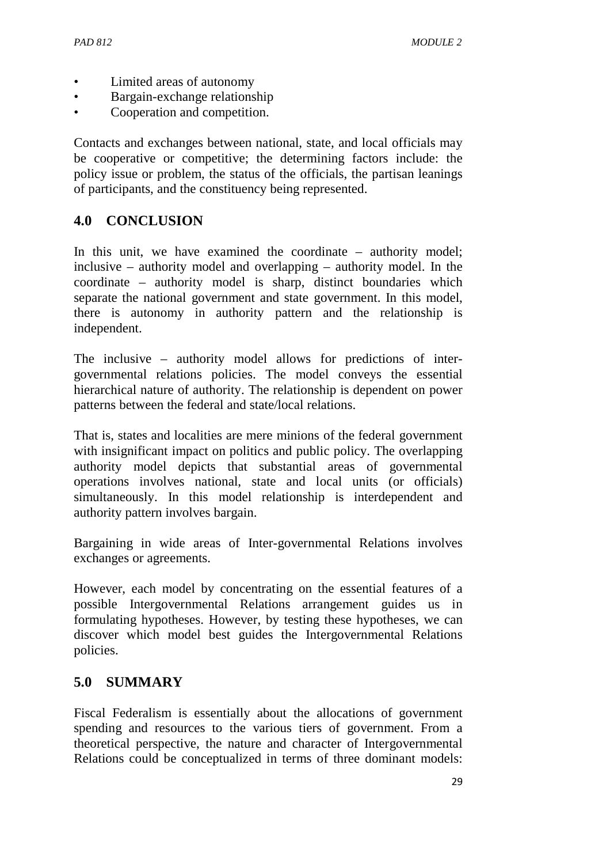- Limited areas of autonomy
- Bargain-exchange relationship
- Cooperation and competition.

Contacts and exchanges between national, state, and local officials may be cooperative or competitive; the determining factors include: the policy issue or problem, the status of the officials, the partisan leanings of participants, and the constituency being represented.

# **4.0 CONCLUSION**

In this unit, we have examined the coordinate – authority model; inclusive – authority model and overlapping – authority model. In the coordinate – authority model is sharp, distinct boundaries which separate the national government and state government. In this model, there is autonomy in authority pattern and the relationship is independent.

The inclusive – authority model allows for predictions of intergovernmental relations policies. The model conveys the essential hierarchical nature of authority. The relationship is dependent on power patterns between the federal and state/local relations.

That is, states and localities are mere minions of the federal government with insignificant impact on politics and public policy. The overlapping authority model depicts that substantial areas of governmental operations involves national, state and local units (or officials) simultaneously. In this model relationship is interdependent and authority pattern involves bargain.

Bargaining in wide areas of Inter-governmental Relations involves exchanges or agreements.

However, each model by concentrating on the essential features of a possible Intergovernmental Relations arrangement guides us in formulating hypotheses. However, by testing these hypotheses, we can discover which model best guides the Intergovernmental Relations policies.

# **5.0 SUMMARY**

Fiscal Federalism is essentially about the allocations of government spending and resources to the various tiers of government. From a theoretical perspective, the nature and character of Intergovernmental Relations could be conceptualized in terms of three dominant models: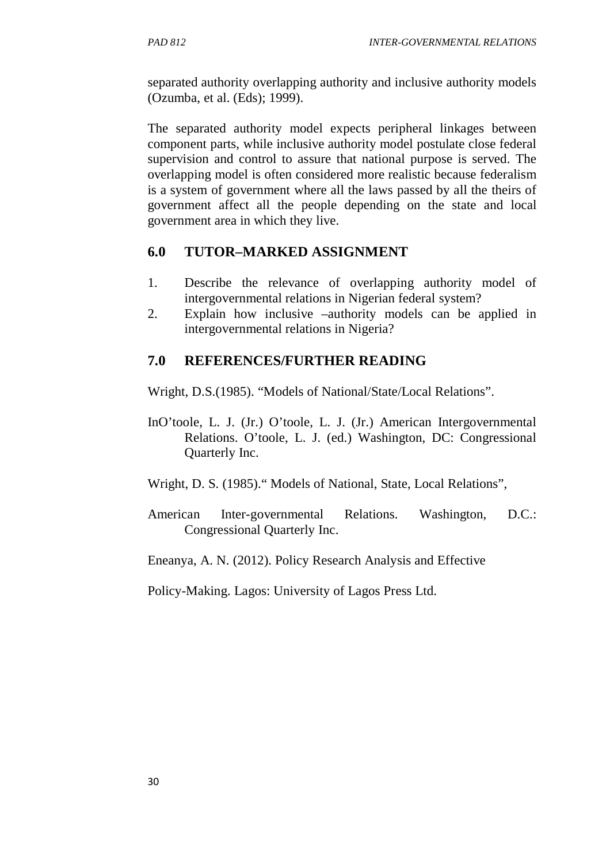separated authority overlapping authority and inclusive authority models (Ozumba, et al. (Eds); 1999).

The separated authority model expects peripheral linkages between component parts, while inclusive authority model postulate close federal supervision and control to assure that national purpose is served. The overlapping model is often considered more realistic because federalism is a system of government where all the laws passed by all the theirs of government affect all the people depending on the state and local government area in which they live.

# **6.0 TUTOR–MARKED ASSIGNMENT**

- 1. Describe the relevance of overlapping authority model of intergovernmental relations in Nigerian federal system?
- 2. Explain how inclusive –authority models can be applied in intergovernmental relations in Nigeria?

# **7.0 REFERENCES/FURTHER READING**

Wright, D.S.(1985). "Models of National/State/Local Relations".

- InO'toole, L. J. (Jr.) O'toole, L. J. (Jr.) American Intergovernmental Relations. O'toole, L. J. (ed.) Washington, DC: Congressional Quarterly Inc.
- Wright, D. S. (1985)." Models of National, State, Local Relations",
- American Inter-governmental Relations. Washington, D.C.: Congressional Quarterly Inc.
- Eneanya, A. N. (2012). Policy Research Analysis and Effective

Policy-Making. Lagos: University of Lagos Press Ltd.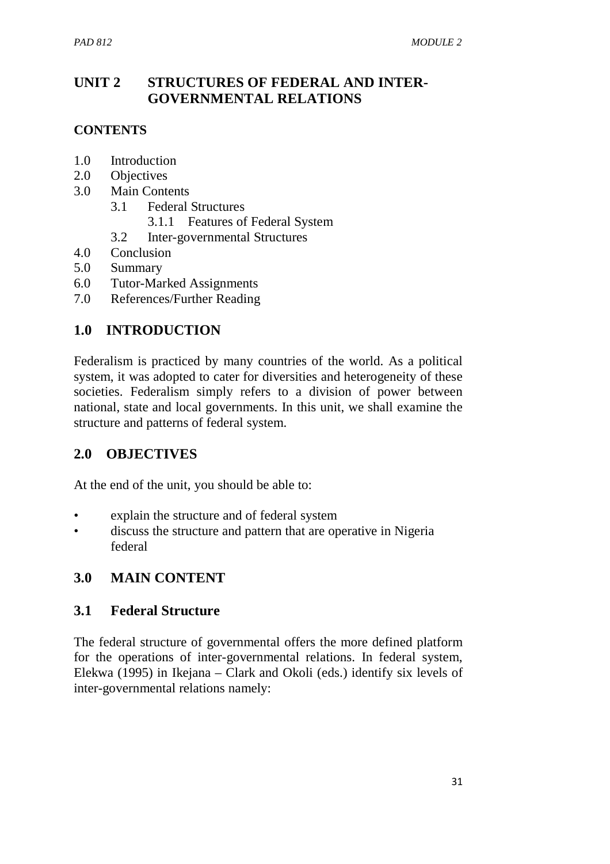# **UNIT 2 STRUCTURES OF FEDERAL AND INTER- GOVERNMENTAL RELATIONS**

#### **CONTENTS**

- 1.0 Introduction
- 2.0 Objectives
- 3.0 Main Contents
	- 3.1 Federal Structures
		- 3.1.1 Features of Federal System
	- 3.2 Inter-governmental Structures
- 4.0 Conclusion
- 5.0 Summary
- 6.0 Tutor-Marked Assignments
- 7.0 References/Further Reading

# **1.0 INTRODUCTION**

Federalism is practiced by many countries of the world. As a political system, it was adopted to cater for diversities and heterogeneity of these societies. Federalism simply refers to a division of power between national, state and local governments. In this unit, we shall examine the structure and patterns of federal system.

## **2.0 OBJECTIVES**

At the end of the unit, you should be able to:

- explain the structure and of federal system
- discuss the structure and pattern that are operative in Nigeria federal

## **3.0 MAIN CONTENT**

#### **3.1 Federal Structure**

The federal structure of governmental offers the more defined platform for the operations of inter-governmental relations. In federal system, Elekwa (1995) in Ikejana – Clark and Okoli (eds.) identify six levels of inter-governmental relations namely: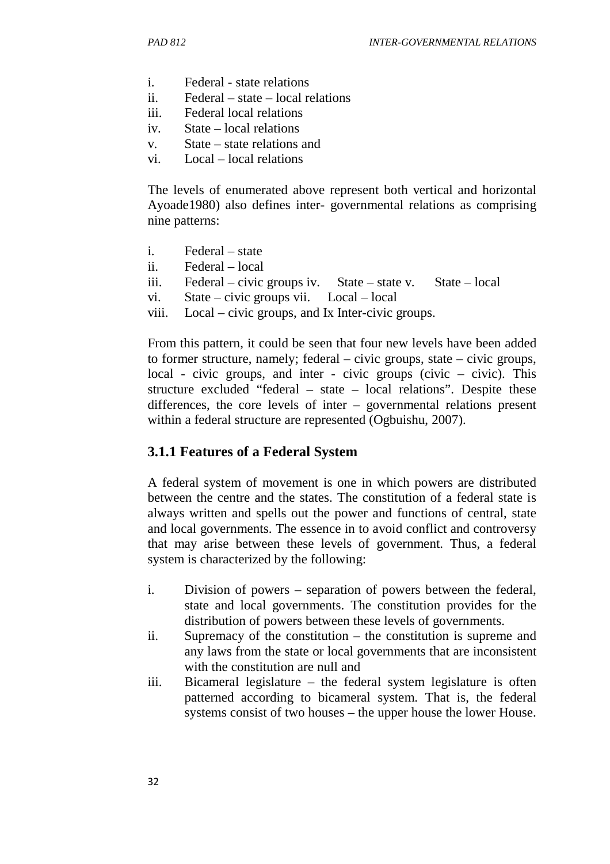- i. Federal state relations
- ii. Federal state local relations
- iii. Federal local relations
- iv. State local relations
- v. State state relations and
- vi. Local local relations

The levels of enumerated above represent both vertical and horizontal Ayoade1980) also defines inter- governmental relations as comprising nine patterns:

- i. Federal state
- ii. Federal local
- iii. Federal civic groups iv. State state v. State local
- vi. State civic groups vii. Local local
- viii. Local civic groups, and Ix Inter-civic groups.

From this pattern, it could be seen that four new levels have been added to former structure, namely; federal – civic groups, state – civic groups, local - civic groups, and inter - civic groups (civic – civic). This structure excluded "federal – state – local relations". Despite these differences, the core levels of inter – governmental relations present within a federal structure are represented (Ogbuishu, 2007).

#### **3.1.1 Features of a Federal System**

A federal system of movement is one in which powers are distributed between the centre and the states. The constitution of a federal state is always written and spells out the power and functions of central, state and local governments. The essence in to avoid conflict and controversy that may arise between these levels of government. Thus, a federal system is characterized by the following:

- i. Division of powers separation of powers between the federal, state and local governments. The constitution provides for the distribution of powers between these levels of governments.
- ii. Supremacy of the constitution the constitution is supreme and any laws from the state or local governments that are inconsistent with the constitution are null and
- iii. Bicameral legislature the federal system legislature is often patterned according to bicameral system. That is, the federal systems consist of two houses – the upper house the lower House.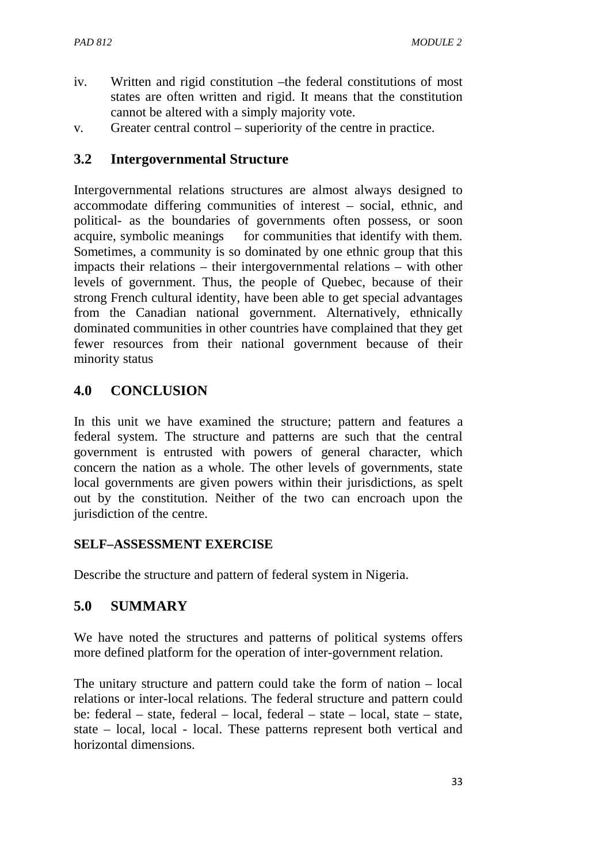- iv. Written and rigid constitution –the federal constitutions of most states are often written and rigid. It means that the constitution cannot be altered with a simply majority vote.
- v. Greater central control superiority of the centre in practice.

## **3.2 Intergovernmental Structure**

Intergovernmental relations structures are almost always designed to accommodate differing communities of interest – social, ethnic, and political- as the boundaries of governments often possess, or soon acquire, symbolic meanings for communities that identify with them. Sometimes, a community is so dominated by one ethnic group that this impacts their relations – their intergovernmental relations – with other levels of government. Thus, the people of Quebec, because of their strong French cultural identity, have been able to get special advantages from the Canadian national government. Alternatively, ethnically dominated communities in other countries have complained that they get fewer resources from their national government because of their minority status

# **4.0 CONCLUSION**

In this unit we have examined the structure; pattern and features a federal system. The structure and patterns are such that the central government is entrusted with powers of general character, which concern the nation as a whole. The other levels of governments, state local governments are given powers within their jurisdictions, as spelt out by the constitution. Neither of the two can encroach upon the jurisdiction of the centre.

#### **SELF–ASSESSMENT EXERCISE**

Describe the structure and pattern of federal system in Nigeria.

# **5.0 SUMMARY**

We have noted the structures and patterns of political systems offers more defined platform for the operation of inter-government relation.

The unitary structure and pattern could take the form of nation – local relations or inter-local relations. The federal structure and pattern could be: federal – state, federal – local, federal – state – local, state – state, state – local, local - local. These patterns represent both vertical and horizontal dimensions.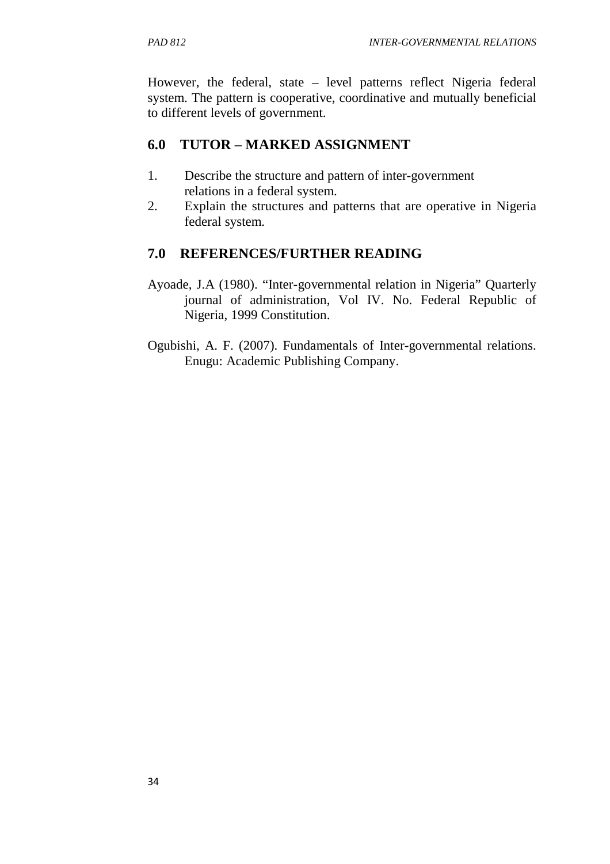However, the federal, state – level patterns reflect Nigeria federal system. The pattern is cooperative, coordinative and mutually beneficial to different levels of government.

## **6.0 TUTOR – MARKED ASSIGNMENT**

- 1. Describe the structure and pattern of inter-government relations in a federal system.
- 2. Explain the structures and patterns that are operative in Nigeria federal system.

#### **7.0 REFERENCES/FURTHER READING**

- Ayoade, J.A (1980). "Inter-governmental relation in Nigeria" Quarterly journal of administration, Vol IV. No. Federal Republic of Nigeria, 1999 Constitution.
- Ogubishi, A. F. (2007). Fundamentals of Inter-governmental relations. Enugu: Academic Publishing Company.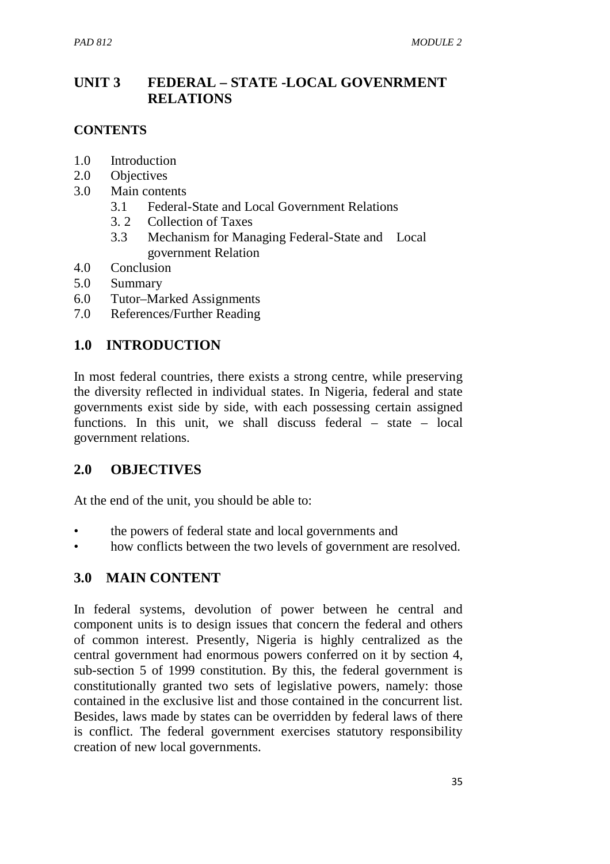# **UNIT 3 FEDERAL – STATE -LOCAL GOVENRMENT RELATIONS**

#### **CONTENTS**

- 1.0 Introduction
- 2.0 Objectives
- 3.0 Main contents
	- 3.1 Federal-State and Local Government Relations
	- 3. 2 Collection of Taxes
	- 3.3 Mechanism for Managing Federal-State and Local government Relation
- 4.0 Conclusion
- 5.0 Summary
- 6.0 Tutor–Marked Assignments
- 7.0 References/Further Reading

#### **1.0 INTRODUCTION**

In most federal countries, there exists a strong centre, while preserving the diversity reflected in individual states. In Nigeria, federal and state governments exist side by side, with each possessing certain assigned functions. In this unit, we shall discuss federal – state – local government relations.

## **2.0 OBJECTIVES**

At the end of the unit, you should be able to:

- the powers of federal state and local governments and
- how conflicts between the two levels of government are resolved.

#### **3.0 MAIN CONTENT**

In federal systems, devolution of power between he central and component units is to design issues that concern the federal and others of common interest. Presently, Nigeria is highly centralized as the central government had enormous powers conferred on it by section 4, sub-section 5 of 1999 constitution. By this, the federal government is constitutionally granted two sets of legislative powers, namely: those contained in the exclusive list and those contained in the concurrent list. Besides, laws made by states can be overridden by federal laws of there is conflict. The federal government exercises statutory responsibility creation of new local governments.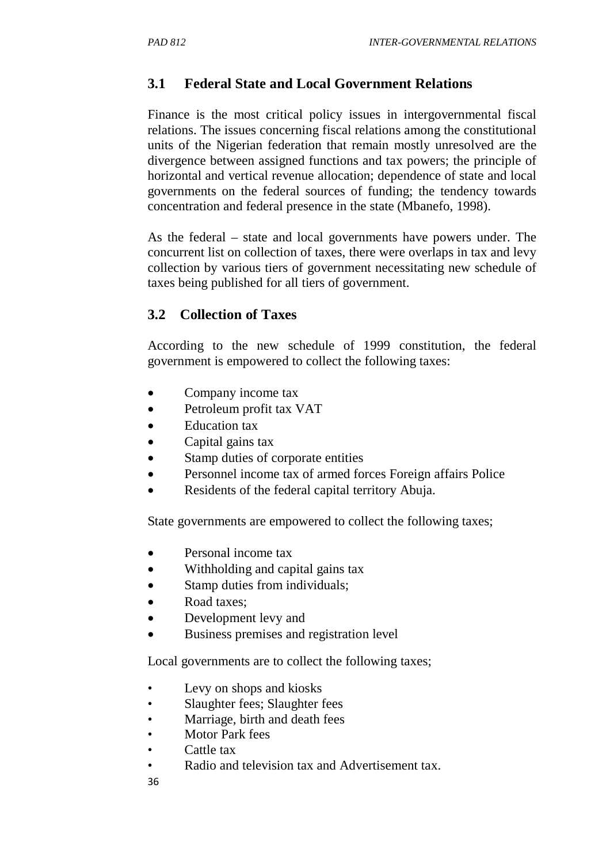## **3.1 Federal State and Local Government Relations**

Finance is the most critical policy issues in intergovernmental fiscal relations. The issues concerning fiscal relations among the constitutional units of the Nigerian federation that remain mostly unresolved are the divergence between assigned functions and tax powers; the principle of horizontal and vertical revenue allocation; dependence of state and local governments on the federal sources of funding; the tendency towards concentration and federal presence in the state (Mbanefo, 1998).

As the federal – state and local governments have powers under. The concurrent list on collection of taxes, there were overlaps in tax and levy collection by various tiers of government necessitating new schedule of taxes being published for all tiers of government.

## **3.2 Collection of Taxes**

According to the new schedule of 1999 constitution, the federal government is empowered to collect the following taxes:

- Company income tax
- Petroleum profit tax VAT
- **Education tax**
- Capital gains tax
- Stamp duties of corporate entities
- Personnel income tax of armed forces Foreign affairs Police
- Residents of the federal capital territory Abuja.

State governments are empowered to collect the following taxes;

- Personal income tax
- Withholding and capital gains tax
- Stamp duties from individuals;
- Road taxes:
- Development levy and
- Business premises and registration level

Local governments are to collect the following taxes;

- Levy on shops and kiosks
- Slaughter fees; Slaughter fees
- Marriage, birth and death fees
- Motor Park fees
- Cattle tax
- Radio and television tax and Advertisement tax.
- 36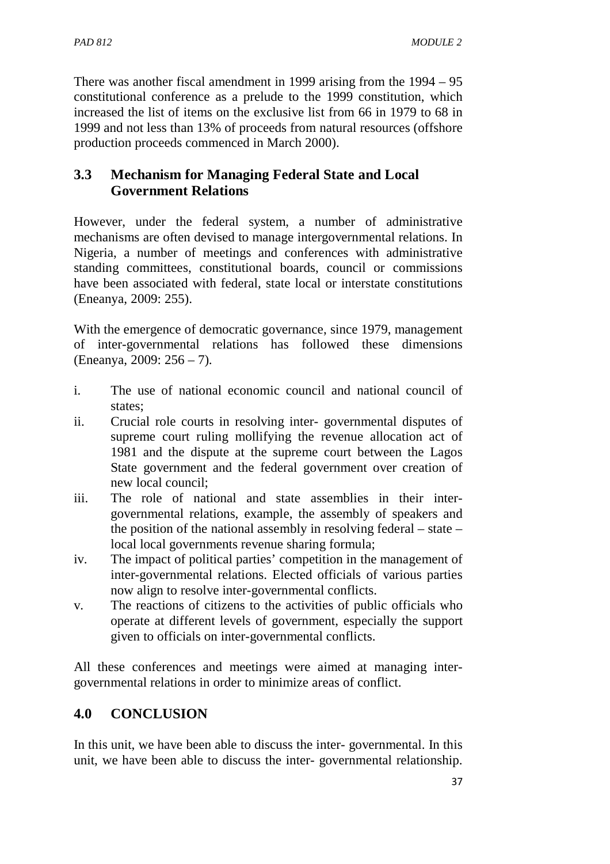There was another fiscal amendment in 1999 arising from the 1994 – 95 constitutional conference as a prelude to the 1999 constitution, which increased the list of items on the exclusive list from 66 in 1979 to 68 in 1999 and not less than 13% of proceeds from natural resources (offshore production proceeds commenced in March 2000).

# **3.3 Mechanism for Managing Federal State and Local Government Relations**

However, under the federal system, a number of administrative mechanisms are often devised to manage intergovernmental relations. In Nigeria, a number of meetings and conferences with administrative standing committees, constitutional boards, council or commissions have been associated with federal, state local or interstate constitutions (Eneanya, 2009: 255).

With the emergence of democratic governance, since 1979, management of inter-governmental relations has followed these dimensions (Eneanya, 2009: 256 – 7).

- i. The use of national economic council and national council of states;
- ii. Crucial role courts in resolving inter- governmental disputes of supreme court ruling mollifying the revenue allocation act of 1981 and the dispute at the supreme court between the Lagos State government and the federal government over creation of new local council;
- iii. The role of national and state assemblies in their intergovernmental relations, example, the assembly of speakers and the position of the national assembly in resolving federal – state – local local governments revenue sharing formula;
- iv. The impact of political parties' competition in the management of inter-governmental relations. Elected officials of various parties now align to resolve inter-governmental conflicts.
- v. The reactions of citizens to the activities of public officials who operate at different levels of government, especially the support given to officials on inter-governmental conflicts.

All these conferences and meetings were aimed at managing intergovernmental relations in order to minimize areas of conflict.

# **4.0 CONCLUSION**

In this unit, we have been able to discuss the inter- governmental. In this unit, we have been able to discuss the inter- governmental relationship.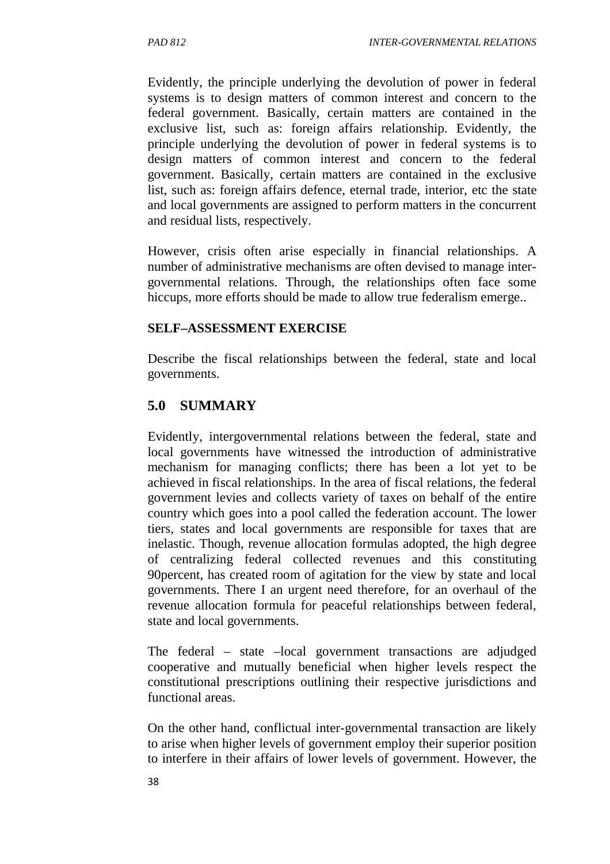Evidently, the principle underlying the devolution of power in federal systems is to design matters of common interest and concern to the federal government. Basically, certain matters are contained in the exclusive list, such as: foreign affairs relationship. Evidently, the principle underlying the devolution of power in federal systems is to design matters of common interest and concern to the federal government. Basically, certain matters are contained in the exclusive list, such as: foreign affairs defence, eternal trade, interior, etc the state and local governments are assigned to perform matters in the concurrent and residual lists, respectively.

However, crisis often arise especially in financial relationships. A number of administrative mechanisms are often devised to manage intergovernmental relations. Through, the relationships often face some hiccups, more efforts should be made to allow true federalism emerge..

#### **SELF–ASSESSMENT EXERCISE**

Describe the fiscal relationships between the federal, state and local governments.

## **5.0 SUMMARY**

Evidently, intergovernmental relations between the federal, state and local governments have witnessed the introduction of administrative mechanism for managing conflicts; there has been a lot yet to be achieved in fiscal relationships. In the area of fiscal relations, the federal government levies and collects variety of taxes on behalf of the entire country which goes into a pool called the federation account. The lower tiers, states and local governments are responsible for taxes that are inelastic. Though, revenue allocation formulas adopted, the high degree of centralizing federal collected revenues and this constituting 90percent, has created room of agitation for the view by state and local governments. There I an urgent need therefore, for an overhaul of the revenue allocation formula for peaceful relationships between federal, state and local governments.

The federal – state –local government transactions are adjudged cooperative and mutually beneficial when higher levels respect the constitutional prescriptions outlining their respective jurisdictions and functional areas.

On the other hand, conflictual inter-governmental transaction are likely to arise when higher levels of government employ their superior position to interfere in their affairs of lower levels of government. However, the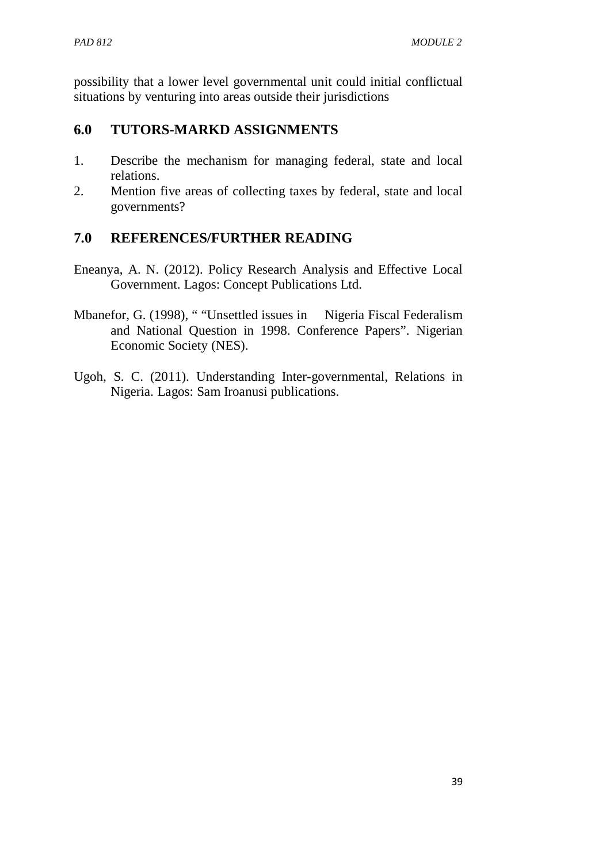possibility that a lower level governmental unit could initial conflictual situations by venturing into areas outside their jurisdictions

# **6.0 TUTORS-MARKD ASSIGNMENTS**

- 1. Describe the mechanism for managing federal, state and local relations.
- 2. Mention five areas of collecting taxes by federal, state and local governments?

# **7.0 REFERENCES/FURTHER READING**

- Eneanya, A. N. (2012). Policy Research Analysis and Effective Local Government. Lagos: Concept Publications Ltd.
- Mbanefor, G. (1998), " "Unsettled issues in Nigeria Fiscal Federalism and National Question in 1998. Conference Papers". Nigerian Economic Society (NES).
- Ugoh, S. C. (2011). Understanding Inter-governmental, Relations in Nigeria. Lagos: Sam Iroanusi publications.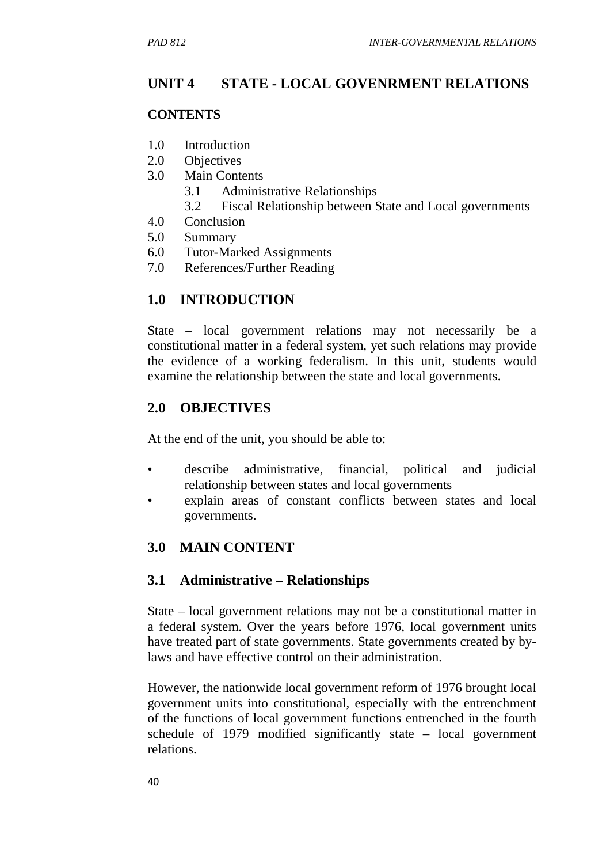# **UNIT 4 STATE - LOCAL GOVENRMENT RELATIONS**

#### **CONTENTS**

- 1.0 Introduction
- 2.0 Objectives
- 3.0 Main Contents
	- 3.1 Administrative Relationships
	- 3.2 Fiscal Relationship between State and Local governments
- 4.0 Conclusion
- 5.0 Summary
- 6.0 Tutor-Marked Assignments
- 7.0 References/Further Reading

# **1.0 INTRODUCTION**

State – local government relations may not necessarily be a constitutional matter in a federal system, yet such relations may provide the evidence of a working federalism. In this unit, students would examine the relationship between the state and local governments.

# **2.0 OBJECTIVES**

At the end of the unit, you should be able to:

- describe administrative, financial, political and judicial relationship between states and local governments
- explain areas of constant conflicts between states and local governments.

# **3.0 MAIN CONTENT**

## **3.1 Administrative – Relationships**

State – local government relations may not be a constitutional matter in a federal system. Over the years before 1976, local government units have treated part of state governments. State governments created by bylaws and have effective control on their administration.

However, the nationwide local government reform of 1976 brought local government units into constitutional, especially with the entrenchment of the functions of local government functions entrenched in the fourth schedule of 1979 modified significantly state – local government relations.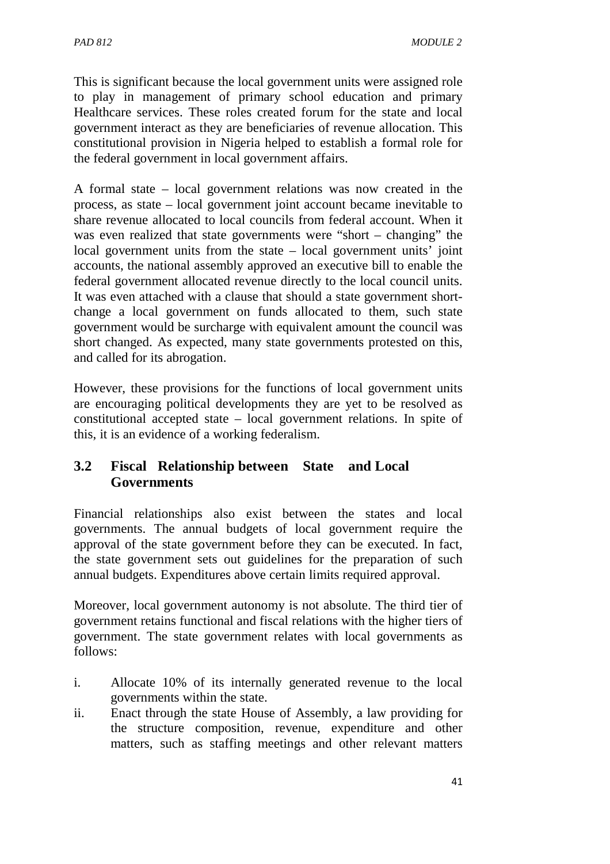This is significant because the local government units were assigned role to play in management of primary school education and primary Healthcare services. These roles created forum for the state and local government interact as they are beneficiaries of revenue allocation. This constitutional provision in Nigeria helped to establish a formal role for the federal government in local government affairs.

A formal state – local government relations was now created in the process, as state – local government joint account became inevitable to share revenue allocated to local councils from federal account. When it was even realized that state governments were "short – changing" the local government units from the state – local government units' joint accounts, the national assembly approved an executive bill to enable the federal government allocated revenue directly to the local council units. It was even attached with a clause that should a state government shortchange a local government on funds allocated to them, such state government would be surcharge with equivalent amount the council was short changed. As expected, many state governments protested on this, and called for its abrogation.

However, these provisions for the functions of local government units are encouraging political developments they are yet to be resolved as constitutional accepted state – local government relations. In spite of this, it is an evidence of a working federalism.

# **3.2 Fiscal Relationship between State and Local Governments**

Financial relationships also exist between the states and local governments. The annual budgets of local government require the approval of the state government before they can be executed. In fact, the state government sets out guidelines for the preparation of such annual budgets. Expenditures above certain limits required approval.

Moreover, local government autonomy is not absolute. The third tier of government retains functional and fiscal relations with the higher tiers of government. The state government relates with local governments as follows:

- i. Allocate 10% of its internally generated revenue to the local governments within the state.
- ii. Enact through the state House of Assembly, a law providing for the structure composition, revenue, expenditure and other matters, such as staffing meetings and other relevant matters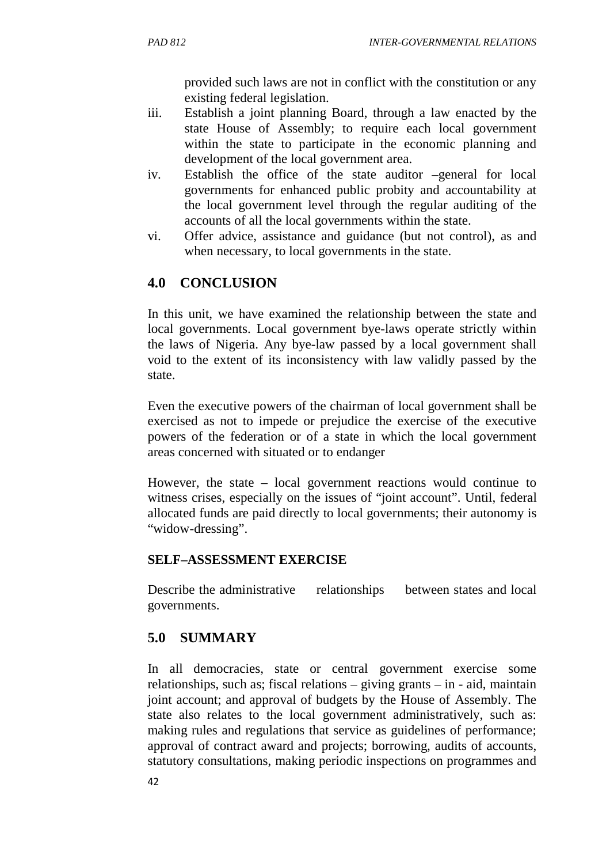provided such laws are not in conflict with the constitution or any existing federal legislation.

- iii. Establish a joint planning Board, through a law enacted by the state House of Assembly; to require each local government within the state to participate in the economic planning and development of the local government area.
- iv. Establish the office of the state auditor –general for local governments for enhanced public probity and accountability at the local government level through the regular auditing of the accounts of all the local governments within the state.
- vi. Offer advice, assistance and guidance (but not control), as and when necessary, to local governments in the state.

# **4.0 CONCLUSION**

In this unit, we have examined the relationship between the state and local governments. Local government bye-laws operate strictly within the laws of Nigeria. Any bye-law passed by a local government shall void to the extent of its inconsistency with law validly passed by the state.

Even the executive powers of the chairman of local government shall be exercised as not to impede or prejudice the exercise of the executive powers of the federation or of a state in which the local government areas concerned with situated or to endanger

However, the state – local government reactions would continue to witness crises, especially on the issues of "joint account". Until, federal allocated funds are paid directly to local governments; their autonomy is "widow-dressing".

## **SELF–ASSESSMENT EXERCISE**

Describe the administrative relationships between states and local governments.

# **5.0 SUMMARY**

In all democracies, state or central government exercise some relationships, such as; fiscal relations – giving grants – in - aid, maintain joint account; and approval of budgets by the House of Assembly. The state also relates to the local government administratively, such as: making rules and regulations that service as guidelines of performance; approval of contract award and projects; borrowing, audits of accounts, statutory consultations, making periodic inspections on programmes and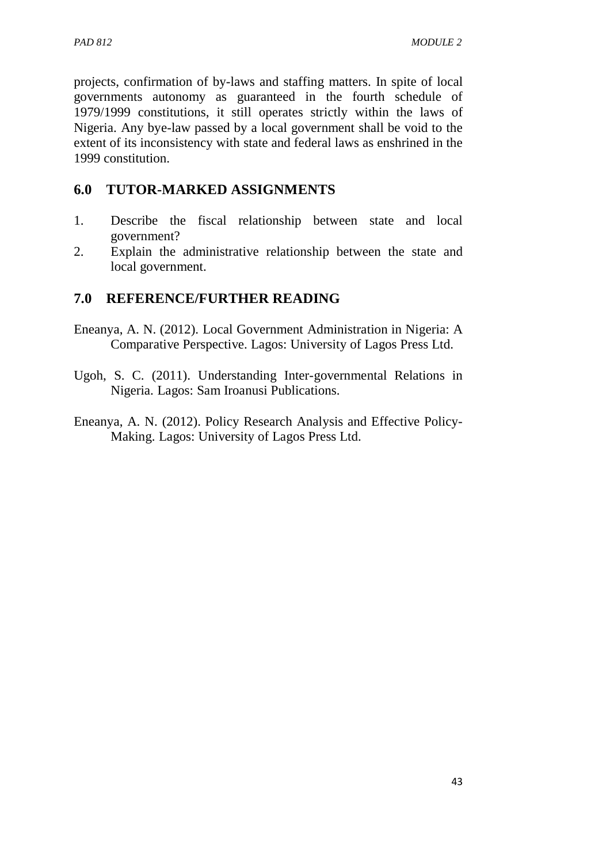projects, confirmation of by-laws and staffing matters. In spite of local governments autonomy as guaranteed in the fourth schedule of 1979/1999 constitutions, it still operates strictly within the laws of Nigeria. Any bye-law passed by a local government shall be void to the extent of its inconsistency with state and federal laws as enshrined in the 1999 constitution.

# **6.0 TUTOR-MARKED ASSIGNMENTS**

- 1. Describe the fiscal relationship between state and local government?
- 2. Explain the administrative relationship between the state and local government.

# **7.0 REFERENCE/FURTHER READING**

- Eneanya, A. N. (2012). Local Government Administration in Nigeria: A Comparative Perspective. Lagos: University of Lagos Press Ltd.
- Ugoh, S. C. (2011). Understanding Inter-governmental Relations in Nigeria. Lagos: Sam Iroanusi Publications.
- Eneanya, A. N. (2012). Policy Research Analysis and Effective Policy-Making. Lagos: University of Lagos Press Ltd.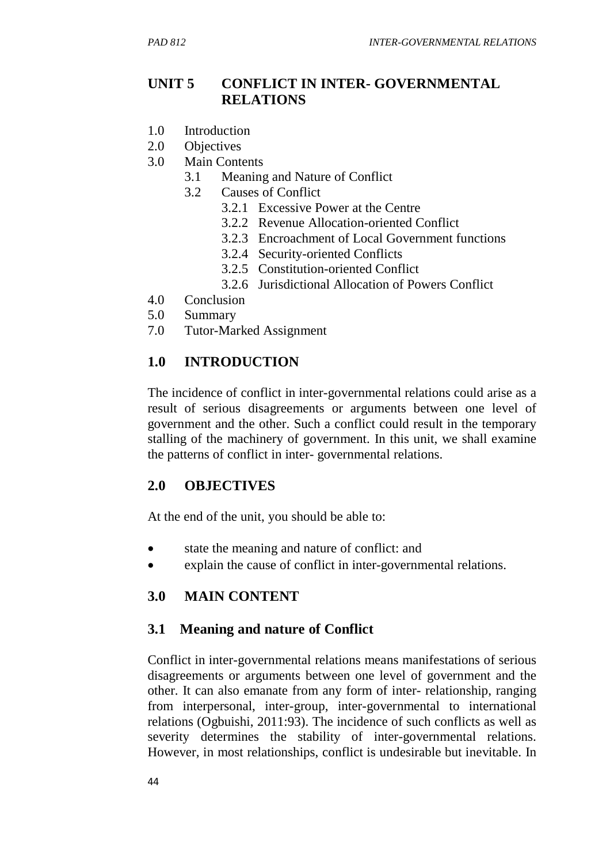# **UNIT 5 CONFLICT IN INTER- GOVERNMENTAL RELATIONS**

- 1.0 Introduction
- 2.0 Objectives
- 3.0 Main Contents
	- 3.1 Meaning and Nature of Conflict
	- 3.2 Causes of Conflict
		- 3.2.1 Excessive Power at the Centre
		- 3.2.2 Revenue Allocation-oriented Conflict
		- 3.2.3 Encroachment of Local Government functions
		- 3.2.4 Security-oriented Conflicts
		- 3.2.5 Constitution-oriented Conflict
		- 3.2.6 Jurisdictional Allocation of Powers Conflict
- 4.0 Conclusion
- 5.0 Summary
- 7.0 Tutor-Marked Assignment

#### **1.0 INTRODUCTION**

The incidence of conflict in inter-governmental relations could arise as a result of serious disagreements or arguments between one level of government and the other. Such a conflict could result in the temporary stalling of the machinery of government. In this unit, we shall examine the patterns of conflict in inter- governmental relations.

## **2.0 OBJECTIVES**

At the end of the unit, you should be able to:

- state the meaning and nature of conflict: and
- explain the cause of conflict in inter-governmental relations.

## **3.0 MAIN CONTENT**

#### **3.1 Meaning and nature of Conflict**

Conflict in inter-governmental relations means manifestations of serious disagreements or arguments between one level of government and the other. It can also emanate from any form of inter- relationship, ranging from interpersonal, inter-group, inter-governmental to international relations (Ogbuishi, 2011:93). The incidence of such conflicts as well as severity determines the stability of inter-governmental relations. However, in most relationships, conflict is undesirable but inevitable. In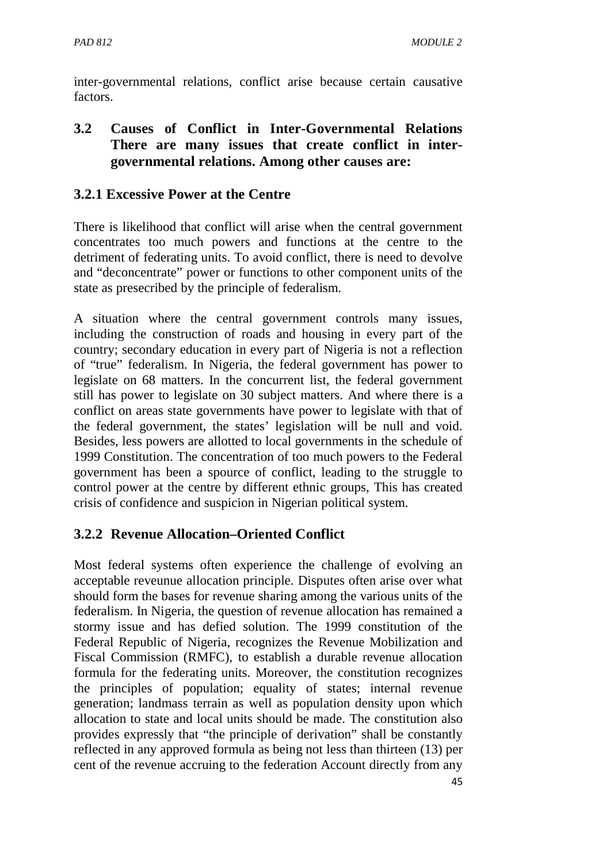inter-governmental relations, conflict arise because certain causative factors.

# **3.2 Causes of Conflict in Inter-Governmental Relations There are many issues that create conflict in intergovernmental relations. Among other causes are:**

## **3.2.1 Excessive Power at the Centre**

There is likelihood that conflict will arise when the central government concentrates too much powers and functions at the centre to the detriment of federating units. To avoid conflict, there is need to devolve and "deconcentrate" power or functions to other component units of the state as presecribed by the principle of federalism.

A situation where the central government controls many issues, including the construction of roads and housing in every part of the country; secondary education in every part of Nigeria is not a reflection of "true" federalism. In Nigeria, the federal government has power to legislate on 68 matters. In the concurrent list, the federal government still has power to legislate on 30 subject matters. And where there is a conflict on areas state governments have power to legislate with that of the federal government, the states' legislation will be null and void. Besides, less powers are allotted to local governments in the schedule of 1999 Constitution. The concentration of too much powers to the Federal government has been a spource of conflict, leading to the struggle to control power at the centre by different ethnic groups, This has created crisis of confidence and suspicion in Nigerian political system.

# **3.2.2 Revenue Allocation–Oriented Conflict**

Most federal systems often experience the challenge of evolving an acceptable reveunue allocation principle. Disputes often arise over what should form the bases for revenue sharing among the various units of the federalism. In Nigeria, the question of revenue allocation has remained a stormy issue and has defied solution. The 1999 constitution of the Federal Republic of Nigeria, recognizes the Revenue Mobilization and Fiscal Commission (RMFC), to establish a durable revenue allocation formula for the federating units. Moreover, the constitution recognizes the principles of population; equality of states; internal revenue generation; landmass terrain as well as population density upon which allocation to state and local units should be made. The constitution also provides expressly that "the principle of derivation" shall be constantly reflected in any approved formula as being not less than thirteen (13) per cent of the revenue accruing to the federation Account directly from any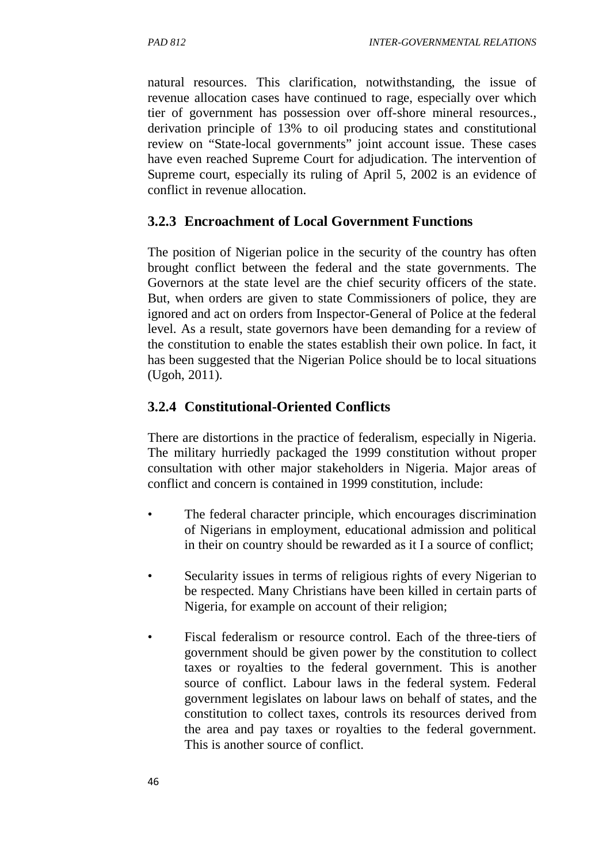natural resources. This clarification, notwithstanding, the issue of revenue allocation cases have continued to rage, especially over which tier of government has possession over off-shore mineral resources., derivation principle of 13% to oil producing states and constitutional review on "State-local governments" joint account issue. These cases have even reached Supreme Court for adjudication. The intervention of Supreme court, especially its ruling of April 5, 2002 is an evidence of conflict in revenue allocation.

#### **3.2.3 Encroachment of Local Government Functions**

The position of Nigerian police in the security of the country has often brought conflict between the federal and the state governments. The Governors at the state level are the chief security officers of the state. But, when orders are given to state Commissioners of police, they are ignored and act on orders from Inspector-General of Police at the federal level. As a result, state governors have been demanding for a review of the constitution to enable the states establish their own police. In fact, it has been suggested that the Nigerian Police should be to local situations (Ugoh, 2011).

## **3.2.4 Constitutional-Oriented Conflicts**

There are distortions in the practice of federalism, especially in Nigeria. The military hurriedly packaged the 1999 constitution without proper consultation with other major stakeholders in Nigeria. Major areas of conflict and concern is contained in 1999 constitution, include:

- The federal character principle, which encourages discrimination of Nigerians in employment, educational admission and political in their on country should be rewarded as it I a source of conflict;
- Secularity issues in terms of religious rights of every Nigerian to be respected. Many Christians have been killed in certain parts of Nigeria, for example on account of their religion;
- Fiscal federalism or resource control. Each of the three-tiers of government should be given power by the constitution to collect taxes or royalties to the federal government. This is another source of conflict. Labour laws in the federal system. Federal government legislates on labour laws on behalf of states, and the constitution to collect taxes, controls its resources derived from the area and pay taxes or royalties to the federal government. This is another source of conflict.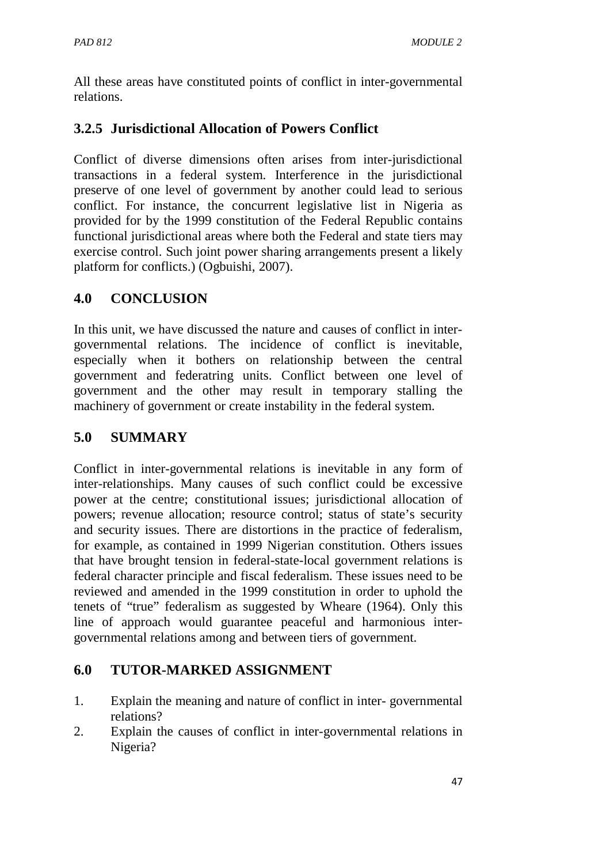All these areas have constituted points of conflict in inter-governmental relations.

# **3.2.5 Jurisdictional Allocation of Powers Conflict**

Conflict of diverse dimensions often arises from inter-jurisdictional transactions in a federal system. Interference in the jurisdictional preserve of one level of government by another could lead to serious conflict. For instance, the concurrent legislative list in Nigeria as provided for by the 1999 constitution of the Federal Republic contains functional jurisdictional areas where both the Federal and state tiers may exercise control. Such joint power sharing arrangements present a likely platform for conflicts.) (Ogbuishi, 2007).

# **4.0 CONCLUSION**

In this unit, we have discussed the nature and causes of conflict in intergovernmental relations. The incidence of conflict is inevitable, especially when it bothers on relationship between the central government and federatring units. Conflict between one level of government and the other may result in temporary stalling the machinery of government or create instability in the federal system.

# **5.0 SUMMARY**

Conflict in inter-governmental relations is inevitable in any form of inter-relationships. Many causes of such conflict could be excessive power at the centre; constitutional issues; jurisdictional allocation of powers; revenue allocation; resource control; status of state's security and security issues. There are distortions in the practice of federalism, for example, as contained in 1999 Nigerian constitution. Others issues that have brought tension in federal-state-local government relations is federal character principle and fiscal federalism. These issues need to be reviewed and amended in the 1999 constitution in order to uphold the tenets of "true" federalism as suggested by Wheare (1964). Only this line of approach would guarantee peaceful and harmonious intergovernmental relations among and between tiers of government.

## **6.0 TUTOR-MARKED ASSIGNMENT**

- 1. Explain the meaning and nature of conflict in inter- governmental relations?
- 2. Explain the causes of conflict in inter-governmental relations in Nigeria?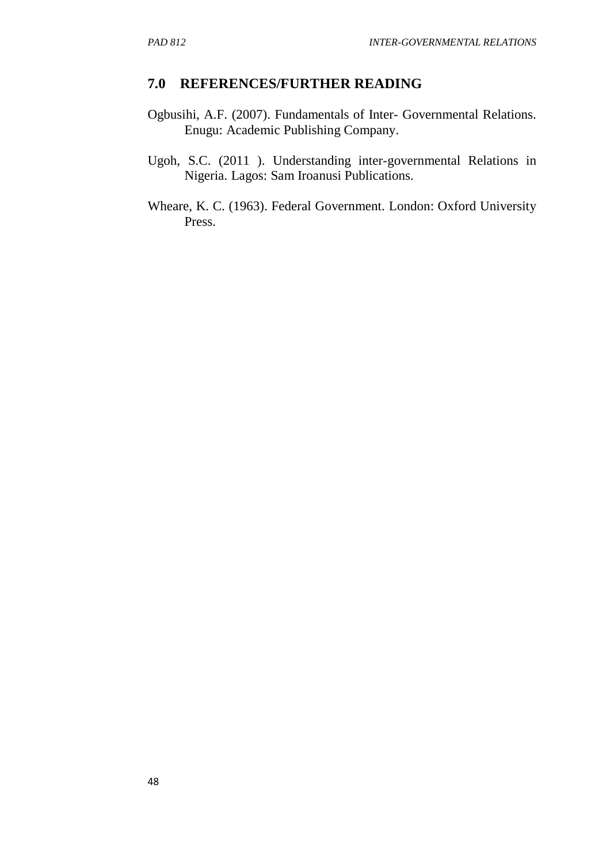#### **7.0 REFERENCES/FURTHER READING**

- Ogbusihi, A.F. (2007). Fundamentals of Inter- Governmental Relations. Enugu: Academic Publishing Company.
- Ugoh, S.C. (2011 ). Understanding inter-governmental Relations in Nigeria. Lagos: Sam Iroanusi Publications.
- Wheare, K. C. (1963). Federal Government. London: Oxford University Press.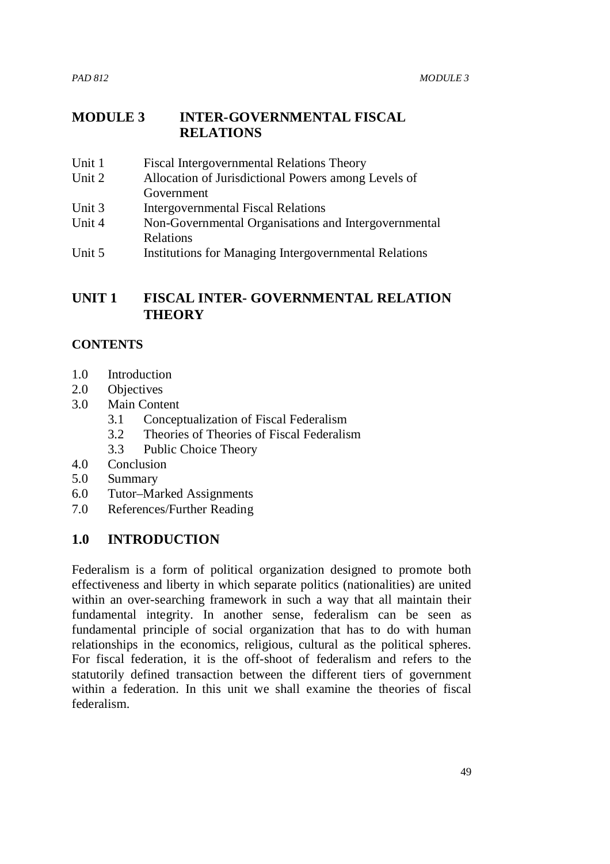## **MODULE 3 INTER-GOVERNMENTAL FISCAL RELATIONS**

- Unit 1 Fiscal Intergovernmental Relations Theory
- Unit 2 Allocation of Jurisdictional Powers among Levels of Government
- Unit 3 Intergovernmental Fiscal Relations
- Unit 4 Non-Governmental Organisations and Intergovernmental Relations
- Unit 5 Institutions for Managing Intergovernmental Relations

#### **UNIT 1 FISCAL INTER- GOVERNMENTAL RELATION THEORY**

#### **CONTENTS**

- 1.0 Introduction
- 2.0 Objectives
- 3.0 Main Content
	- 3.1 Conceptualization of Fiscal Federalism
	- 3.2 Theories of Theories of Fiscal Federalism
	- 3.3 Public Choice Theory
- 4.0 Conclusion
- 5.0 Summary
- 6.0 Tutor–Marked Assignments
- 7.0 References/Further Reading

#### **1.0 INTRODUCTION**

Federalism is a form of political organization designed to promote both effectiveness and liberty in which separate politics (nationalities) are united within an over-searching framework in such a way that all maintain their fundamental integrity. In another sense, federalism can be seen as fundamental principle of social organization that has to do with human relationships in the economics, religious, cultural as the political spheres. For fiscal federation, it is the off-shoot of federalism and refers to the statutorily defined transaction between the different tiers of government within a federation. In this unit we shall examine the theories of fiscal federalism.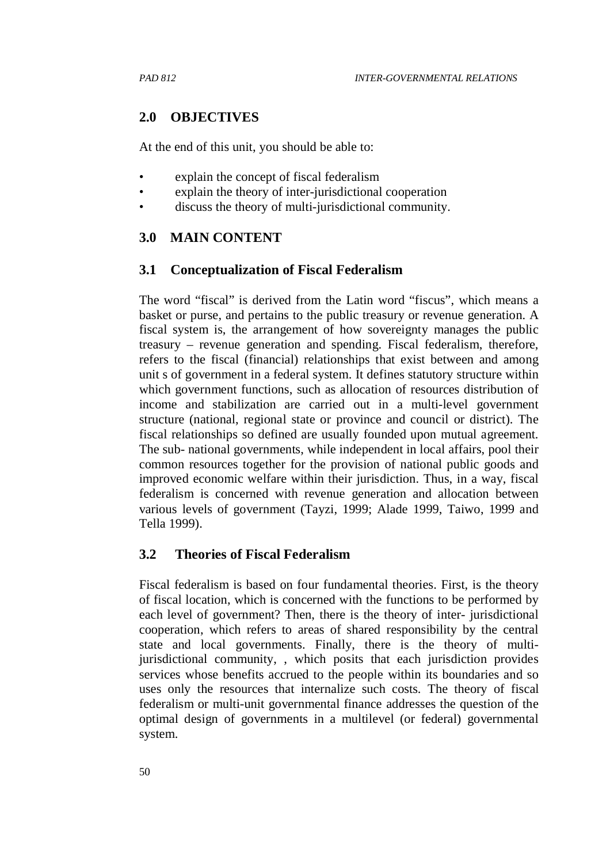#### **2.0 OBJECTIVES**

At the end of this unit, you should be able to:

- explain the concept of fiscal federalism
- explain the theory of inter-jurisdictional cooperation
- discuss the theory of multi-jurisdictional community.

#### **3.0 MAIN CONTENT**

#### **3.1 Conceptualization of Fiscal Federalism**

The word "fiscal" is derived from the Latin word "fiscus", which means a basket or purse, and pertains to the public treasury or revenue generation. A fiscal system is, the arrangement of how sovereignty manages the public treasury – revenue generation and spending. Fiscal federalism, therefore, refers to the fiscal (financial) relationships that exist between and among unit s of government in a federal system. It defines statutory structure within which government functions, such as allocation of resources distribution of income and stabilization are carried out in a multi-level government structure (national, regional state or province and council or district). The fiscal relationships so defined are usually founded upon mutual agreement. The sub- national governments, while independent in local affairs, pool their common resources together for the provision of national public goods and improved economic welfare within their jurisdiction. Thus, in a way, fiscal federalism is concerned with revenue generation and allocation between various levels of government (Tayzi, 1999; Alade 1999, Taiwo, 1999 and Tella 1999).

#### **3.2 Theories of Fiscal Federalism**

Fiscal federalism is based on four fundamental theories. First, is the theory of fiscal location, which is concerned with the functions to be performed by each level of government? Then, there is the theory of inter- jurisdictional cooperation, which refers to areas of shared responsibility by the central state and local governments. Finally, there is the theory of multijurisdictional community, , which posits that each jurisdiction provides services whose benefits accrued to the people within its boundaries and so uses only the resources that internalize such costs. The theory of fiscal federalism or multi-unit governmental finance addresses the question of the optimal design of governments in a multilevel (or federal) governmental system.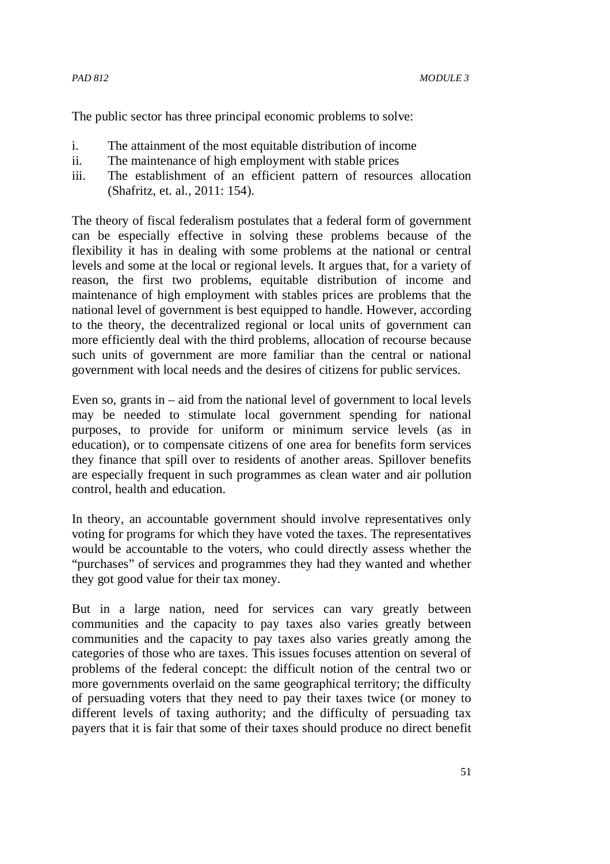The public sector has three principal economic problems to solve:

- i. The attainment of the most equitable distribution of income
- ii. The maintenance of high employment with stable prices
- iii. The establishment of an efficient pattern of resources allocation (Shafritz, et. al., 2011: 154).

The theory of fiscal federalism postulates that a federal form of government can be especially effective in solving these problems because of the flexibility it has in dealing with some problems at the national or central levels and some at the local or regional levels. It argues that, for a variety of reason, the first two problems, equitable distribution of income and maintenance of high employment with stables prices are problems that the national level of government is best equipped to handle. However, according to the theory, the decentralized regional or local units of government can more efficiently deal with the third problems, allocation of recourse because such units of government are more familiar than the central or national government with local needs and the desires of citizens for public services.

Even so, grants in – aid from the national level of government to local levels may be needed to stimulate local government spending for national purposes, to provide for uniform or minimum service levels (as in education), or to compensate citizens of one area for benefits form services they finance that spill over to residents of another areas. Spillover benefits are especially frequent in such programmes as clean water and air pollution control, health and education.

In theory, an accountable government should involve representatives only voting for programs for which they have voted the taxes. The representatives would be accountable to the voters, who could directly assess whether the "purchases" of services and programmes they had they wanted and whether they got good value for their tax money.

But in a large nation, need for services can vary greatly between communities and the capacity to pay taxes also varies greatly between communities and the capacity to pay taxes also varies greatly among the categories of those who are taxes. This issues focuses attention on several of problems of the federal concept: the difficult notion of the central two or more governments overlaid on the same geographical territory; the difficulty of persuading voters that they need to pay their taxes twice (or money to different levels of taxing authority; and the difficulty of persuading tax payers that it is fair that some of their taxes should produce no direct benefit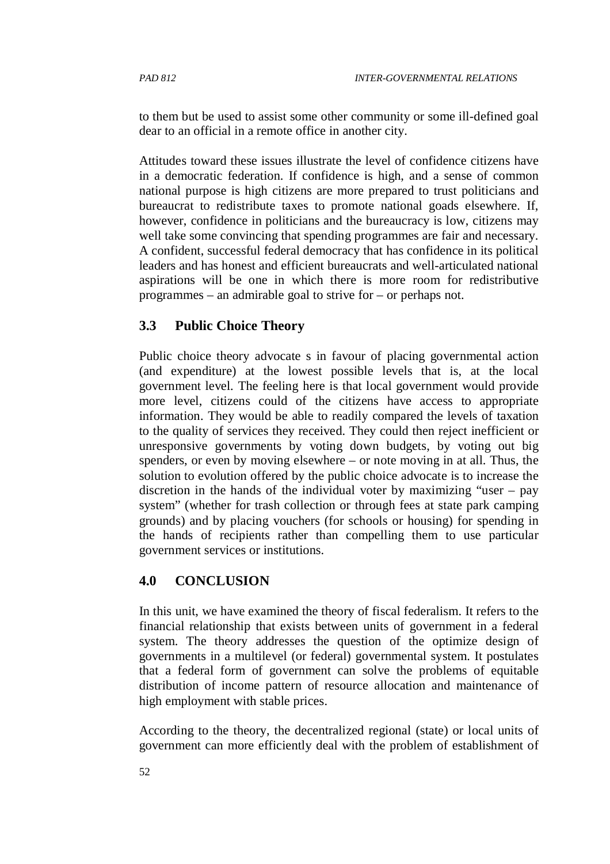to them but be used to assist some other community or some ill-defined goal dear to an official in a remote office in another city.

Attitudes toward these issues illustrate the level of confidence citizens have in a democratic federation. If confidence is high, and a sense of common national purpose is high citizens are more prepared to trust politicians and bureaucrat to redistribute taxes to promote national goads elsewhere. If, however, confidence in politicians and the bureaucracy is low, citizens may well take some convincing that spending programmes are fair and necessary. A confident, successful federal democracy that has confidence in its political leaders and has honest and efficient bureaucrats and well-articulated national aspirations will be one in which there is more room for redistributive programmes – an admirable goal to strive for – or perhaps not.

## **3.3 Public Choice Theory**

Public choice theory advocate s in favour of placing governmental action (and expenditure) at the lowest possible levels that is, at the local government level. The feeling here is that local government would provide more level, citizens could of the citizens have access to appropriate information. They would be able to readily compared the levels of taxation to the quality of services they received. They could then reject inefficient or unresponsive governments by voting down budgets, by voting out big spenders, or even by moving elsewhere – or note moving in at all. Thus, the solution to evolution offered by the public choice advocate is to increase the discretion in the hands of the individual voter by maximizing "user – pay system" (whether for trash collection or through fees at state park camping grounds) and by placing vouchers (for schools or housing) for spending in the hands of recipients rather than compelling them to use particular government services or institutions.

## **4.0 CONCLUSION**

In this unit, we have examined the theory of fiscal federalism. It refers to the financial relationship that exists between units of government in a federal system. The theory addresses the question of the optimize design of governments in a multilevel (or federal) governmental system. It postulates that a federal form of government can solve the problems of equitable distribution of income pattern of resource allocation and maintenance of high employment with stable prices.

According to the theory, the decentralized regional (state) or local units of government can more efficiently deal with the problem of establishment of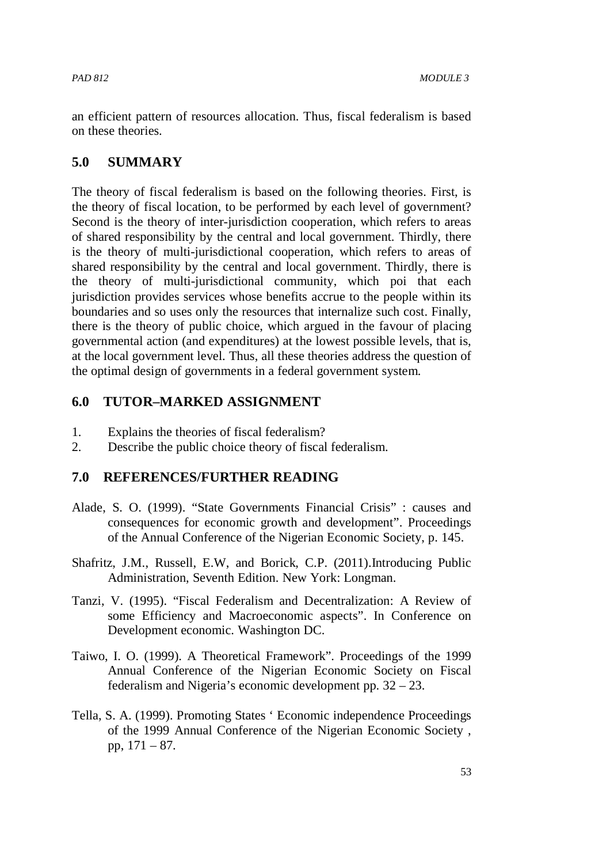an efficient pattern of resources allocation. Thus, fiscal federalism is based on these theories.

#### **5.0 SUMMARY**

The theory of fiscal federalism is based on the following theories. First, is the theory of fiscal location, to be performed by each level of government? Second is the theory of inter-jurisdiction cooperation, which refers to areas of shared responsibility by the central and local government. Thirdly, there is the theory of multi-jurisdictional cooperation, which refers to areas of shared responsibility by the central and local government. Thirdly, there is the theory of multi-jurisdictional community, which poi that each jurisdiction provides services whose benefits accrue to the people within its boundaries and so uses only the resources that internalize such cost. Finally, there is the theory of public choice, which argued in the favour of placing governmental action (and expenditures) at the lowest possible levels, that is, at the local government level. Thus, all these theories address the question of the optimal design of governments in a federal government system.

#### **6.0 TUTOR–MARKED ASSIGNMENT**

- 1. Explains the theories of fiscal federalism?
- 2. Describe the public choice theory of fiscal federalism.

#### **7.0 REFERENCES/FURTHER READING**

- Alade, S. O. (1999). "State Governments Financial Crisis" : causes and consequences for economic growth and development". Proceedings of the Annual Conference of the Nigerian Economic Society, p. 145.
- Shafritz, J.M., Russell, E.W, and Borick, C.P. (2011).Introducing Public Administration, Seventh Edition. New York: Longman.
- Tanzi, V. (1995). "Fiscal Federalism and Decentralization: A Review of some Efficiency and Macroeconomic aspects". In Conference on Development economic. Washington DC.
- Taiwo, I. O. (1999). A Theoretical Framework". Proceedings of the 1999 Annual Conference of the Nigerian Economic Society on Fiscal federalism and Nigeria's economic development pp. 32 – 23.
- Tella, S. A. (1999). Promoting States ' Economic independence Proceedings of the 1999 Annual Conference of the Nigerian Economic Society , pp, 171 – 87.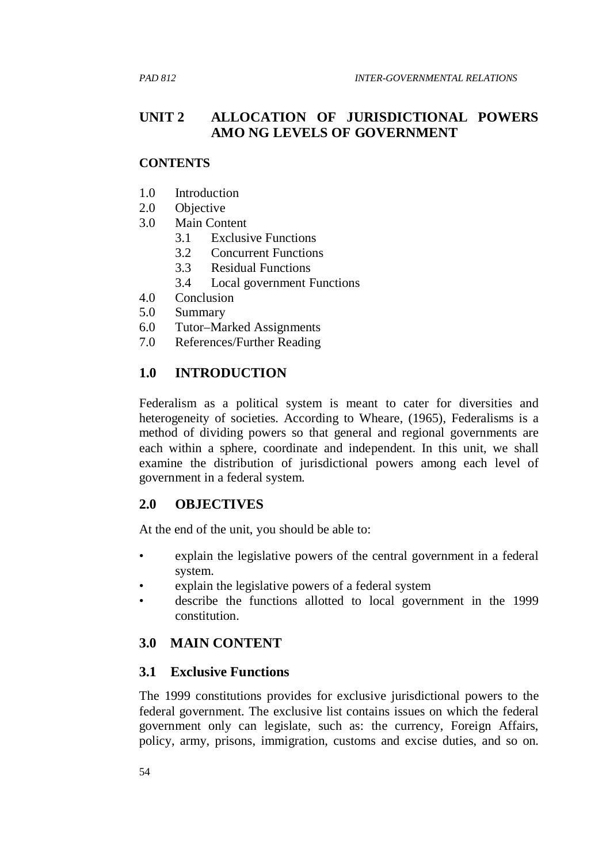## **UNIT 2 ALLOCATION OF JURISDICTIONAL POWERS AMO NG LEVELS OF GOVERNMENT**

#### **CONTENTS**

- 1.0 Introduction
- 2.0 Objective
- 3.0 Main Content
	- 3.1 Exclusive Functions
	- 3.2 Concurrent Functions
	- 3.3 Residual Functions
	- 3.4 Local government Functions
- 4.0 Conclusion
- 5.0 Summary
- 6.0 Tutor–Marked Assignments
- 7.0 References/Further Reading

#### **1.0 INTRODUCTION**

Federalism as a political system is meant to cater for diversities and heterogeneity of societies. According to Wheare, (1965), Federalisms is a method of dividing powers so that general and regional governments are each within a sphere, coordinate and independent. In this unit, we shall examine the distribution of jurisdictional powers among each level of government in a federal system.

#### **2.0 OBJECTIVES**

At the end of the unit, you should be able to:

- explain the legislative powers of the central government in a federal system.
- explain the legislative powers of a federal system
- describe the functions allotted to local government in the 1999 constitution.

#### **3.0 MAIN CONTENT**

#### **3.1 Exclusive Functions**

The 1999 constitutions provides for exclusive jurisdictional powers to the federal government. The exclusive list contains issues on which the federal government only can legislate, such as: the currency, Foreign Affairs, policy, army, prisons, immigration, customs and excise duties, and so on.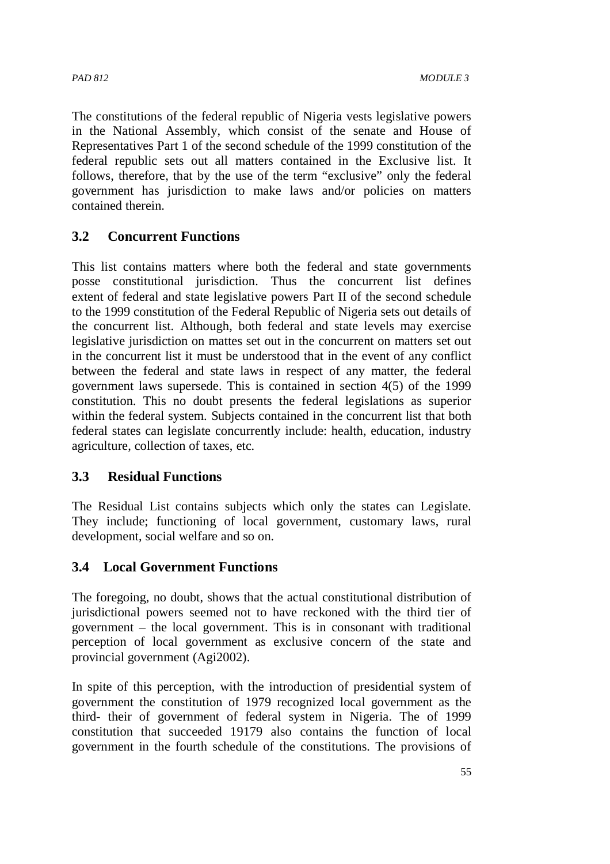The constitutions of the federal republic of Nigeria vests legislative powers in the National Assembly, which consist of the senate and House of Representatives Part 1 of the second schedule of the 1999 constitution of the federal republic sets out all matters contained in the Exclusive list. It follows, therefore, that by the use of the term "exclusive" only the federal government has jurisdiction to make laws and/or policies on matters contained therein.

#### **3.2 Concurrent Functions**

This list contains matters where both the federal and state governments posse constitutional jurisdiction. Thus the concurrent list defines extent of federal and state legislative powers Part II of the second schedule to the 1999 constitution of the Federal Republic of Nigeria sets out details of the concurrent list. Although, both federal and state levels may exercise legislative jurisdiction on mattes set out in the concurrent on matters set out in the concurrent list it must be understood that in the event of any conflict between the federal and state laws in respect of any matter, the federal government laws supersede. This is contained in section 4(5) of the 1999 constitution. This no doubt presents the federal legislations as superior within the federal system. Subjects contained in the concurrent list that both federal states can legislate concurrently include: health, education, industry agriculture, collection of taxes, etc.

#### **3.3 Residual Functions**

The Residual List contains subjects which only the states can Legislate. They include; functioning of local government, customary laws, rural development, social welfare and so on.

#### **3.4 Local Government Functions**

The foregoing, no doubt, shows that the actual constitutional distribution of jurisdictional powers seemed not to have reckoned with the third tier of government – the local government. This is in consonant with traditional perception of local government as exclusive concern of the state and provincial government (Agi2002).

In spite of this perception, with the introduction of presidential system of government the constitution of 1979 recognized local government as the third- their of government of federal system in Nigeria. The of 1999 constitution that succeeded 19179 also contains the function of local government in the fourth schedule of the constitutions. The provisions of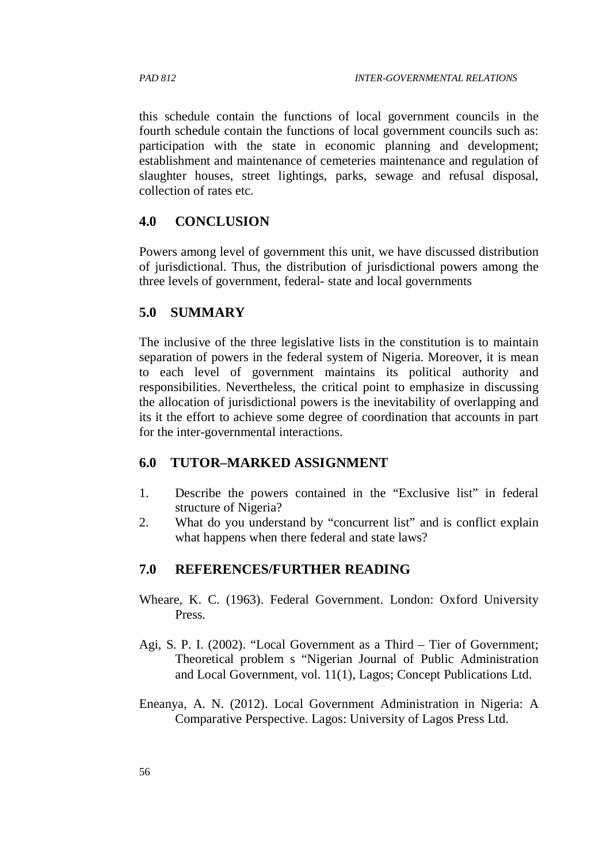this schedule contain the functions of local government councils in the fourth schedule contain the functions of local government councils such as: participation with the state in economic planning and development; establishment and maintenance of cemeteries maintenance and regulation of slaughter houses, street lightings, parks, sewage and refusal disposal, collection of rates etc.

#### **4.0 CONCLUSION**

Powers among level of government this unit, we have discussed distribution of jurisdictional. Thus, the distribution of jurisdictional powers among the three levels of government, federal- state and local governments

#### **5.0 SUMMARY**

The inclusive of the three legislative lists in the constitution is to maintain separation of powers in the federal system of Nigeria. Moreover, it is mean to each level of government maintains its political authority and responsibilities. Nevertheless, the critical point to emphasize in discussing the allocation of jurisdictional powers is the inevitability of overlapping and its it the effort to achieve some degree of coordination that accounts in part for the inter-governmental interactions.

#### **6.0 TUTOR–MARKED ASSIGNMENT**

- 1. Describe the powers contained in the "Exclusive list" in federal structure of Nigeria?
- 2. What do you understand by "concurrent list" and is conflict explain what happens when there federal and state laws?

#### **7.0 REFERENCES/FURTHER READING**

- Wheare, K. C. (1963). Federal Government. London: Oxford University Press.
- Agi, S. P. I. (2002). "Local Government as a Third Tier of Government; Theoretical problem s "Nigerian Journal of Public Administration and Local Government, vol. 11(1), Lagos; Concept Publications Ltd.
- Eneanya, A. N. (2012). Local Government Administration in Nigeria: A Comparative Perspective. Lagos: University of Lagos Press Ltd.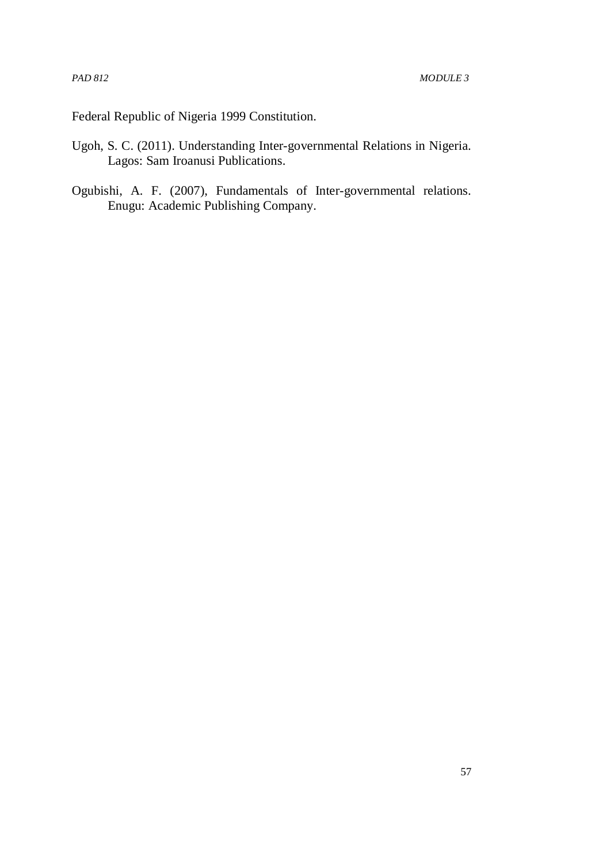Federal Republic of Nigeria 1999 Constitution.

- Ugoh, S. C. (2011). Understanding Inter-governmental Relations in Nigeria. Lagos: Sam Iroanusi Publications.
- Ogubishi, A. F. (2007), Fundamentals of Inter-governmental relations. Enugu: Academic Publishing Company.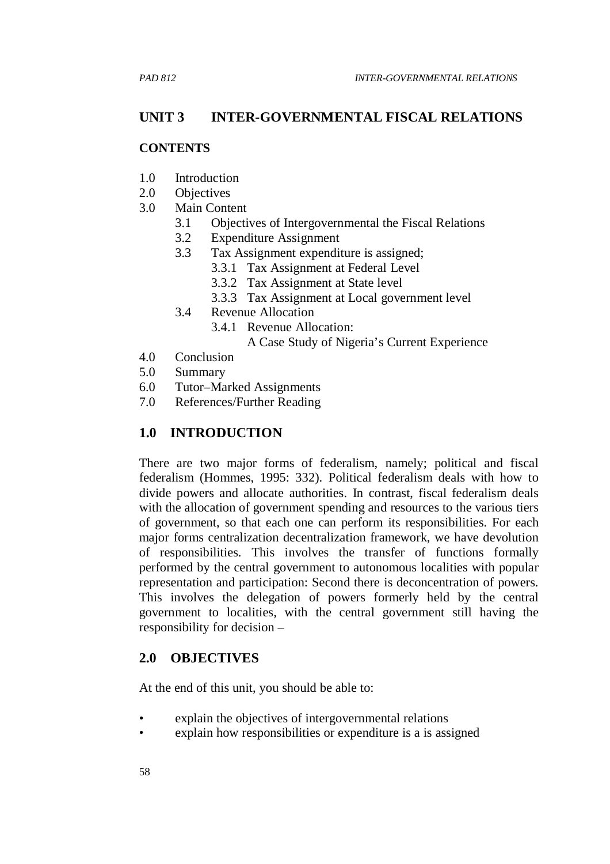## **UNIT 3 INTER-GOVERNMENTAL FISCAL RELATIONS**

#### **CONTENTS**

- 1.0 Introduction
- 2.0 Objectives
- 3.0 Main Content
	- 3.1 Objectives of Intergovernmental the Fiscal Relations
	- 3.2 Expenditure Assignment
	- 3.3 Tax Assignment expenditure is assigned;
		- 3.3.1 Tax Assignment at Federal Level
		- 3.3.2 Tax Assignment at State level
		- 3.3.3 Tax Assignment at Local government level
	- 3.4 Revenue Allocation
		- 3.4.1 Revenue Allocation:
			- A Case Study of Nigeria's Current Experience
- 4.0 Conclusion
- 5.0 Summary
- 6.0 Tutor–Marked Assignments
- 7.0 References/Further Reading

## **1.0 INTRODUCTION**

There are two major forms of federalism, namely; political and fiscal federalism (Hommes, 1995: 332). Political federalism deals with how to divide powers and allocate authorities. In contrast, fiscal federalism deals with the allocation of government spending and resources to the various tiers of government, so that each one can perform its responsibilities. For each major forms centralization decentralization framework, we have devolution of responsibilities. This involves the transfer of functions formally performed by the central government to autonomous localities with popular representation and participation: Second there is deconcentration of powers. This involves the delegation of powers formerly held by the central government to localities, with the central government still having the responsibility for decision –

#### **2.0 OBJECTIVES**

At the end of this unit, you should be able to:

- explain the objectives of intergovernmental relations
- explain how responsibilities or expenditure is a is assigned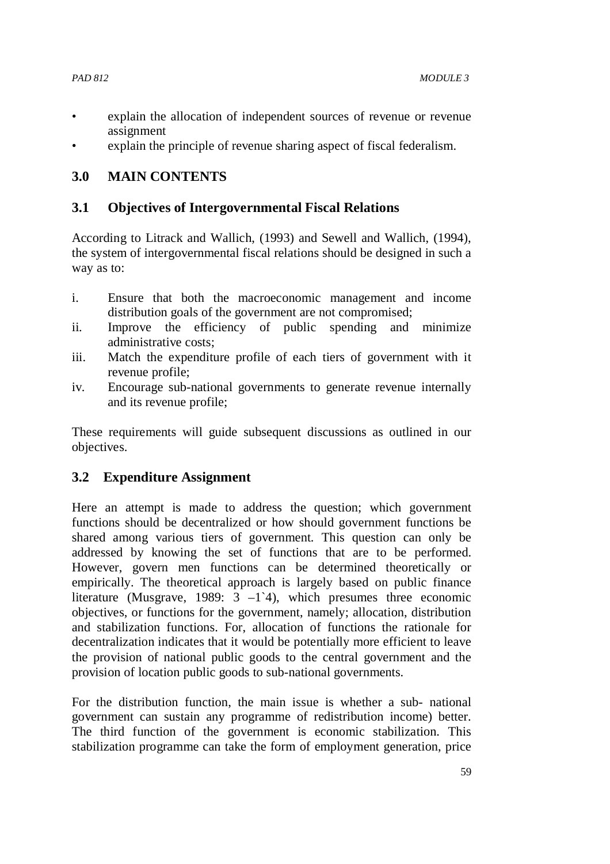- explain the allocation of independent sources of revenue or revenue assignment
- explain the principle of revenue sharing aspect of fiscal federalism.

## **3.0 MAIN CONTENTS**

#### **3.1 Objectives of Intergovernmental Fiscal Relations**

According to Litrack and Wallich, (1993) and Sewell and Wallich, (1994), the system of intergovernmental fiscal relations should be designed in such a way as to:

- i. Ensure that both the macroeconomic management and income distribution goals of the government are not compromised;
- ii. Improve the efficiency of public spending and minimize administrative costs;
- iii. Match the expenditure profile of each tiers of government with it revenue profile;
- iv. Encourage sub-national governments to generate revenue internally and its revenue profile;

These requirements will guide subsequent discussions as outlined in our objectives.

### **3.2 Expenditure Assignment**

Here an attempt is made to address the question; which government functions should be decentralized or how should government functions be shared among various tiers of government. This question can only be addressed by knowing the set of functions that are to be performed. However, govern men functions can be determined theoretically or empirically. The theoretical approach is largely based on public finance literature (Musgrave, 1989:  $3 -1.4$ ), which presumes three economic objectives, or functions for the government, namely; allocation, distribution and stabilization functions. For, allocation of functions the rationale for decentralization indicates that it would be potentially more efficient to leave the provision of national public goods to the central government and the provision of location public goods to sub-national governments.

For the distribution function, the main issue is whether a sub- national government can sustain any programme of redistribution income) better. The third function of the government is economic stabilization. This stabilization programme can take the form of employment generation, price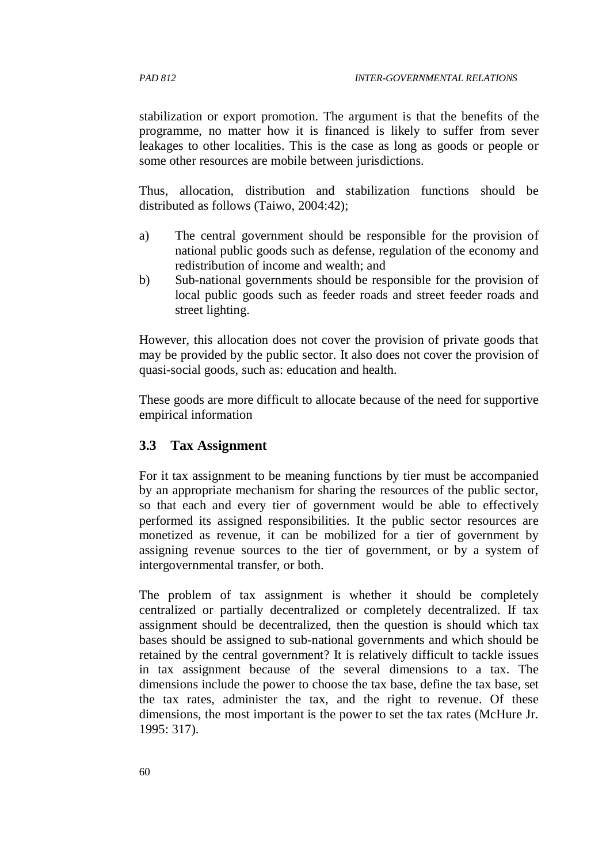stabilization or export promotion. The argument is that the benefits of the programme, no matter how it is financed is likely to suffer from sever leakages to other localities. This is the case as long as goods or people or some other resources are mobile between jurisdictions.

Thus, allocation, distribution and stabilization functions should be distributed as follows (Taiwo, 2004:42);

- a) The central government should be responsible for the provision of national public goods such as defense, regulation of the economy and redistribution of income and wealth; and
- b) Sub-national governments should be responsible for the provision of local public goods such as feeder roads and street feeder roads and street lighting.

However, this allocation does not cover the provision of private goods that may be provided by the public sector. It also does not cover the provision of quasi-social goods, such as: education and health.

These goods are more difficult to allocate because of the need for supportive empirical information

### **3.3 Tax Assignment**

For it tax assignment to be meaning functions by tier must be accompanied by an appropriate mechanism for sharing the resources of the public sector, so that each and every tier of government would be able to effectively performed its assigned responsibilities. It the public sector resources are monetized as revenue, it can be mobilized for a tier of government by assigning revenue sources to the tier of government, or by a system of intergovernmental transfer, or both.

The problem of tax assignment is whether it should be completely centralized or partially decentralized or completely decentralized. If tax assignment should be decentralized, then the question is should which tax bases should be assigned to sub-national governments and which should be retained by the central government? It is relatively difficult to tackle issues in tax assignment because of the several dimensions to a tax. The dimensions include the power to choose the tax base, define the tax base, set the tax rates, administer the tax, and the right to revenue. Of these dimensions, the most important is the power to set the tax rates (McHure Jr. 1995: 317).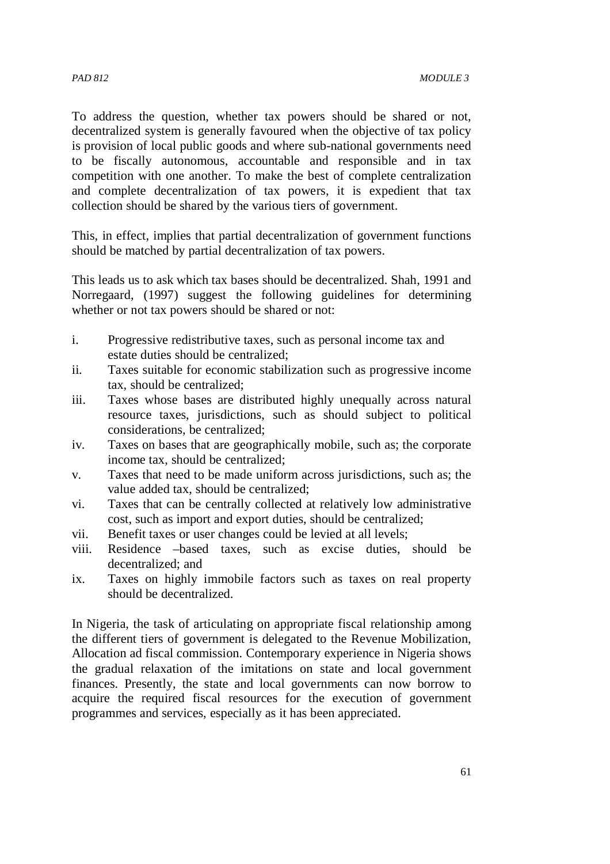To address the question, whether tax powers should be shared or not, decentralized system is generally favoured when the objective of tax policy is provision of local public goods and where sub-national governments need to be fiscally autonomous, accountable and responsible and in tax competition with one another. To make the best of complete centralization and complete decentralization of tax powers, it is expedient that tax collection should be shared by the various tiers of government.

This, in effect, implies that partial decentralization of government functions should be matched by partial decentralization of tax powers.

This leads us to ask which tax bases should be decentralized. Shah, 1991 and Norregaard, (1997) suggest the following guidelines for determining whether or not tax powers should be shared or not:

- i. Progressive redistributive taxes, such as personal income tax and estate duties should be centralized;
- ii. Taxes suitable for economic stabilization such as progressive income tax, should be centralized;
- iii. Taxes whose bases are distributed highly unequally across natural resource taxes, jurisdictions, such as should subject to political considerations, be centralized;
- iv. Taxes on bases that are geographically mobile, such as; the corporate income tax, should be centralized;
- v. Taxes that need to be made uniform across jurisdictions, such as; the value added tax, should be centralized;
- vi. Taxes that can be centrally collected at relatively low administrative cost, such as import and export duties, should be centralized;
- vii. Benefit taxes or user changes could be levied at all levels;
- viii. Residence –based taxes, such as excise duties, should be decentralized; and
- ix. Taxes on highly immobile factors such as taxes on real property should be decentralized.

In Nigeria, the task of articulating on appropriate fiscal relationship among the different tiers of government is delegated to the Revenue Mobilization, Allocation ad fiscal commission. Contemporary experience in Nigeria shows the gradual relaxation of the imitations on state and local government finances. Presently, the state and local governments can now borrow to acquire the required fiscal resources for the execution of government programmes and services, especially as it has been appreciated.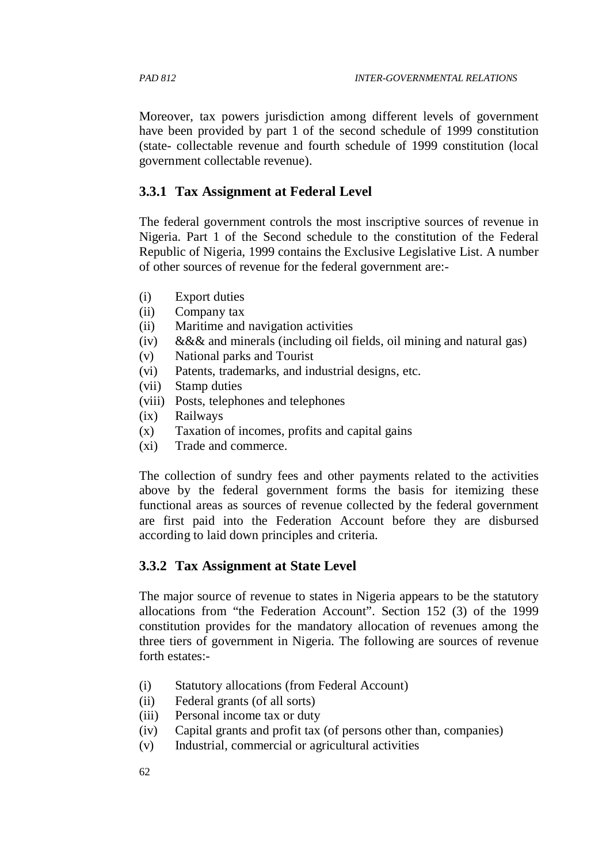Moreover, tax powers jurisdiction among different levels of government have been provided by part 1 of the second schedule of 1999 constitution (state- collectable revenue and fourth schedule of 1999 constitution (local government collectable revenue).

# **3.3.1 Tax Assignment at Federal Level**

The federal government controls the most inscriptive sources of revenue in Nigeria. Part 1 of the Second schedule to the constitution of the Federal Republic of Nigeria, 1999 contains the Exclusive Legislative List. A number of other sources of revenue for the federal government are:-

- (i) Export duties
- (ii) Company tax
- (ii) Maritime and navigation activities
- (iv) &&& and minerals (including oil fields, oil mining and natural gas)
- (v) National parks and Tourist
- (vi) Patents, trademarks, and industrial designs, etc.
- (vii) Stamp duties
- (viii) Posts, telephones and telephones
- (ix) Railways
- (x) Taxation of incomes, profits and capital gains
- (xi) Trade and commerce.

The collection of sundry fees and other payments related to the activities above by the federal government forms the basis for itemizing these functional areas as sources of revenue collected by the federal government are first paid into the Federation Account before they are disbursed according to laid down principles and criteria.

### **3.3.2 Tax Assignment at State Level**

The major source of revenue to states in Nigeria appears to be the statutory allocations from "the Federation Account". Section 152 (3) of the 1999 constitution provides for the mandatory allocation of revenues among the three tiers of government in Nigeria. The following are sources of revenue forth estates:-

- (i) Statutory allocations (from Federal Account)
- (ii) Federal grants (of all sorts)
- (iii) Personal income tax or duty
- (iv) Capital grants and profit tax (of persons other than, companies)
- (v) Industrial, commercial or agricultural activities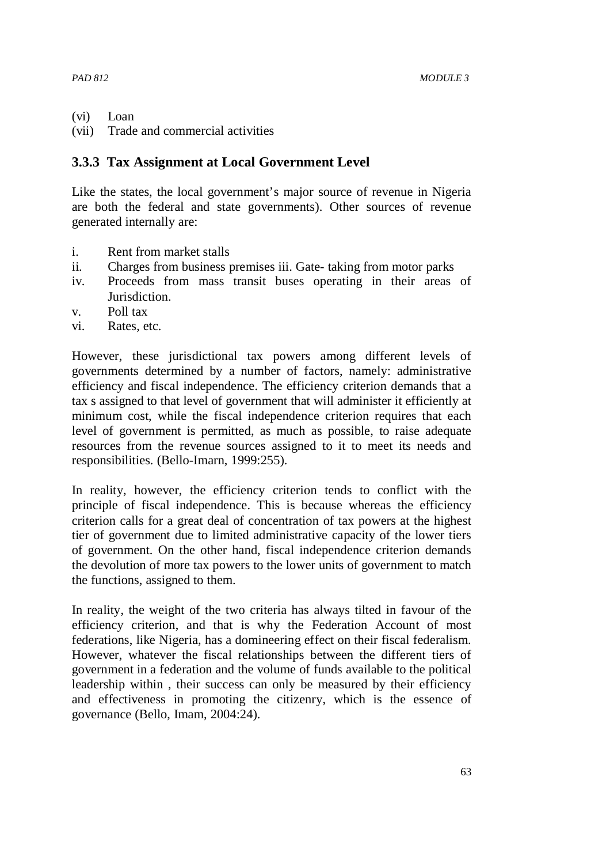- 
- (vi) Loan
- (vii) Trade and commercial activities

#### **3.3.3 Tax Assignment at Local Government Level**

Like the states, the local government's major source of revenue in Nigeria are both the federal and state governments). Other sources of revenue generated internally are:

- i. Rent from market stalls
- ii. Charges from business premises iii. Gate- taking from motor parks
- iv. Proceeds from mass transit buses operating in their areas of Jurisdiction.
- v. Poll tax
- vi. Rates, etc.

However, these jurisdictional tax powers among different levels of governments determined by a number of factors, namely: administrative efficiency and fiscal independence. The efficiency criterion demands that a tax s assigned to that level of government that will administer it efficiently at minimum cost, while the fiscal independence criterion requires that each level of government is permitted, as much as possible, to raise adequate resources from the revenue sources assigned to it to meet its needs and responsibilities. (Bello-Imarn, 1999:255).

In reality, however, the efficiency criterion tends to conflict with the principle of fiscal independence. This is because whereas the efficiency criterion calls for a great deal of concentration of tax powers at the highest tier of government due to limited administrative capacity of the lower tiers of government. On the other hand, fiscal independence criterion demands the devolution of more tax powers to the lower units of government to match the functions, assigned to them.

In reality, the weight of the two criteria has always tilted in favour of the efficiency criterion, and that is why the Federation Account of most federations, like Nigeria, has a domineering effect on their fiscal federalism. However, whatever the fiscal relationships between the different tiers of government in a federation and the volume of funds available to the political leadership within , their success can only be measured by their efficiency and effectiveness in promoting the citizenry, which is the essence of governance (Bello, Imam, 2004:24).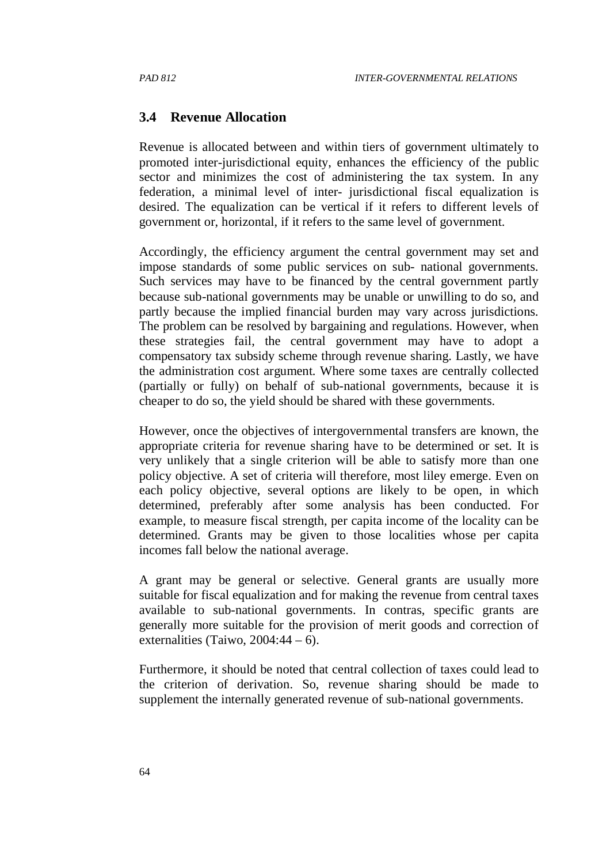#### **3.4 Revenue Allocation**

Revenue is allocated between and within tiers of government ultimately to promoted inter-jurisdictional equity, enhances the efficiency of the public sector and minimizes the cost of administering the tax system. In any federation, a minimal level of inter- jurisdictional fiscal equalization is desired. The equalization can be vertical if it refers to different levels of government or, horizontal, if it refers to the same level of government.

Accordingly, the efficiency argument the central government may set and impose standards of some public services on sub- national governments. Such services may have to be financed by the central government partly because sub-national governments may be unable or unwilling to do so, and partly because the implied financial burden may vary across jurisdictions. The problem can be resolved by bargaining and regulations. However, when these strategies fail, the central government may have to adopt a compensatory tax subsidy scheme through revenue sharing. Lastly, we have the administration cost argument. Where some taxes are centrally collected (partially or fully) on behalf of sub-national governments, because it is cheaper to do so, the yield should be shared with these governments.

However, once the objectives of intergovernmental transfers are known, the appropriate criteria for revenue sharing have to be determined or set. It is very unlikely that a single criterion will be able to satisfy more than one policy objective. A set of criteria will therefore, most liley emerge. Even on each policy objective, several options are likely to be open, in which determined, preferably after some analysis has been conducted. For example, to measure fiscal strength, per capita income of the locality can be determined. Grants may be given to those localities whose per capita incomes fall below the national average.

A grant may be general or selective. General grants are usually more suitable for fiscal equalization and for making the revenue from central taxes available to sub-national governments. In contras, specific grants are generally more suitable for the provision of merit goods and correction of externalities (Taiwo,  $2004:44 - 6$ ).

Furthermore, it should be noted that central collection of taxes could lead to the criterion of derivation. So, revenue sharing should be made to supplement the internally generated revenue of sub-national governments.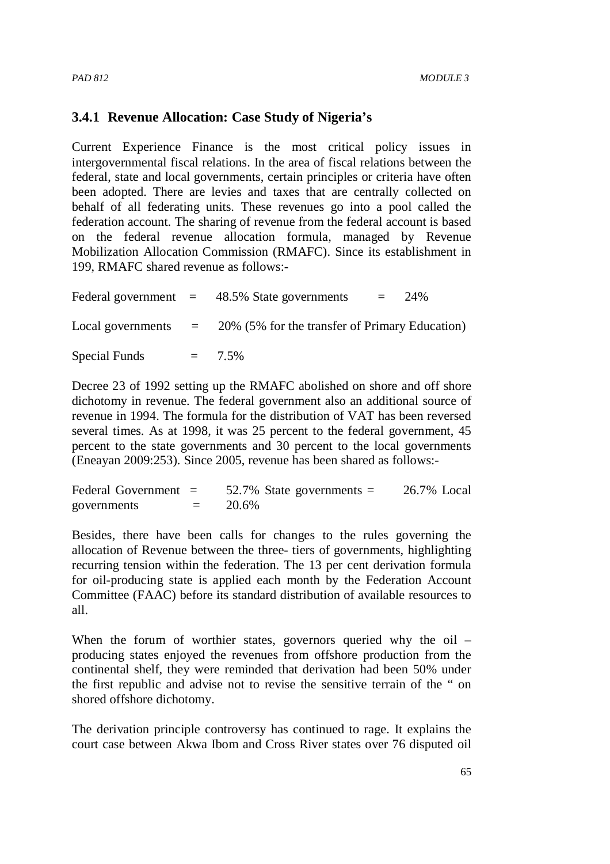### **3.4.1 Revenue Allocation: Case Study of Nigeria's**

Current Experience Finance is the most critical policy issues in intergovernmental fiscal relations. In the area of fiscal relations between the federal, state and local governments, certain principles or criteria have often been adopted. There are levies and taxes that are centrally collected on behalf of all federating units. These revenues go into a pool called the federation account. The sharing of revenue from the federal account is based on the federal revenue allocation formula, managed by Revenue Mobilization Allocation Commission (RMAFC). Since its establishment in 199, RMAFC shared revenue as follows:-

|               | Federal government $=$ 48.5% State governments                        | $= 24\%$ |
|---------------|-----------------------------------------------------------------------|----------|
|               | Local governments $= 20\%$ (5% for the transfer of Primary Education) |          |
| Special Funds | $= 7.5\%$                                                             |          |

Decree 23 of 1992 setting up the RMAFC abolished on shore and off shore dichotomy in revenue. The federal government also an additional source of revenue in 1994. The formula for the distribution of VAT has been reversed several times. As at 1998, it was 25 percent to the federal government, 45 percent to the state governments and 30 percent to the local governments (Eneayan 2009:253). Since 2005, revenue has been shared as follows:-

| Federal Government $=$ | 52.7% State governments $=$ | 26.7% Local |
|------------------------|-----------------------------|-------------|
| governments            | $= 20.6\%$                  |             |

Besides, there have been calls for changes to the rules governing the allocation of Revenue between the three- tiers of governments, highlighting recurring tension within the federation. The 13 per cent derivation formula for oil-producing state is applied each month by the Federation Account Committee (FAAC) before its standard distribution of available resources to all.

When the forum of worthier states, governors queried why the oil – producing states enjoyed the revenues from offshore production from the continental shelf, they were reminded that derivation had been 50% under the first republic and advise not to revise the sensitive terrain of the " on shored offshore dichotomy.

The derivation principle controversy has continued to rage. It explains the court case between Akwa Ibom and Cross River states over 76 disputed oil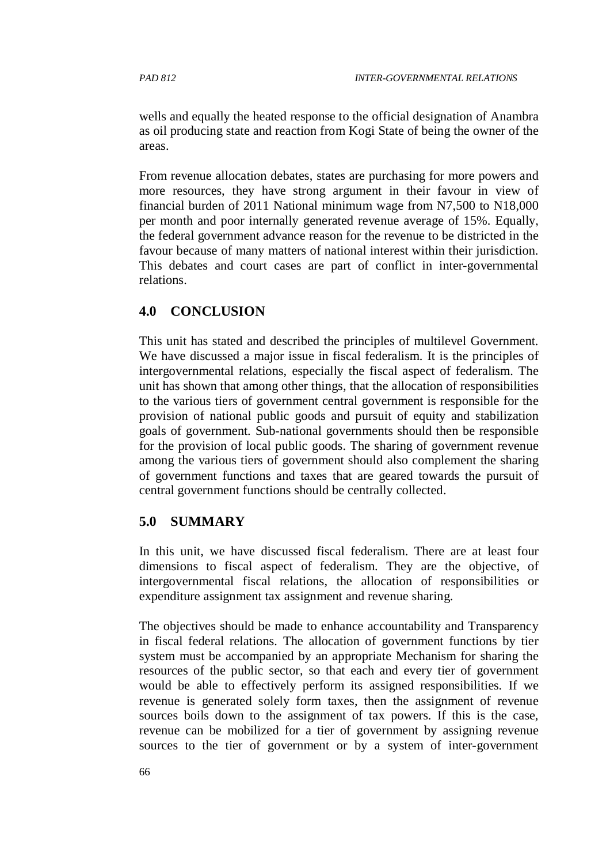wells and equally the heated response to the official designation of Anambra as oil producing state and reaction from Kogi State of being the owner of the areas.

From revenue allocation debates, states are purchasing for more powers and more resources, they have strong argument in their favour in view of financial burden of 2011 National minimum wage from N7,500 to N18,000 per month and poor internally generated revenue average of 15%. Equally, the federal government advance reason for the revenue to be districted in the favour because of many matters of national interest within their jurisdiction. This debates and court cases are part of conflict in inter-governmental relations.

### **4.0 CONCLUSION**

This unit has stated and described the principles of multilevel Government. We have discussed a major issue in fiscal federalism. It is the principles of intergovernmental relations, especially the fiscal aspect of federalism. The unit has shown that among other things, that the allocation of responsibilities to the various tiers of government central government is responsible for the provision of national public goods and pursuit of equity and stabilization goals of government. Sub-national governments should then be responsible for the provision of local public goods. The sharing of government revenue among the various tiers of government should also complement the sharing of government functions and taxes that are geared towards the pursuit of central government functions should be centrally collected.

# **5.0 SUMMARY**

In this unit, we have discussed fiscal federalism. There are at least four dimensions to fiscal aspect of federalism. They are the objective, of intergovernmental fiscal relations, the allocation of responsibilities or expenditure assignment tax assignment and revenue sharing.

The objectives should be made to enhance accountability and Transparency in fiscal federal relations. The allocation of government functions by tier system must be accompanied by an appropriate Mechanism for sharing the resources of the public sector, so that each and every tier of government would be able to effectively perform its assigned responsibilities. If we revenue is generated solely form taxes, then the assignment of revenue sources boils down to the assignment of tax powers. If this is the case, revenue can be mobilized for a tier of government by assigning revenue sources to the tier of government or by a system of inter-government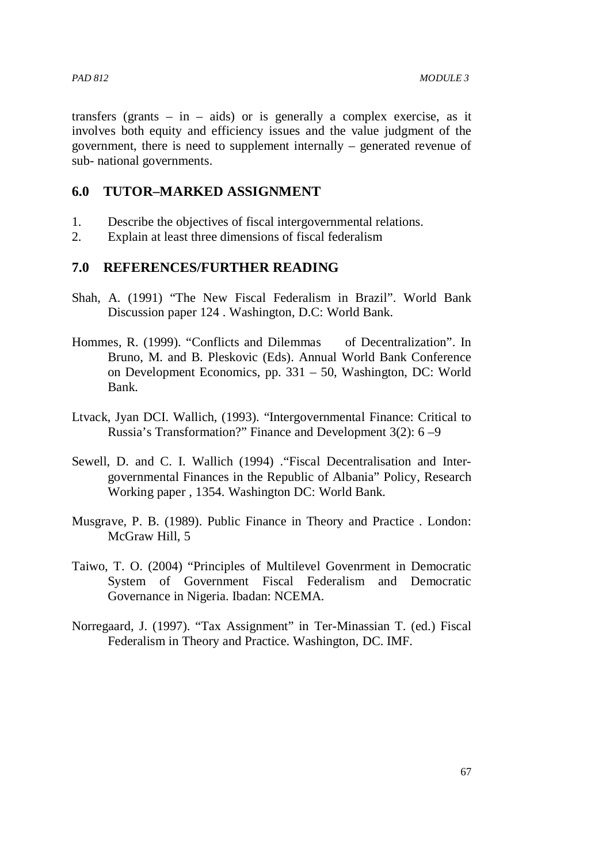transfers (grants – in – aids) or is generally a complex exercise, as it involves both equity and efficiency issues and the value judgment of the government, there is need to supplement internally – generated revenue of sub- national governments.

#### **6.0 TUTOR–MARKED ASSIGNMENT**

- 1. Describe the objectives of fiscal intergovernmental relations.
- 2. Explain at least three dimensions of fiscal federalism

#### **7.0 REFERENCES/FURTHER READING**

- Shah, A. (1991) "The New Fiscal Federalism in Brazil". World Bank Discussion paper 124 . Washington, D.C: World Bank.
- Hommes, R. (1999). "Conflicts and Dilemmas of Decentralization". In Bruno, M. and B. Pleskovic (Eds). Annual World Bank Conference on Development Economics, pp. 331 – 50, Washington, DC: World Bank.
- Ltvack, Jyan DCI. Wallich, (1993). "Intergovernmental Finance: Critical to Russia's Transformation?" Finance and Development 3(2): 6 –9
- Sewell, D. and C. I. Wallich (1994) ."Fiscal Decentralisation and Intergovernmental Finances in the Republic of Albania" Policy, Research Working paper , 1354. Washington DC: World Bank.
- Musgrave, P. B. (1989). Public Finance in Theory and Practice . London: McGraw Hill, 5
- Taiwo, T. O. (2004) "Principles of Multilevel Govenrment in Democratic System of Government Fiscal Federalism and Democratic Governance in Nigeria. Ibadan: NCEMA.
- Norregaard, J. (1997). "Tax Assignment" in Ter-Minassian T. (ed.) Fiscal Federalism in Theory and Practice. Washington, DC. IMF.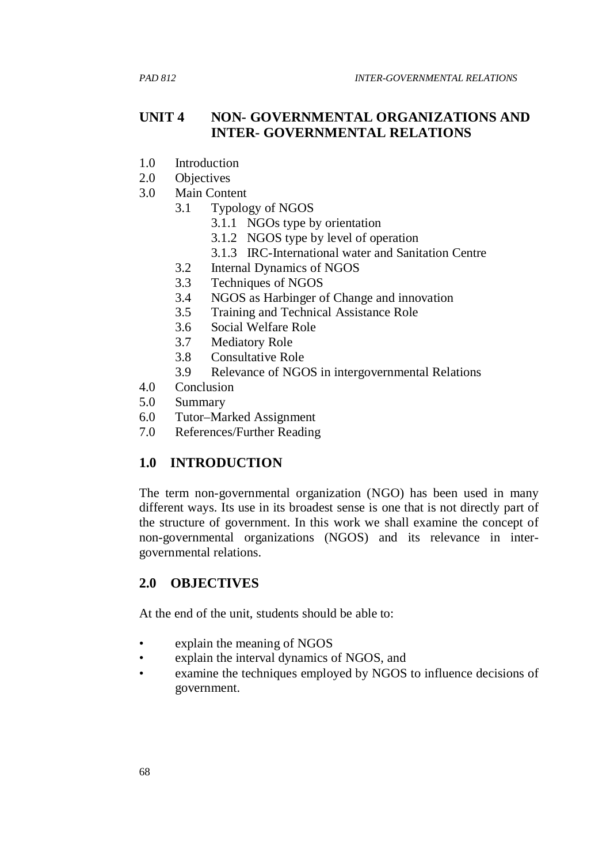#### **UNIT 4 NON- GOVERNMENTAL ORGANIZATIONS AND INTER- GOVERNMENTAL RELATIONS**

- 1.0 Introduction
- 2.0 Objectives
- 3.0 Main Content
	- 3.1 Typology of NGOS
		- 3.1.1 NGOs type by orientation
		- 3.1.2 NGOS type by level of operation
		- 3.1.3 IRC-International water and Sanitation Centre
	- 3.2 Internal Dynamics of NGOS
	- 3.3 Techniques of NGOS
	- 3.4 NGOS as Harbinger of Change and innovation
	- 3.5 Training and Technical Assistance Role
	- 3.6 Social Welfare Role
	- 3.7 Mediatory Role
	- 3.8 Consultative Role
	- 3.9 Relevance of NGOS in intergovernmental Relations
- 4.0 Conclusion
- 5.0 Summary
- 6.0 Tutor–Marked Assignment
- 7.0 References/Further Reading

#### **1.0 INTRODUCTION**

The term non-governmental organization (NGO) has been used in many different ways. Its use in its broadest sense is one that is not directly part of the structure of government. In this work we shall examine the concept of non-governmental organizations (NGOS) and its relevance in intergovernmental relations.

#### **2.0 OBJECTIVES**

At the end of the unit, students should be able to:

- explain the meaning of NGOS
- explain the interval dynamics of NGOS, and
- examine the techniques employed by NGOS to influence decisions of government.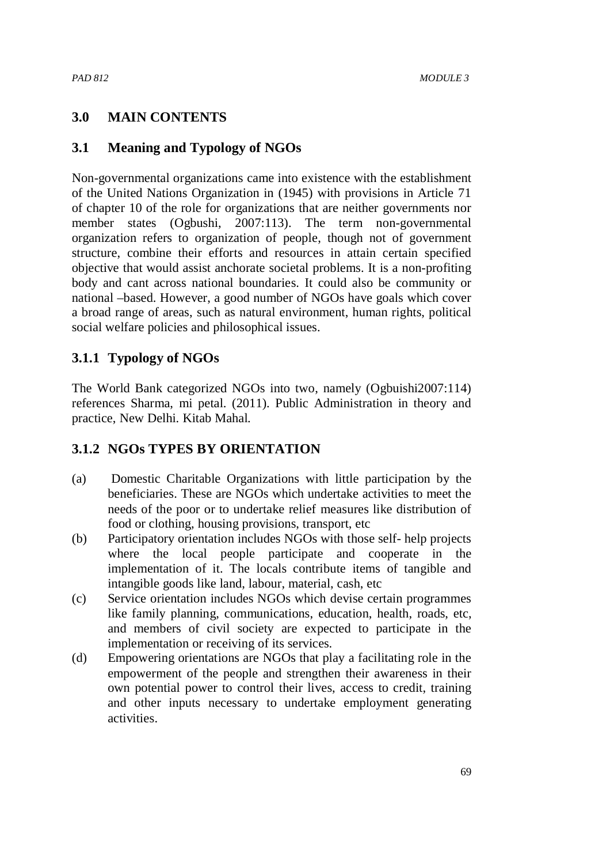# **3.0 MAIN CONTENTS**

### **3.1 Meaning and Typology of NGOs**

Non-governmental organizations came into existence with the establishment of the United Nations Organization in (1945) with provisions in Article 71 of chapter 10 of the role for organizations that are neither governments nor member states (Ogbushi, 2007:113). The term non-governmental organization refers to organization of people, though not of government structure, combine their efforts and resources in attain certain specified objective that would assist anchorate societal problems. It is a non-profiting body and cant across national boundaries. It could also be community or national –based. However, a good number of NGOs have goals which cover a broad range of areas, such as natural environment, human rights, political social welfare policies and philosophical issues.

# **3.1.1 Typology of NGOs**

The World Bank categorized NGOs into two, namely (Ogbuishi2007:114) references Sharma, mi petal. (2011). Public Administration in theory and practice, New Delhi. Kitab Mahal.

# **3.1.2 NGOs TYPES BY ORIENTATION**

- (a) Domestic Charitable Organizations with little participation by the beneficiaries. These are NGOs which undertake activities to meet the needs of the poor or to undertake relief measures like distribution of food or clothing, housing provisions, transport, etc
- (b) Participatory orientation includes NGOs with those self- help projects where the local people participate and cooperate in the implementation of it. The locals contribute items of tangible and intangible goods like land, labour, material, cash, etc
- (c) Service orientation includes NGOs which devise certain programmes like family planning, communications, education, health, roads, etc, and members of civil society are expected to participate in the implementation or receiving of its services.
- (d) Empowering orientations are NGOs that play a facilitating role in the empowerment of the people and strengthen their awareness in their own potential power to control their lives, access to credit, training and other inputs necessary to undertake employment generating activities.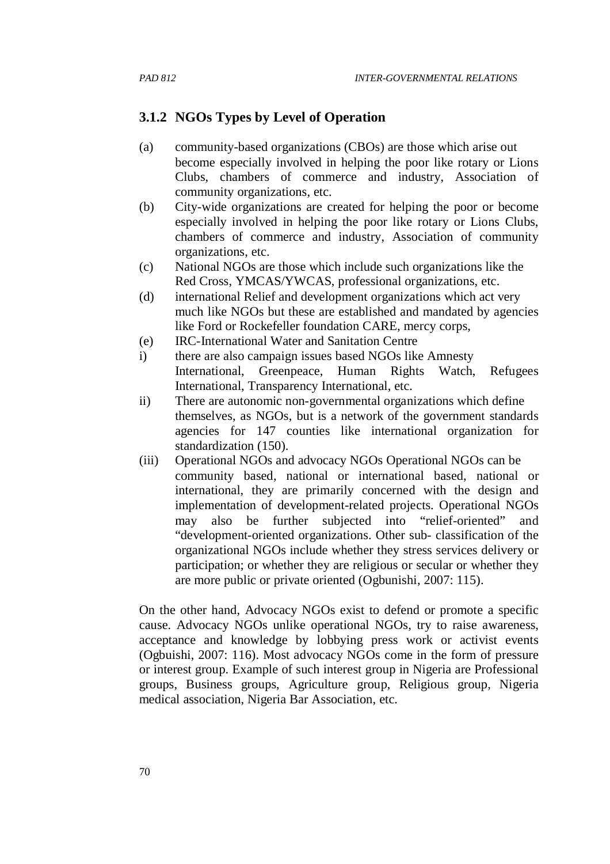#### **3.1.2 NGOs Types by Level of Operation**

- (a) community-based organizations (CBOs) are those which arise out become especially involved in helping the poor like rotary or Lions Clubs, chambers of commerce and industry, Association of community organizations, etc.
- (b) City-wide organizations are created for helping the poor or become especially involved in helping the poor like rotary or Lions Clubs, chambers of commerce and industry, Association of community organizations, etc.
- (c) National NGOs are those which include such organizations like the Red Cross, YMCAS/YWCAS, professional organizations, etc.
- (d) international Relief and development organizations which act very much like NGOs but these are established and mandated by agencies like Ford or Rockefeller foundation CARE, mercy corps,
- (e) IRC-International Water and Sanitation Centre
- i) there are also campaign issues based NGOs like Amnesty International, Greenpeace, Human Rights Watch, Refugees International, Transparency International, etc.
- ii) There are autonomic non-governmental organizations which define themselves, as NGOs, but is a network of the government standards agencies for 147 counties like international organization for standardization (150).
- (iii) Operational NGOs and advocacy NGOs Operational NGOs can be community based, national or international based, national or international, they are primarily concerned with the design and implementation of development-related projects. Operational NGOs may also be further subjected into "relief-oriented" and "development-oriented organizations. Other sub- classification of the organizational NGOs include whether they stress services delivery or participation; or whether they are religious or secular or whether they are more public or private oriented (Ogbunishi, 2007: 115).

On the other hand, Advocacy NGOs exist to defend or promote a specific cause. Advocacy NGOs unlike operational NGOs, try to raise awareness, acceptance and knowledge by lobbying press work or activist events (Ogbuishi, 2007: 116). Most advocacy NGOs come in the form of pressure or interest group. Example of such interest group in Nigeria are Professional groups, Business groups, Agriculture group, Religious group, Nigeria medical association, Nigeria Bar Association, etc.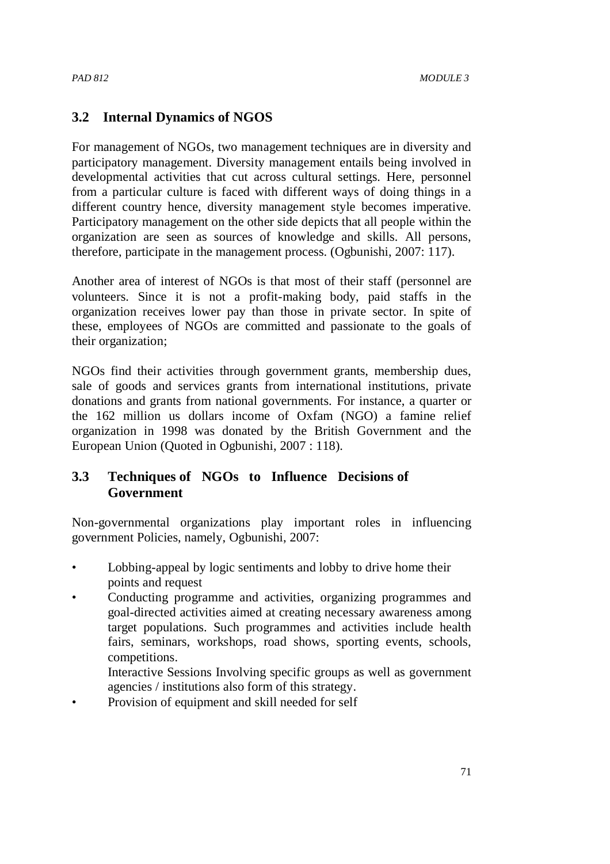## **3.2 Internal Dynamics of NGOS**

For management of NGOs, two management techniques are in diversity and participatory management. Diversity management entails being involved in developmental activities that cut across cultural settings. Here, personnel from a particular culture is faced with different ways of doing things in a different country hence, diversity management style becomes imperative. Participatory management on the other side depicts that all people within the organization are seen as sources of knowledge and skills. All persons, therefore, participate in the management process. (Ogbunishi, 2007: 117).

Another area of interest of NGOs is that most of their staff (personnel are volunteers. Since it is not a profit-making body, paid staffs in the organization receives lower pay than those in private sector. In spite of these, employees of NGOs are committed and passionate to the goals of their organization;

NGOs find their activities through government grants, membership dues, sale of goods and services grants from international institutions, private donations and grants from national governments. For instance, a quarter or the 162 million us dollars income of Oxfam (NGO) a famine relief organization in 1998 was donated by the British Government and the European Union (Quoted in Ogbunishi, 2007 : 118).

## **3.3 Techniques of NGOs to Influence Decisions of Government**

Non-governmental organizations play important roles in influencing government Policies, namely, Ogbunishi, 2007:

- Lobbing-appeal by logic sentiments and lobby to drive home their points and request
- Conducting programme and activities, organizing programmes and goal-directed activities aimed at creating necessary awareness among target populations. Such programmes and activities include health fairs, seminars, workshops, road shows, sporting events, schools, competitions.

Interactive Sessions Involving specific groups as well as government agencies / institutions also form of this strategy.

Provision of equipment and skill needed for self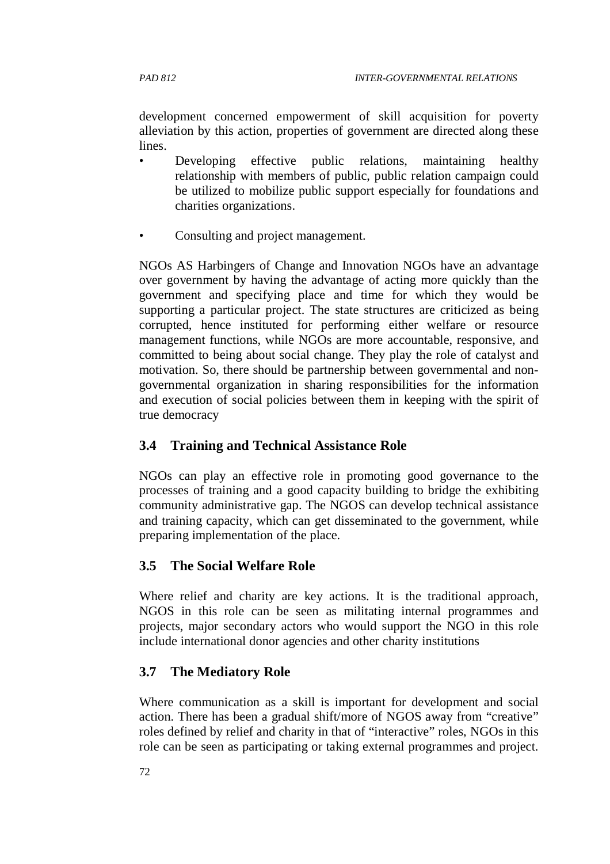development concerned empowerment of skill acquisition for poverty alleviation by this action, properties of government are directed along these lines.

- Developing effective public relations, maintaining healthy relationship with members of public, public relation campaign could be utilized to mobilize public support especially for foundations and charities organizations.
- Consulting and project management.

NGOs AS Harbingers of Change and Innovation NGOs have an advantage over government by having the advantage of acting more quickly than the government and specifying place and time for which they would be supporting a particular project. The state structures are criticized as being corrupted, hence instituted for performing either welfare or resource management functions, while NGOs are more accountable, responsive, and committed to being about social change. They play the role of catalyst and motivation. So, there should be partnership between governmental and nongovernmental organization in sharing responsibilities for the information and execution of social policies between them in keeping with the spirit of true democracy

# **3.4 Training and Technical Assistance Role**

NGOs can play an effective role in promoting good governance to the processes of training and a good capacity building to bridge the exhibiting community administrative gap. The NGOS can develop technical assistance and training capacity, which can get disseminated to the government, while preparing implementation of the place.

# **3.5 The Social Welfare Role**

Where relief and charity are key actions. It is the traditional approach, NGOS in this role can be seen as militating internal programmes and projects, major secondary actors who would support the NGO in this role include international donor agencies and other charity institutions

### **3.7 The Mediatory Role**

Where communication as a skill is important for development and social action. There has been a gradual shift/more of NGOS away from "creative" roles defined by relief and charity in that of "interactive" roles, NGOs in this role can be seen as participating or taking external programmes and project.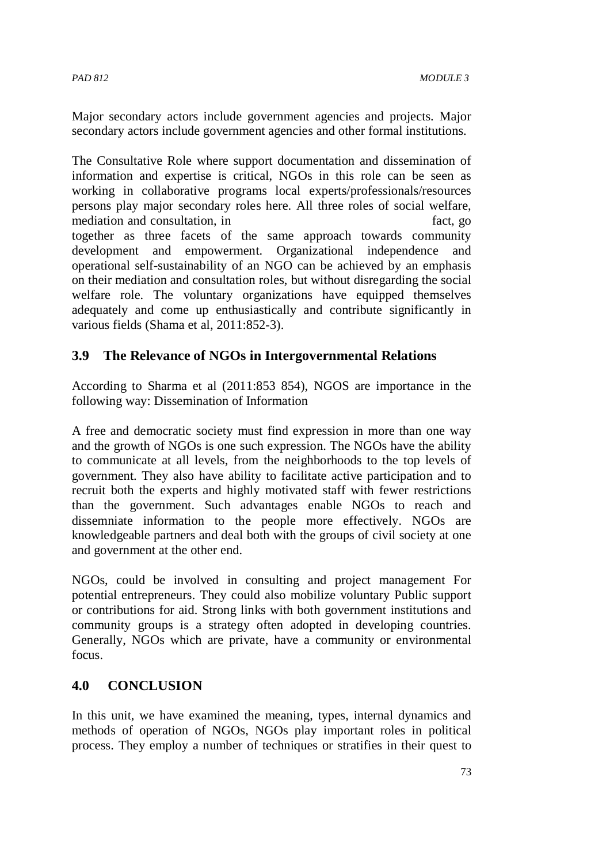Major secondary actors include government agencies and projects. Major secondary actors include government agencies and other formal institutions.

The Consultative Role where support documentation and dissemination of information and expertise is critical, NGOs in this role can be seen as working in collaborative programs local experts/professionals/resources persons play major secondary roles here. All three roles of social welfare, mediation and consultation, in fact, go fact, go together as three facets of the same approach towards community development and empowerment. Organizational independence and operational self-sustainability of an NGO can be achieved by an emphasis on their mediation and consultation roles, but without disregarding the social welfare role. The voluntary organizations have equipped themselves adequately and come up enthusiastically and contribute significantly in various fields (Shama et al, 2011:852-3).

### **3.9 The Relevance of NGOs in Intergovernmental Relations**

According to Sharma et al (2011:853 854), NGOS are importance in the following way: Dissemination of Information

A free and democratic society must find expression in more than one way and the growth of NGOs is one such expression. The NGOs have the ability to communicate at all levels, from the neighborhoods to the top levels of government. They also have ability to facilitate active participation and to recruit both the experts and highly motivated staff with fewer restrictions than the government. Such advantages enable NGOs to reach and dissemniate information to the people more effectively. NGOs are knowledgeable partners and deal both with the groups of civil society at one and government at the other end.

NGOs, could be involved in consulting and project management For potential entrepreneurs. They could also mobilize voluntary Public support or contributions for aid. Strong links with both government institutions and community groups is a strategy often adopted in developing countries. Generally, NGOs which are private, have a community or environmental focus.

### **4.0 CONCLUSION**

In this unit, we have examined the meaning, types, internal dynamics and methods of operation of NGOs, NGOs play important roles in political process. They employ a number of techniques or stratifies in their quest to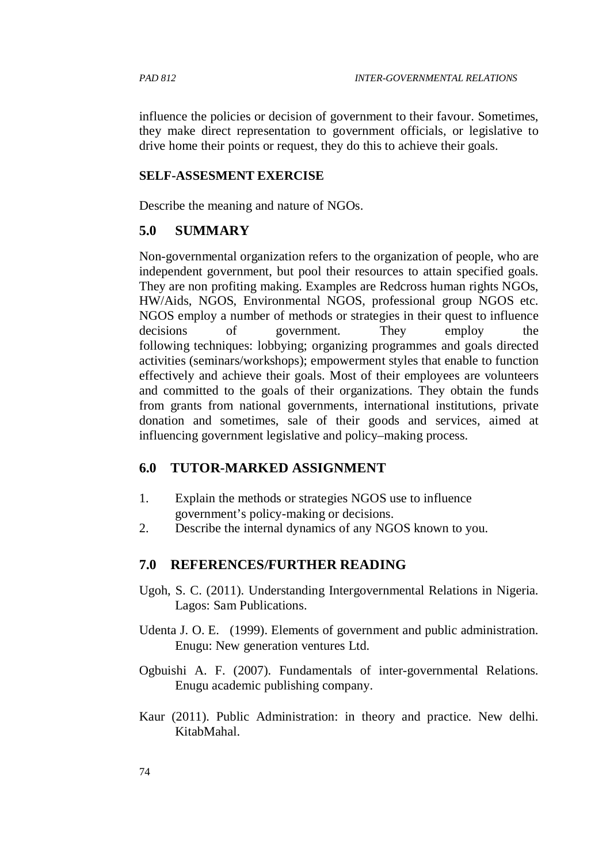influence the policies or decision of government to their favour. Sometimes, they make direct representation to government officials, or legislative to drive home their points or request, they do this to achieve their goals.

#### **SELF-ASSESMENT EXERCISE**

Describe the meaning and nature of NGOs.

### **5.0 SUMMARY**

Non-governmental organization refers to the organization of people, who are independent government, but pool their resources to attain specified goals. They are non profiting making. Examples are Redcross human rights NGOs, HW/Aids, NGOS, Environmental NGOS, professional group NGOS etc. NGOS employ a number of methods or strategies in their quest to influence decisions of government. They employ the following techniques: lobbying; organizing programmes and goals directed activities (seminars/workshops); empowerment styles that enable to function effectively and achieve their goals. Most of their employees are volunteers and committed to the goals of their organizations. They obtain the funds from grants from national governments, international institutions, private donation and sometimes, sale of their goods and services, aimed at influencing government legislative and policy–making process.

# **6.0 TUTOR-MARKED ASSIGNMENT**

- 1. Explain the methods or strategies NGOS use to influence government's policy-making or decisions.
- 2. Describe the internal dynamics of any NGOS known to you.

# **7.0 REFERENCES/FURTHER READING**

- Ugoh, S. C. (2011). Understanding Intergovernmental Relations in Nigeria. Lagos: Sam Publications.
- Udenta J. O. E. (1999). Elements of government and public administration. Enugu: New generation ventures Ltd.
- Ogbuishi A. F. (2007). Fundamentals of inter-governmental Relations. Enugu academic publishing company.
- Kaur (2011). Public Administration: in theory and practice. New delhi. KitabMahal.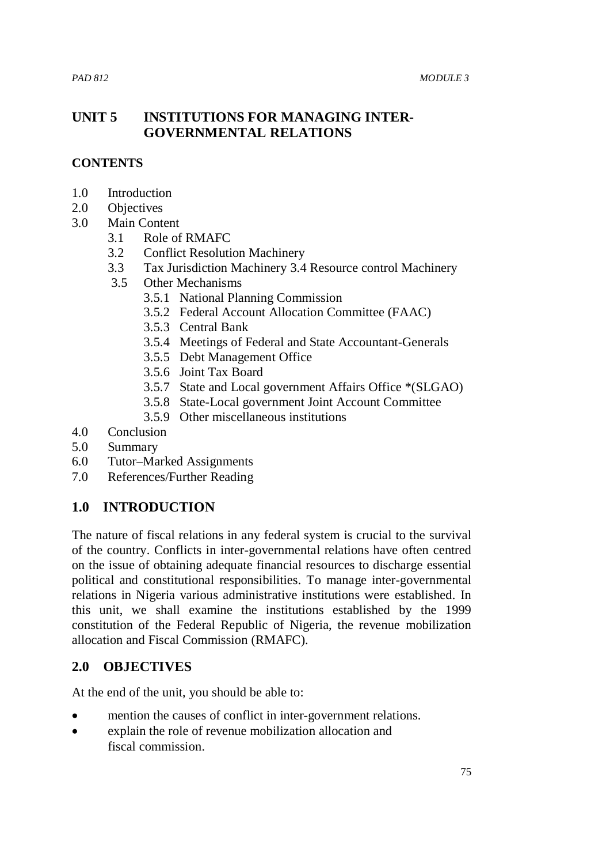## **UNIT 5 INSTITUTIONS FOR MANAGING INTER-GOVERNMENTAL RELATIONS**

#### **CONTENTS**

- 1.0 Introduction
- 2.0 Objectives
- 3.0 Main Content
	- 3.1 Role of RMAFC
	- 3.2 Conflict Resolution Machinery
	- 3.3 Tax Jurisdiction Machinery 3.4 Resource control Machinery
	- 3.5 Other Mechanisms
		- 3.5.1 National Planning Commission
		- 3.5.2 Federal Account Allocation Committee (FAAC)
		- 3.5.3 Central Bank
		- 3.5.4 Meetings of Federal and State Accountant-Generals
		- 3.5.5 Debt Management Office
		- 3.5.6 Joint Tax Board
		- 3.5.7 State and Local government Affairs Office \*(SLGAO)
		- 3.5.8 State-Local government Joint Account Committee
		- 3.5.9 Other miscellaneous institutions
- 4.0 Conclusion
- 5.0 Summary
- 6.0 Tutor–Marked Assignments
- 7.0 References/Further Reading

### **1.0 INTRODUCTION**

The nature of fiscal relations in any federal system is crucial to the survival of the country. Conflicts in inter-governmental relations have often centred on the issue of obtaining adequate financial resources to discharge essential political and constitutional responsibilities. To manage inter-governmental relations in Nigeria various administrative institutions were established. In this unit, we shall examine the institutions established by the 1999 constitution of the Federal Republic of Nigeria, the revenue mobilization allocation and Fiscal Commission (RMAFC).

#### **2.0 OBJECTIVES**

At the end of the unit, you should be able to:

- mention the causes of conflict in inter-government relations.
- explain the role of revenue mobilization allocation and fiscal commission.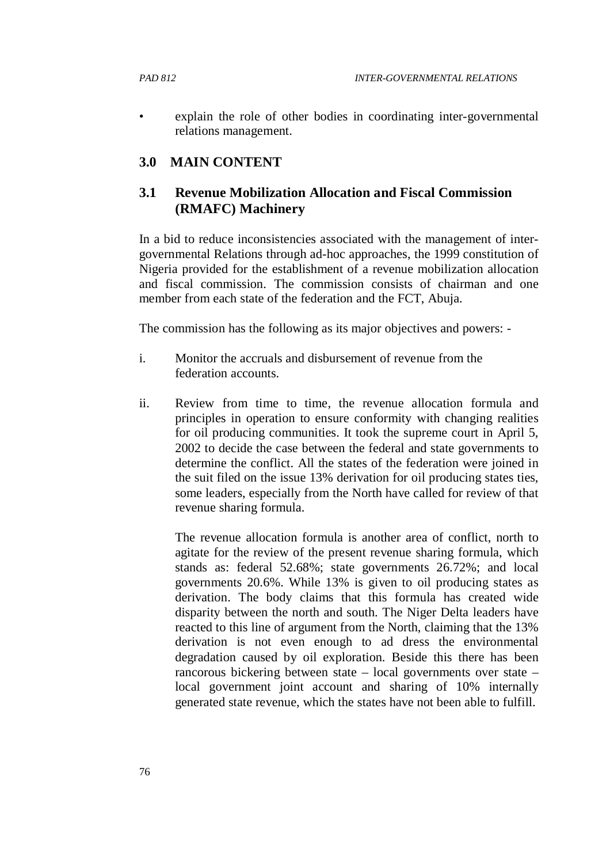• explain the role of other bodies in coordinating inter-governmental relations management.

#### **3.0 MAIN CONTENT**

# **3.1 Revenue Mobilization Allocation and Fiscal Commission (RMAFC) Machinery**

In a bid to reduce inconsistencies associated with the management of intergovernmental Relations through ad-hoc approaches, the 1999 constitution of Nigeria provided for the establishment of a revenue mobilization allocation and fiscal commission. The commission consists of chairman and one member from each state of the federation and the FCT, Abuja.

The commission has the following as its major objectives and powers: -

- i. Monitor the accruals and disbursement of revenue from the federation accounts.
- ii. Review from time to time, the revenue allocation formula and principles in operation to ensure conformity with changing realities for oil producing communities. It took the supreme court in April 5, 2002 to decide the case between the federal and state governments to determine the conflict. All the states of the federation were joined in the suit filed on the issue 13% derivation for oil producing states ties, some leaders, especially from the North have called for review of that revenue sharing formula.

The revenue allocation formula is another area of conflict, north to agitate for the review of the present revenue sharing formula, which stands as: federal 52.68%; state governments 26.72%; and local governments 20.6%. While 13% is given to oil producing states as derivation. The body claims that this formula has created wide disparity between the north and south. The Niger Delta leaders have reacted to this line of argument from the North, claiming that the 13% derivation is not even enough to ad dress the environmental degradation caused by oil exploration. Beside this there has been rancorous bickering between state – local governments over state – local government joint account and sharing of 10% internally generated state revenue, which the states have not been able to fulfill.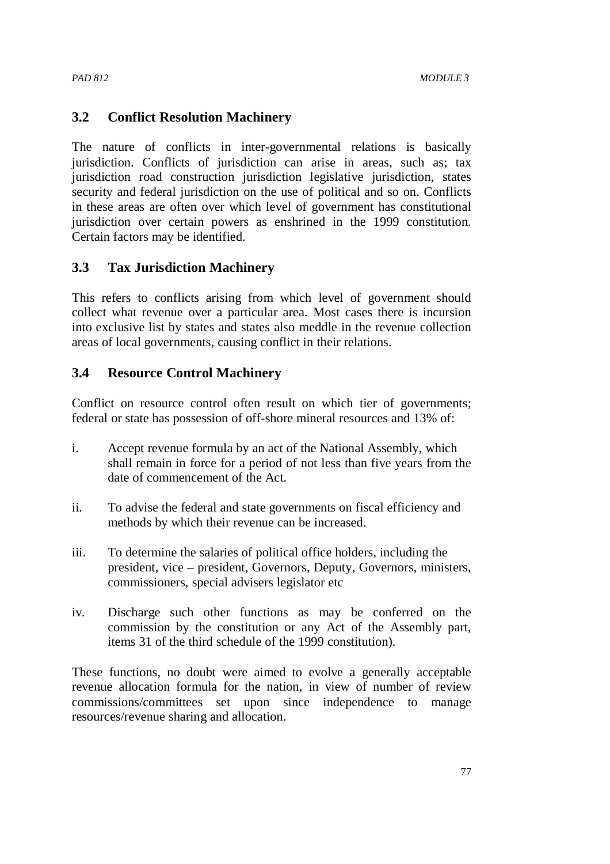### **3.2 Conflict Resolution Machinery**

The nature of conflicts in inter-governmental relations is basically jurisdiction. Conflicts of jurisdiction can arise in areas, such as; tax jurisdiction road construction jurisdiction legislative jurisdiction, states security and federal jurisdiction on the use of political and so on. Conflicts in these areas are often over which level of government has constitutional jurisdiction over certain powers as enshrined in the 1999 constitution. Certain factors may be identified.

## **3.3 Tax Jurisdiction Machinery**

This refers to conflicts arising from which level of government should collect what revenue over a particular area. Most cases there is incursion into exclusive list by states and states also meddle in the revenue collection areas of local governments, causing conflict in their relations.

## **3.4 Resource Control Machinery**

Conflict on resource control often result on which tier of governments; federal or state has possession of off-shore mineral resources and 13% of:

- i. Accept revenue formula by an act of the National Assembly, which shall remain in force for a period of not less than five years from the date of commencement of the Act.
- ii. To advise the federal and state governments on fiscal efficiency and methods by which their revenue can be increased.
- iii. To determine the salaries of political office holders, including the president, vice – president, Governors, Deputy, Governors, ministers, commissioners, special advisers legislator etc
- iv. Discharge such other functions as may be conferred on the commission by the constitution or any Act of the Assembly part, items 31 of the third schedule of the 1999 constitution).

These functions, no doubt were aimed to evolve a generally acceptable revenue allocation formula for the nation, in view of number of review commissions/committees set upon since independence to manage resources/revenue sharing and allocation.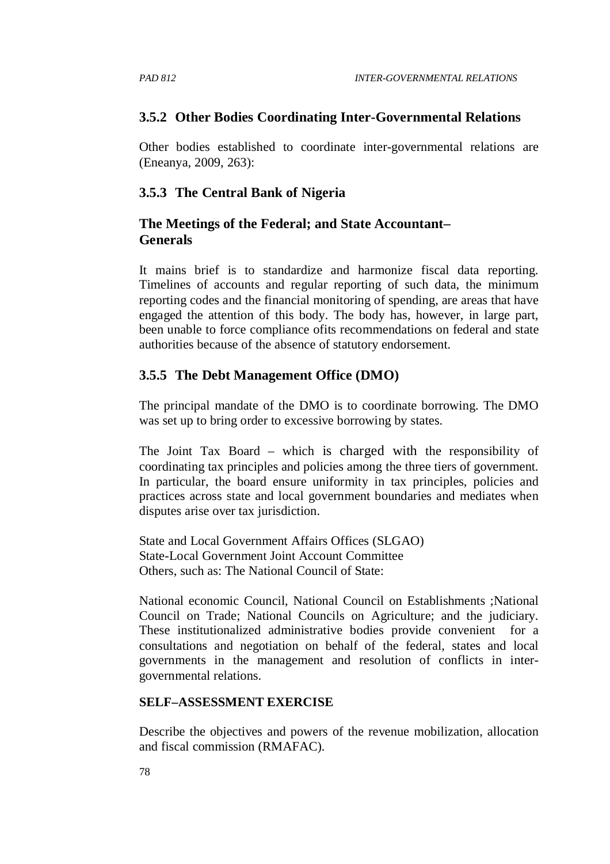### **3.5.2 Other Bodies Coordinating Inter-Governmental Relations**

Other bodies established to coordinate inter-governmental relations are (Eneanya, 2009, 263):

## **3.5.3 The Central Bank of Nigeria**

## **The Meetings of the Federal; and State Accountant– Generals**

It mains brief is to standardize and harmonize fiscal data reporting. Timelines of accounts and regular reporting of such data, the minimum reporting codes and the financial monitoring of spending, are areas that have engaged the attention of this body. The body has, however, in large part, been unable to force compliance ofits recommendations on federal and state authorities because of the absence of statutory endorsement.

# **3.5.5 The Debt Management Office (DMO)**

The principal mandate of the DMO is to coordinate borrowing. The DMO was set up to bring order to excessive borrowing by states.

The Joint Tax Board – which is charged with the responsibility of coordinating tax principles and policies among the three tiers of government. In particular, the board ensure uniformity in tax principles, policies and practices across state and local government boundaries and mediates when disputes arise over tax jurisdiction.

State and Local Government Affairs Offices (SLGAO) State-Local Government Joint Account Committee Others, such as: The National Council of State:

National economic Council, National Council on Establishments ;National Council on Trade; National Councils on Agriculture; and the judiciary. These institutionalized administrative bodies provide convenient for a consultations and negotiation on behalf of the federal, states and local governments in the management and resolution of conflicts in intergovernmental relations.

### **SELF–ASSESSMENT EXERCISE**

Describe the objectives and powers of the revenue mobilization, allocation and fiscal commission (RMAFAC).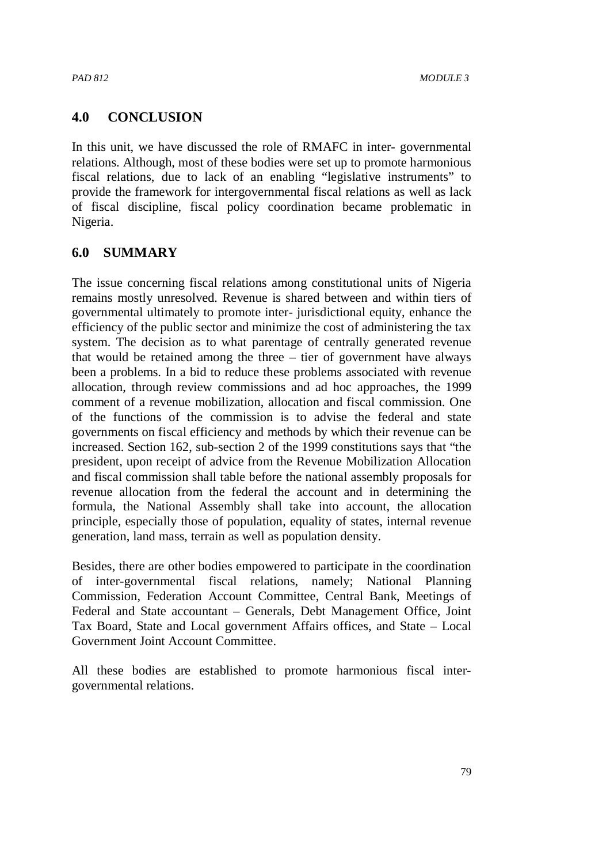#### **4.0 CONCLUSION**

In this unit, we have discussed the role of RMAFC in inter- governmental relations. Although, most of these bodies were set up to promote harmonious fiscal relations, due to lack of an enabling "legislative instruments" to provide the framework for intergovernmental fiscal relations as well as lack of fiscal discipline, fiscal policy coordination became problematic in Nigeria.

#### **6.0 SUMMARY**

The issue concerning fiscal relations among constitutional units of Nigeria remains mostly unresolved. Revenue is shared between and within tiers of governmental ultimately to promote inter- jurisdictional equity, enhance the efficiency of the public sector and minimize the cost of administering the tax system. The decision as to what parentage of centrally generated revenue that would be retained among the three – tier of government have always been a problems. In a bid to reduce these problems associated with revenue allocation, through review commissions and ad hoc approaches, the 1999 comment of a revenue mobilization, allocation and fiscal commission. One of the functions of the commission is to advise the federal and state governments on fiscal efficiency and methods by which their revenue can be increased. Section 162, sub-section 2 of the 1999 constitutions says that "the president, upon receipt of advice from the Revenue Mobilization Allocation and fiscal commission shall table before the national assembly proposals for revenue allocation from the federal the account and in determining the formula, the National Assembly shall take into account, the allocation principle, especially those of population, equality of states, internal revenue generation, land mass, terrain as well as population density.

Besides, there are other bodies empowered to participate in the coordination of inter-governmental fiscal relations, namely; National Planning Commission, Federation Account Committee, Central Bank, Meetings of Federal and State accountant – Generals, Debt Management Office, Joint Tax Board, State and Local government Affairs offices, and State – Local Government Joint Account Committee.

All these bodies are established to promote harmonious fiscal intergovernmental relations.